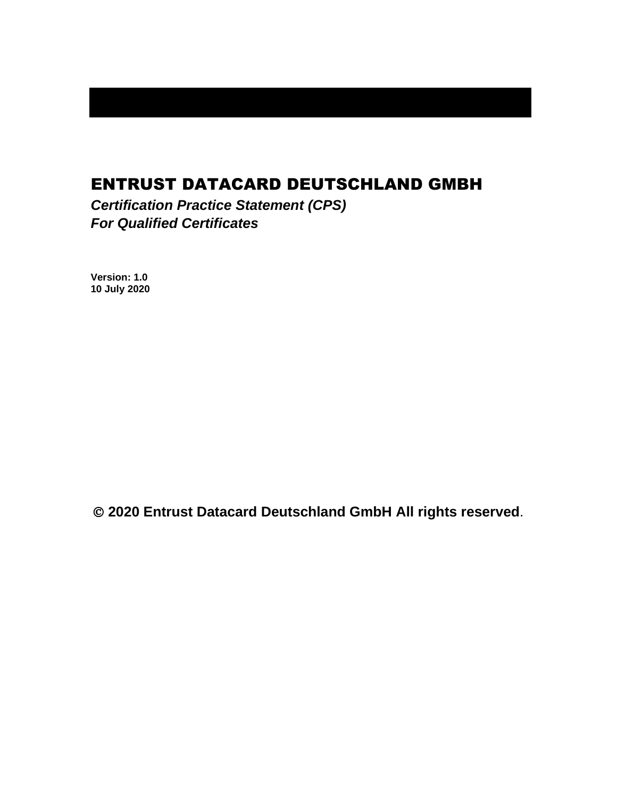# ENTRUST DATACARD DEUTSCHLAND GMBH

*Certification Practice Statement (CPS) For Qualified Certificates*

**Version: 1.0 10 July 2020**

© **2020 Entrust Datacard Deutschland GmbH All rights reserved**.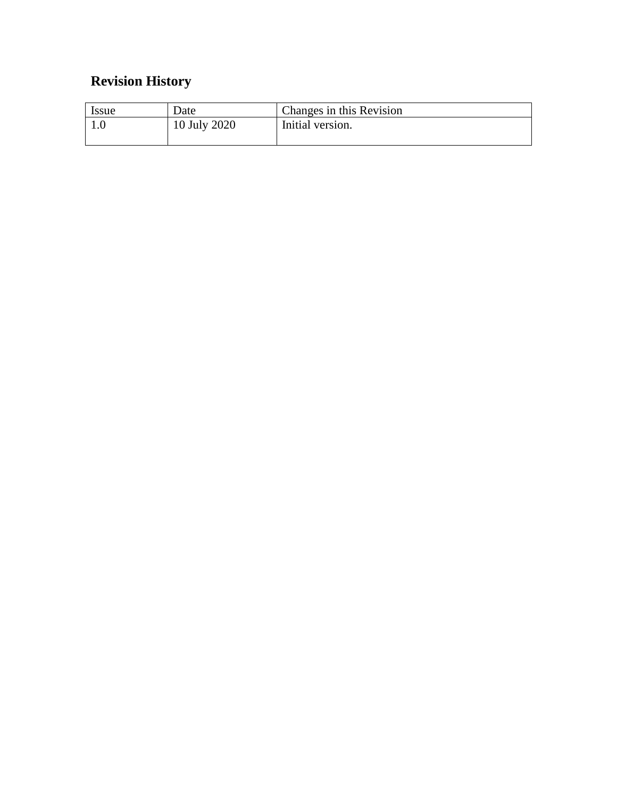# **Revision History**

| <i>ssue</i> | )ate         | Changes in this Revision |
|-------------|--------------|--------------------------|
|             | 10 July 2020 | Initial version.         |
|             |              |                          |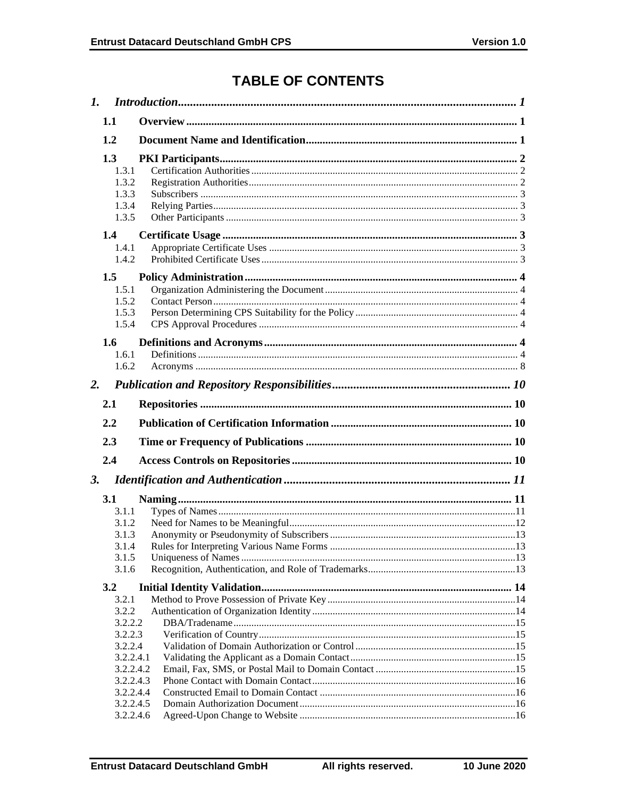# **TABLE OF CONTENTS**

| $\mathbf{I}$ . |                                |  |
|----------------|--------------------------------|--|
|                | 1.1                            |  |
|                | 1.2                            |  |
|                | 1.3<br>1.3.1                   |  |
|                | 1.3.2<br>1.3.3                 |  |
|                | 1.3.4<br>1.3.5                 |  |
|                | 1.4<br>1.4.1                   |  |
|                | 1.4.2                          |  |
|                | 1.5<br>1.5.1<br>1.5.2<br>1.5.3 |  |
|                | 1.5.4                          |  |
|                | 1.6<br>1.6.1                   |  |
|                | 1.6.2                          |  |
| 2.             |                                |  |
|                | 2.1                            |  |
|                |                                |  |
|                | 2.2                            |  |
|                | 2.3                            |  |
|                | 2.4                            |  |
| 3.             |                                |  |
|                | 3.1                            |  |
|                | 3.1.1                          |  |
|                | 3.1.2                          |  |
|                | 3.1.3                          |  |
|                | 3.1.4                          |  |
|                | 3.1.5                          |  |
|                | 3.1.6                          |  |
|                | 3.2                            |  |
|                | 3.2.1                          |  |
|                | 3.2.2                          |  |
|                | 3.2.2.2                        |  |
|                | 3.2.2.3                        |  |
|                | 3.2.2.4                        |  |
|                | 3.2.2.4.1                      |  |
|                | 3.2.2.4.2                      |  |
|                | 3.2.2.4.3                      |  |
|                | 3.2.2.4.4<br>3.2.2.4.5         |  |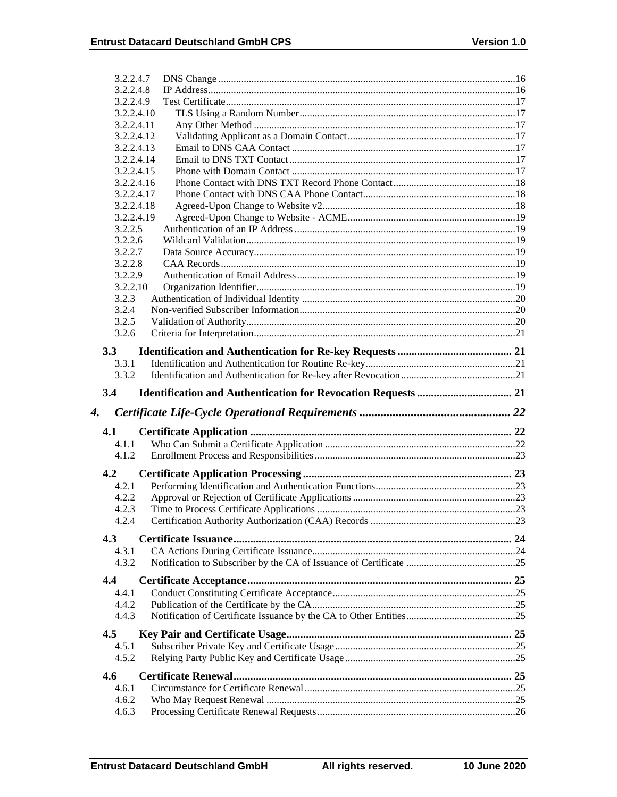|    | 3.2.2.4.7          |  |
|----|--------------------|--|
|    | 3.2.2.4.8          |  |
|    | 3.2.2.4.9          |  |
|    | 3.2.2.4.10         |  |
|    | 3.2.2.4.11         |  |
|    | 3.2.2.4.12         |  |
|    | 3.2.2.4.13         |  |
|    | 3.2.2.4.14         |  |
|    | 3.2.2.4.15         |  |
|    | 3.2.2.4.16         |  |
|    | 3.2.2.4.17         |  |
|    | 3.2.2.4.18         |  |
|    | 3.2.2.4.19         |  |
|    | 3.2.2.5            |  |
|    | 3.2.2.6            |  |
|    | 3.2.2.7<br>3.2.2.8 |  |
|    | 3.2.2.9            |  |
|    | 3.2.2.10           |  |
|    | 3.2.3              |  |
|    | 3.2.4              |  |
|    | 3.2.5              |  |
|    | 3.2.6              |  |
|    |                    |  |
|    | 3.3                |  |
|    | 3.3.1              |  |
|    | 3.3.2              |  |
|    | 3.4                |  |
|    |                    |  |
| 4. |                    |  |
|    | 4.1                |  |
|    | 4.1.1              |  |
|    | 4.1.2              |  |
|    |                    |  |
|    | 4.2                |  |
|    | 4.2.1              |  |
|    | 4.2.2              |  |
|    | 4.2.3              |  |
|    | 424                |  |
|    | 4.3                |  |
|    | 4.3.1              |  |
|    | 4.3.2              |  |
|    | 4.4                |  |
|    | 4.4.1              |  |
|    | 4.4.2              |  |
|    | 4.4.3              |  |
|    |                    |  |
|    | 4.5                |  |
|    | 4.5.1              |  |
|    | 4.5.2              |  |
|    | 4.6                |  |
|    | 4.6.1              |  |
|    | 4.6.2              |  |
|    | 4.6.3              |  |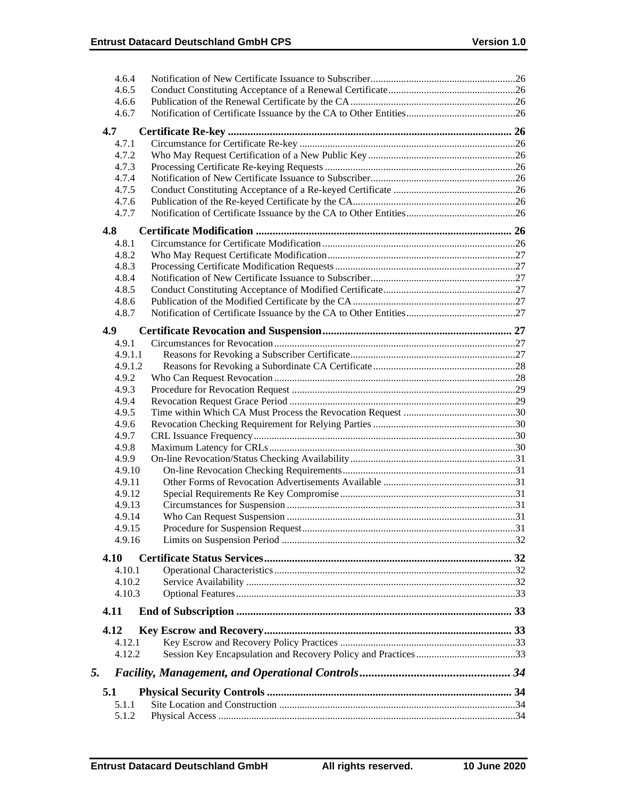| 4.6.4            |  |
|------------------|--|
| 4.6.5            |  |
| 4.6.6            |  |
| 4.6.7            |  |
| 4.7              |  |
|                  |  |
| 4.7.1            |  |
| 4.7.2            |  |
| 4.7.3<br>4.7.4   |  |
|                  |  |
| 4.7.5            |  |
| 4.7.6            |  |
| 4.7.7            |  |
| 4.8              |  |
| 4.8.1            |  |
| 4.8.2            |  |
| 4.8.3            |  |
| 4.8.4            |  |
| 4.8.5            |  |
| 4.8.6            |  |
| 4.8.7            |  |
|                  |  |
| 4.9              |  |
| 4.9.1            |  |
| 4.9.1.1          |  |
| 4.9.1.2          |  |
| 4.9.2            |  |
| 4.9.3            |  |
| 4.9.4            |  |
| 4.9.5            |  |
| 4.9.6            |  |
| 4.9.7            |  |
| 4.9.8            |  |
| 4.9.9            |  |
| 4.9.10           |  |
| 4.9.11           |  |
| 4.9.12           |  |
| 4.9.13           |  |
| 4.9.14<br>4.9.15 |  |
| 4.9.16           |  |
|                  |  |
| 4.10             |  |
| 4.10.1           |  |
| 4.10.2           |  |
| 4.10.3           |  |
|                  |  |
| 4.11             |  |
| 4.12             |  |
| 4.12.1           |  |
| 4.12.2           |  |
| 5.               |  |
|                  |  |
| 5.1              |  |
| 5.1.1            |  |
| 5.1.2            |  |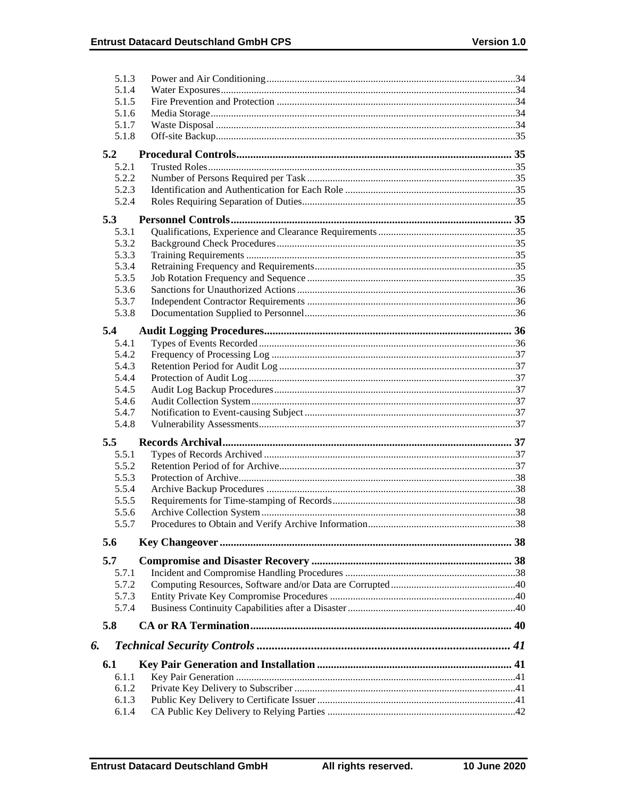| 5.1.3          |  |
|----------------|--|
| 5.1.4          |  |
| 5.1.5          |  |
| 5.1.6          |  |
| 5.1.7          |  |
| 5.1.8          |  |
| 5.2            |  |
| 5.2.1          |  |
| 5.2.2          |  |
| 5.2.3          |  |
| 5.2.4          |  |
| 5.3            |  |
| 5.3.1          |  |
| 5.3.2          |  |
| 5.3.3          |  |
| 5.3.4          |  |
| 5.3.5          |  |
| 5.3.6          |  |
| 5.3.7          |  |
| 5.3.8          |  |
| 5.4            |  |
| 5.4.1          |  |
| 5.4.2          |  |
| 5.4.3          |  |
| 5.4.4          |  |
| 5.4.5          |  |
| 5.4.6          |  |
| 5.4.7          |  |
| 5.4.8          |  |
|                |  |
| 5.5            |  |
| 5.5.1          |  |
| 5.5.2          |  |
| 5.5.3          |  |
| 5.5.4<br>5.5.5 |  |
|                |  |
| 5.5.6<br>5.5.7 |  |
|                |  |
| 5.6            |  |
| 5.7            |  |
| 5.7.1          |  |
| 5.7.2          |  |
| 5.7.3          |  |
| 5.7.4          |  |
| 5.8            |  |
| 6.             |  |
|                |  |
| 6.1            |  |
| 6.1.1          |  |
| 6.1.2          |  |
| 6.1.3          |  |
| 6.1.4          |  |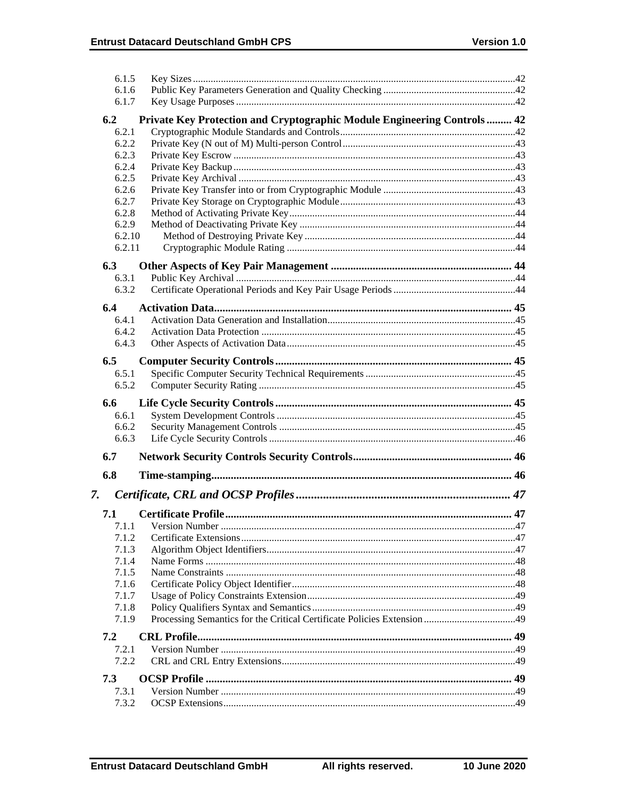|    | 6.1.5          |                                                                          |  |
|----|----------------|--------------------------------------------------------------------------|--|
|    | 6.1.6          |                                                                          |  |
|    | 6.1.7          |                                                                          |  |
|    | 6.2            | Private Key Protection and Cryptographic Module Engineering Controls  42 |  |
|    | 6.2.1          |                                                                          |  |
|    | 6.2.2          |                                                                          |  |
|    | 6.2.3          |                                                                          |  |
|    | 6.2.4          |                                                                          |  |
|    | 6.2.5          |                                                                          |  |
|    | 6.2.6          |                                                                          |  |
|    | 6.2.7          |                                                                          |  |
|    | 6.2.8          |                                                                          |  |
|    | 6.2.9          |                                                                          |  |
|    | 6.2.10         |                                                                          |  |
|    | 6.2.11         |                                                                          |  |
|    | 6.3            |                                                                          |  |
|    | 6.3.1          |                                                                          |  |
|    | 6.3.2          |                                                                          |  |
|    | 6.4            |                                                                          |  |
|    | 6.4.1          |                                                                          |  |
|    | 6.4.2          |                                                                          |  |
|    | 6.4.3          |                                                                          |  |
|    |                |                                                                          |  |
|    | 6.5            |                                                                          |  |
|    | 6.5.1          |                                                                          |  |
|    | 6.5.2          |                                                                          |  |
|    | 6.6            |                                                                          |  |
|    |                |                                                                          |  |
|    | 6.6.1          |                                                                          |  |
|    | 6.6.2          |                                                                          |  |
|    | 6.6.3          |                                                                          |  |
|    | 6.7            |                                                                          |  |
|    | 6.8            |                                                                          |  |
|    |                |                                                                          |  |
| 7. |                |                                                                          |  |
|    | 7.1            |                                                                          |  |
|    | 7.1.1          |                                                                          |  |
|    | 7.1.2          |                                                                          |  |
|    | 7.1.3          |                                                                          |  |
|    | 7.1.4<br>7.1.5 |                                                                          |  |
|    | 7.1.6          |                                                                          |  |
|    | 7.1.7          |                                                                          |  |
|    | 7.1.8          |                                                                          |  |
|    | 7.1.9          |                                                                          |  |
|    | 7.2            |                                                                          |  |
|    | 7.2.1          |                                                                          |  |
|    | 7.2.2          |                                                                          |  |
|    | 7.3            |                                                                          |  |
|    | 7.3.1          |                                                                          |  |
|    | 7.3.2          |                                                                          |  |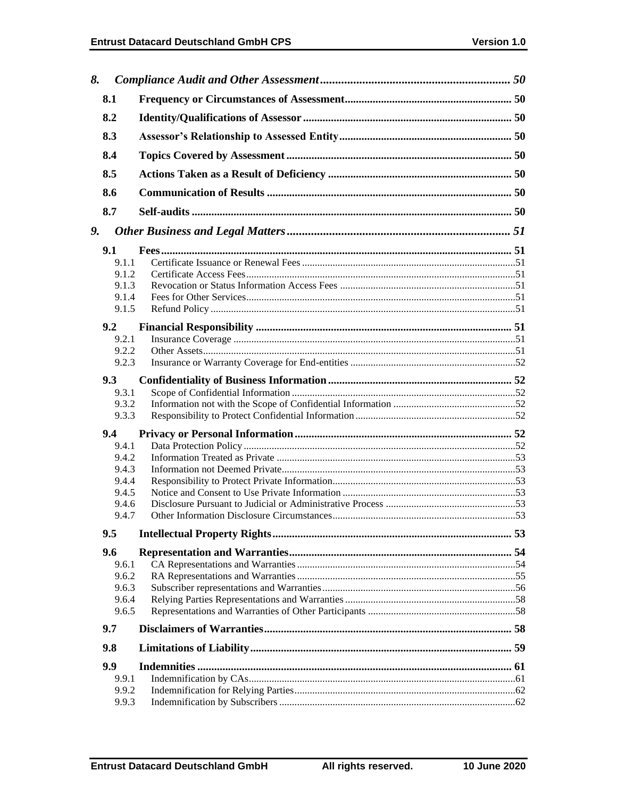| 8. |                |  |
|----|----------------|--|
|    | 8.1            |  |
|    | 8.2            |  |
|    | 8.3            |  |
|    | 8.4            |  |
|    | 8.5            |  |
|    | 8.6            |  |
|    | 8.7            |  |
| 9. |                |  |
|    | 9.1            |  |
|    | 9.1.1          |  |
|    | 9.1.2          |  |
|    | 9.1.3          |  |
|    | 9.1.4          |  |
|    | 9.1.5          |  |
|    |                |  |
|    | 9.2            |  |
|    | 9.2.1          |  |
|    | 9.2.2<br>9.2.3 |  |
|    |                |  |
|    | 9.3            |  |
|    | 9.3.1          |  |
|    | 9.3.2          |  |
|    | 9.3.3          |  |
|    | $9.4^{\circ}$  |  |
|    | 9.4.1          |  |
|    | 9.4.2          |  |
|    | 9.4.3          |  |
|    | 9.4.4          |  |
|    | 9.4.5          |  |
|    | 9.4.6          |  |
|    | 9.4.7          |  |
|    | 9.5            |  |
|    | 9.6            |  |
|    | 9.6.1          |  |
|    | 9.6.2          |  |
|    | 9.6.3          |  |
|    | 9.6.4          |  |
|    | 9.6.5          |  |
|    | 9.7            |  |
|    | 9.8            |  |
|    | 9.9            |  |
|    | 9.9.1          |  |
|    | 9.9.2          |  |
|    | 9.9.3          |  |
|    |                |  |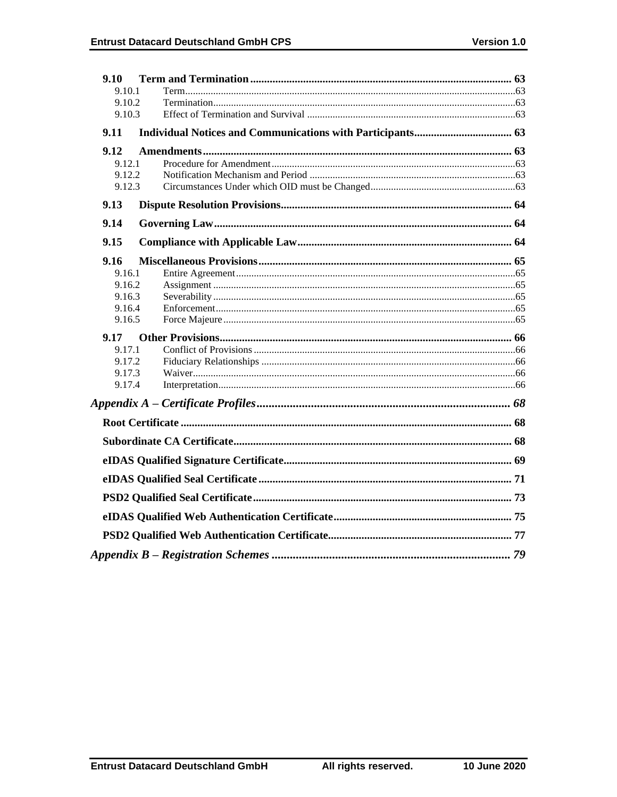| 9.10             |  |
|------------------|--|
| 9.10.1           |  |
| 9.10.2           |  |
| 9.10.3           |  |
| 9.11             |  |
| 9.12             |  |
| 9.12.1           |  |
| 9.12.2           |  |
| 9.12.3           |  |
| 9.13             |  |
| 9.14             |  |
| 9.15             |  |
| 9.16             |  |
| 9.16.1           |  |
| 9.16.2           |  |
| 9.16.3           |  |
| 9.16.4<br>9.16.5 |  |
|                  |  |
| 9.17             |  |
| 9.17.1<br>9.17.2 |  |
| 9.17.3           |  |
| 9.17.4           |  |
|                  |  |
|                  |  |
|                  |  |
|                  |  |
|                  |  |
|                  |  |
|                  |  |
|                  |  |
|                  |  |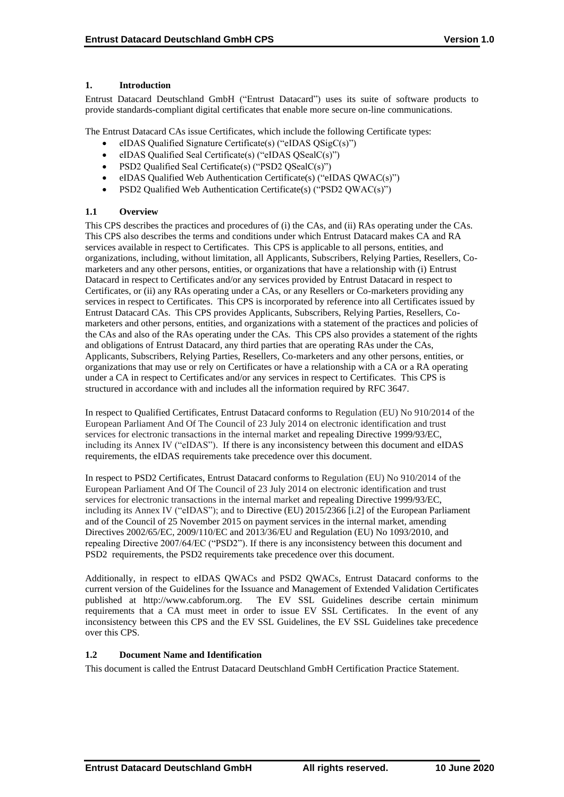## **1. Introduction**

Entrust Datacard Deutschland GmbH ("Entrust Datacard") uses its suite of software products to provide standards-compliant digital certificates that enable more secure on-line communications.

The Entrust Datacard CAs issue Certificates, which include the following Certificate types:

- eIDAS Qualified Signature Certificate(s) ("eIDAS QSigC(s)")
- eIDAS Qualified Seal Certificate(s) ("eIDAS QSealC(s)")
- PSD2 Qualified Seal Certificate(s) ("PSD2 QSealC(s)")
- eIDAS Qualified Web Authentication Certificate(s) ("eIDAS QWAC(s)")
- PSD2 Qualified Web Authentication Certificate(s) ("PSD2 QWAC(s)")

## **1.1 Overview**

This CPS describes the practices and procedures of (i) the CAs, and (ii) RAs operating under the CAs. This CPS also describes the terms and conditions under which Entrust Datacard makes CA and RA services available in respect to Certificates. This CPS is applicable to all persons, entities, and organizations, including, without limitation, all Applicants, Subscribers, Relying Parties, Resellers, Comarketers and any other persons, entities, or organizations that have a relationship with (i) Entrust Datacard in respect to Certificates and/or any services provided by Entrust Datacard in respect to Certificates, or (ii) any RAs operating under a CAs, or any Resellers or Co-marketers providing any services in respect to Certificates. This CPS is incorporated by reference into all Certificates issued by Entrust Datacard CAs. This CPS provides Applicants, Subscribers, Relying Parties, Resellers, Comarketers and other persons, entities, and organizations with a statement of the practices and policies of the CAs and also of the RAs operating under the CAs. This CPS also provides a statement of the rights and obligations of Entrust Datacard, any third parties that are operating RAs under the CAs, Applicants, Subscribers, Relying Parties, Resellers, Co-marketers and any other persons, entities, or organizations that may use or rely on Certificates or have a relationship with a CA or a RA operating under a CA in respect to Certificates and/or any services in respect to Certificates. This CPS is structured in accordance with and includes all the information required by RFC 3647.

In respect to Qualified Certificates, Entrust Datacard conforms to Regulation (EU) No 910/2014 of the European Parliament And Of The Council of 23 July 2014 on electronic identification and trust services for electronic transactions in the internal market and repealing Directive 1999/93/EC, including its Annex IV ("eIDAS"). If there is any inconsistency between this document and eIDAS requirements, the eIDAS requirements take precedence over this document.

In respect to PSD2 Certificates, Entrust Datacard conforms to Regulation (EU) No 910/2014 of the European Parliament And Of The Council of 23 July 2014 on electronic identification and trust services for electronic transactions in the internal market and repealing Directive 1999/93/EC, including its Annex IV ("eIDAS"); and to Directive (EU) 2015/2366 [i.2] of the European Parliament and of the Council of 25 November 2015 on payment services in the internal market, amending Directives 2002/65/EC, 2009/110/EC and 2013/36/EU and Regulation (EU) No 1093/2010, and repealing Directive 2007/64/EC ("PSD2"). If there is any inconsistency between this document and PSD2 requirements, the PSD2 requirements take precedence over this document.

Additionally, in respect to eIDAS QWACs and PSD2 QWACs, Entrust Datacard conforms to the current version of the Guidelines for the Issuance and Management of Extended Validation Certificates published at http://www.cabforum.org. The EV SSL Guidelines describe certain minimum requirements that a CA must meet in order to issue EV SSL Certificates. In the event of any inconsistency between this CPS and the EV SSL Guidelines, the EV SSL Guidelines take precedence over this CPS.

## **1.2 Document Name and Identification**

This document is called the Entrust Datacard Deutschland GmbH Certification Practice Statement.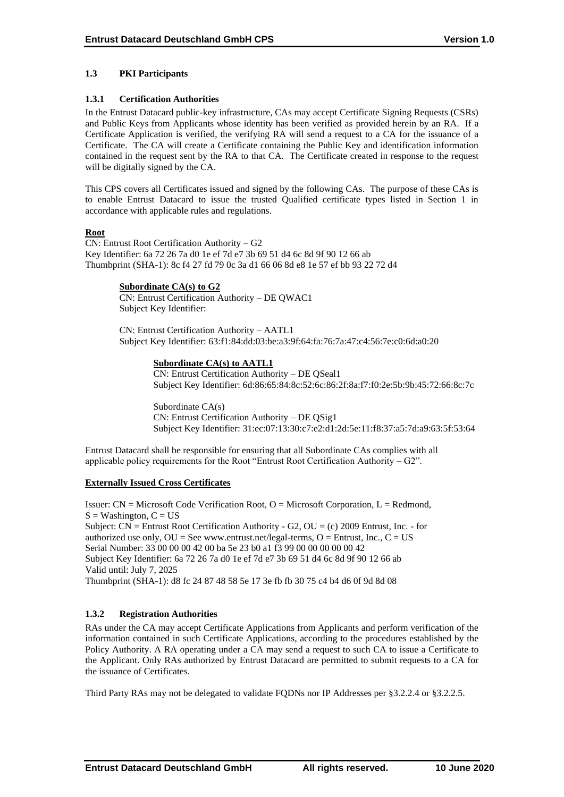## **1.3 PKI Participants**

## **1.3.1 Certification Authorities**

In the Entrust Datacard public-key infrastructure, CAs may accept Certificate Signing Requests (CSRs) and Public Keys from Applicants whose identity has been verified as provided herein by an RA. If a Certificate Application is verified, the verifying RA will send a request to a CA for the issuance of a Certificate. The CA will create a Certificate containing the Public Key and identification information contained in the request sent by the RA to that CA. The Certificate created in response to the request will be digitally signed by the CA.

This CPS covers all Certificates issued and signed by the following CAs. The purpose of these CAs is to enable Entrust Datacard to issue the trusted Qualified certificate types listed in Section 1 in accordance with applicable rules and regulations.

## **Root**

CN: Entrust Root Certification Authority – G2 Key Identifier: 6a 72 26 7a d0 1e ef 7d e7 3b 69 51 d4 6c 8d 9f 90 12 66 ab Thumbprint (SHA-1): 8c f4 27 fd 79 0c 3a d1 66 06 8d e8 1e 57 ef bb 93 22 72 d4

## **Subordinate CA(s) to G2**

CN: Entrust Certification Authority – DE QWAC1 Subject Key Identifier:

CN: Entrust Certification Authority – AATL1 Subject Key Identifier: 63:f1:84:dd:03:be:a3:9f:64:fa:76:7a:47:c4:56:7e:c0:6d:a0:20

#### **Subordinate CA(s) to AATL1**

CN: Entrust Certification Authority – DE QSeal1 Subject Key Identifier: 6d:86:65:84:8c:52:6c:86:2f:8a:f7:f0:2e:5b:9b:45:72:66:8c:7c

Subordinate CA(s) CN: Entrust Certification Authority – DE QSig1 Subject Key Identifier: 31:ec:07:13:30:c7:e2:d1:2d:5e:11:f8:37:a5:7d:a9:63:5f:53:64

Entrust Datacard shall be responsible for ensuring that all Subordinate CAs complies with all applicable policy requirements for the Root "Entrust Root Certification Authority –  $G2$ ".

#### **Externally Issued Cross Certificates**

Issuer:  $CN = Microsoft Code Verification Root. O = Microsoft Corporation. L = Redmond.$  $S =$ Washington,  $C = US$ Subject:  $CN =$  Entrust Root Certification Authority - G2,  $OU = (c)$  2009 Entrust, Inc. - for authorized use only,  $OU = See$  www.entrust.net/legal-terms,  $O =$  Entrust, Inc.,  $C = US$ Serial Number: 33 00 00 00 42 00 ba 5e 23 b0 a1 f3 99 00 00 00 00 00 42 Subject Key Identifier: 6a 72 26 7a d0 1e ef 7d e7 3b 69 51 d4 6c 8d 9f 90 12 66 ab Valid until: July 7, 2025 Thumbprint (SHA-1): d8 fc 24 87 48 58 5e 17 3e fb fb 30 75 c4 b4 d6 0f 9d 8d 08

## **1.3.2 Registration Authorities**

RAs under the CA may accept Certificate Applications from Applicants and perform verification of the information contained in such Certificate Applications, according to the procedures established by the Policy Authority. A RA operating under a CA may send a request to such CA to issue a Certificate to the Applicant. Only RAs authorized by Entrust Datacard are permitted to submit requests to a CA for the issuance of Certificates.

Third Party RAs may not be delegated to validate FQDNs nor IP Addresses per §3.2.2.4 or §3.2.2.5.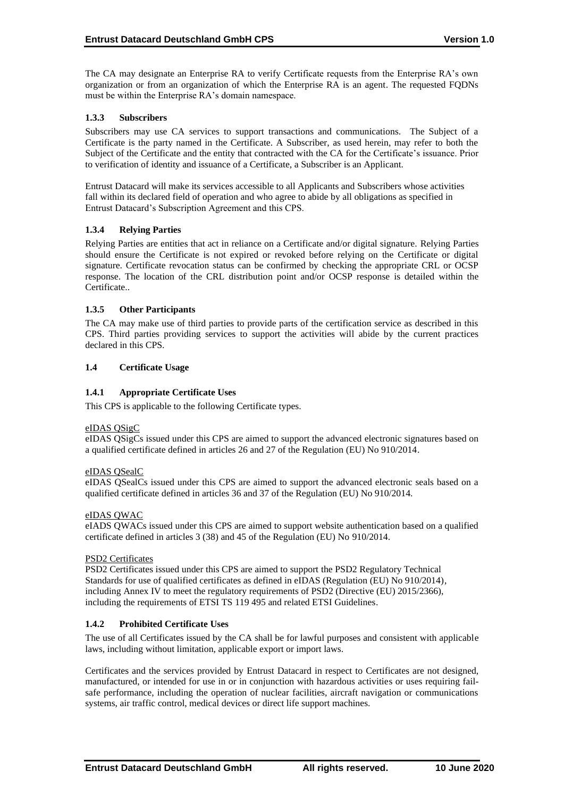The CA may designate an Enterprise RA to verify Certificate requests from the Enterprise RA's own organization or from an organization of which the Enterprise RA is an agent. The requested FQDNs must be within the Enterprise RA's domain namespace.

## **1.3.3 Subscribers**

Subscribers may use CA services to support transactions and communications. The Subject of a Certificate is the party named in the Certificate. A Subscriber, as used herein, may refer to both the Subject of the Certificate and the entity that contracted with the CA for the Certificate's issuance. Prior to verification of identity and issuance of a Certificate, a Subscriber is an Applicant.

Entrust Datacard will make its services accessible to all Applicants and Subscribers whose activities fall within its declared field of operation and who agree to abide by all obligations as specified in Entrust Datacard's Subscription Agreement and this CPS.

## **1.3.4 Relying Parties**

Relying Parties are entities that act in reliance on a Certificate and/or digital signature. Relying Parties should ensure the Certificate is not expired or revoked before relying on the Certificate or digital signature. Certificate revocation status can be confirmed by checking the appropriate CRL or OCSP response. The location of the CRL distribution point and/or OCSP response is detailed within the Certificate..

## **1.3.5 Other Participants**

The CA may make use of third parties to provide parts of the certification service as described in this CPS. Third parties providing services to support the activities will abide by the current practices declared in this CPS.

#### **1.4 Certificate Usage**

## **1.4.1 Appropriate Certificate Uses**

This CPS is applicable to the following Certificate types.

#### eIDAS QSigC

eIDAS QSigCs issued under this CPS are aimed to support the advanced electronic signatures based on a qualified certificate defined in articles 26 and 27 of the Regulation (EU) No 910/2014.

#### eIDAS QSealC

eIDAS QSealCs issued under this CPS are aimed to support the advanced electronic seals based on a qualified certificate defined in articles 36 and 37 of the Regulation (EU) No 910/2014.

#### eIDAS QWAC

eIADS QWACs issued under this CPS are aimed to support website authentication based on a qualified certificate defined in articles 3 (38) and 45 of the Regulation (EU) No 910/2014.

#### PSD2 Certificates

PSD2 Certificates issued under this CPS are aimed to support the PSD2 Regulatory Technical Standards for use of qualified certificates as defined in eIDAS (Regulation (EU) No 910/2014), including Annex IV to meet the regulatory requirements of PSD2 (Directive (EU) 2015/2366), including the requirements of ETSI TS 119 495 and related ETSI Guidelines.

#### **1.4.2 Prohibited Certificate Uses**

The use of all Certificates issued by the CA shall be for lawful purposes and consistent with applicable laws, including without limitation, applicable export or import laws.

Certificates and the services provided by Entrust Datacard in respect to Certificates are not designed, manufactured, or intended for use in or in conjunction with hazardous activities or uses requiring failsafe performance, including the operation of nuclear facilities, aircraft navigation or communications systems, air traffic control, medical devices or direct life support machines.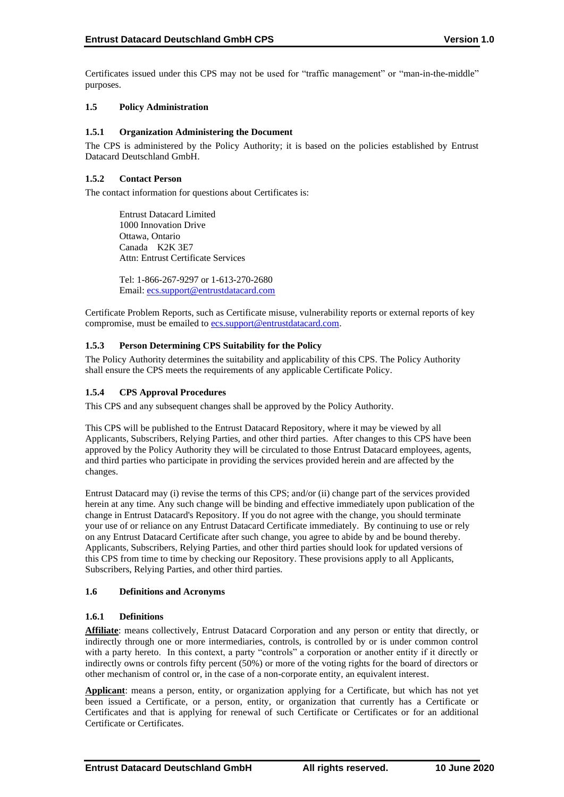Certificates issued under this CPS may not be used for "traffic management" or "man-in-the-middle" purposes.

## **1.5 Policy Administration**

#### **1.5.1 Organization Administering the Document**

The CPS is administered by the Policy Authority; it is based on the policies established by Entrust Datacard Deutschland GmbH.

## **1.5.2 Contact Person**

The contact information for questions about Certificates is:

Entrust Datacard Limited 1000 Innovation Drive Ottawa, Ontario Canada K2K 3E7 Attn: Entrust Certificate Services

Tel: 1-866-267-9297 or 1-613-270-2680 Email: [ecs.support@entrustdatacard.com](mailto:ecs.support@entrustdatacard.com)

Certificate Problem Reports, such as Certificate misuse, vulnerability reports or external reports of key compromise, must be emailed t[o ecs.support@entrustdatacard.com.](mailto:ecs.support@entrustdatacard.com)

## **1.5.3 Person Determining CPS Suitability for the Policy**

The Policy Authority determines the suitability and applicability of this CPS. The Policy Authority shall ensure the CPS meets the requirements of any applicable Certificate Policy.

## **1.5.4 CPS Approval Procedures**

This CPS and any subsequent changes shall be approved by the Policy Authority.

This CPS will be published to the Entrust Datacard Repository, where it may be viewed by all Applicants, Subscribers, Relying Parties, and other third parties. After changes to this CPS have been approved by the Policy Authority they will be circulated to those Entrust Datacard employees, agents, and third parties who participate in providing the services provided herein and are affected by the changes.

Entrust Datacard may (i) revise the terms of this CPS; and/or (ii) change part of the services provided herein at any time. Any such change will be binding and effective immediately upon publication of the change in Entrust Datacard's Repository. If you do not agree with the change, you should terminate your use of or reliance on any Entrust Datacard Certificate immediately. By continuing to use or rely on any Entrust Datacard Certificate after such change, you agree to abide by and be bound thereby. Applicants, Subscribers, Relying Parties, and other third parties should look for updated versions of this CPS from time to time by checking our Repository. These provisions apply to all Applicants, Subscribers, Relying Parties, and other third parties.

#### **1.6 Definitions and Acronyms**

#### **1.6.1 Definitions**

**Affiliate**: means collectively, Entrust Datacard Corporation and any person or entity that directly, or indirectly through one or more intermediaries, controls, is controlled by or is under common control with a party hereto. In this context, a party "controls" a corporation or another entity if it directly or indirectly owns or controls fifty percent (50%) or more of the voting rights for the board of directors or other mechanism of control or, in the case of a non-corporate entity, an equivalent interest.

**Applicant**: means a person, entity, or organization applying for a Certificate, but which has not yet been issued a Certificate, or a person, entity, or organization that currently has a Certificate or Certificates and that is applying for renewal of such Certificate or Certificates or for an additional Certificate or Certificates.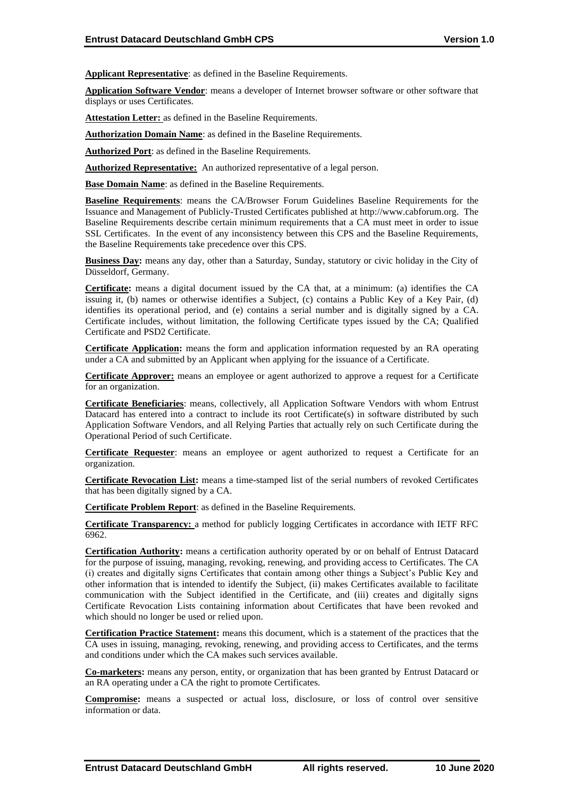**Applicant Representative**: as defined in the Baseline Requirements.

**Application Software Vendor**: means a developer of Internet browser software or other software that displays or uses Certificates.

**Attestation Letter:** as defined in the Baseline Requirements.

**Authorization Domain Name:** as defined in the Baseline Requirements.

**Authorized Port**: as defined in the Baseline Requirements.

**Authorized Representative:** An authorized representative of a legal person.

**Base Domain Name**: as defined in the Baseline Requirements.

**Baseline Requirements**: means the CA/Browser Forum Guidelines Baseline Requirements for the Issuance and Management of Publicly-Trusted Certificates published at http://www.cabforum.org. The Baseline Requirements describe certain minimum requirements that a CA must meet in order to issue SSL Certificates. In the event of any inconsistency between this CPS and the Baseline Requirements, the Baseline Requirements take precedence over this CPS.

**Business Day:** means any day, other than a Saturday, Sunday, statutory or civic holiday in the City of Düsseldorf, Germany.

**Certificate:** means a digital document issued by the CA that, at a minimum: (a) identifies the CA issuing it, (b) names or otherwise identifies a Subject, (c) contains a Public Key of a Key Pair, (d) identifies its operational period, and (e) contains a serial number and is digitally signed by a CA. Certificate includes, without limitation, the following Certificate types issued by the CA; Qualified Certificate and PSD2 Certificate.

**Certificate Application:** means the form and application information requested by an RA operating under a CA and submitted by an Applicant when applying for the issuance of a Certificate.

**Certificate Approver:** means an employee or agent authorized to approve a request for a Certificate for an organization.

**Certificate Beneficiaries**: means, collectively, all Application Software Vendors with whom Entrust Datacard has entered into a contract to include its root Certificate(s) in software distributed by such Application Software Vendors, and all Relying Parties that actually rely on such Certificate during the Operational Period of such Certificate.

**Certificate Requester**: means an employee or agent authorized to request a Certificate for an organization.

**Certificate Revocation List:** means a time-stamped list of the serial numbers of revoked Certificates that has been digitally signed by a CA.

**Certificate Problem Report**: as defined in the Baseline Requirements.

**Certificate Transparency:** a method for publicly logging Certificates in accordance with IETF RFC 6962.

**Certification Authority:** means a certification authority operated by or on behalf of Entrust Datacard for the purpose of issuing, managing, revoking, renewing, and providing access to Certificates. The CA (i) creates and digitally signs Certificates that contain among other things a Subject's Public Key and other information that is intended to identify the Subject, (ii) makes Certificates available to facilitate communication with the Subject identified in the Certificate, and (iii) creates and digitally signs Certificate Revocation Lists containing information about Certificates that have been revoked and which should no longer be used or relied upon.

**Certification Practice Statement:** means this document, which is a statement of the practices that the CA uses in issuing, managing, revoking, renewing, and providing access to Certificates, and the terms and conditions under which the CA makes such services available.

**Co-marketers:** means any person, entity, or organization that has been granted by Entrust Datacard or an RA operating under a CA the right to promote Certificates.

**Compromise:** means a suspected or actual loss, disclosure, or loss of control over sensitive information or data.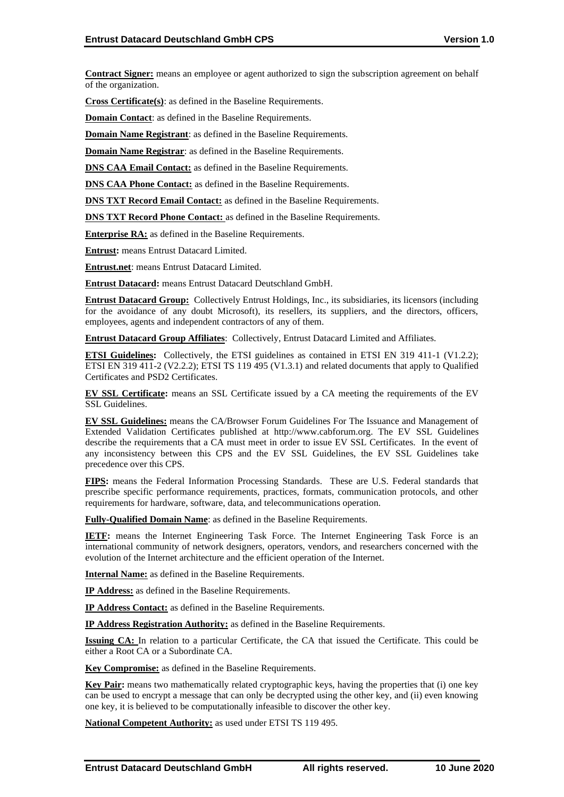**Contract Signer:** means an employee or agent authorized to sign the subscription agreement on behalf of the organization.

**Cross Certificate(s)**: as defined in the Baseline Requirements.

**Domain Contact**: as defined in the Baseline Requirements.

**Domain Name Registrant:** as defined in the Baseline Requirements.

**Domain Name Registrar**: as defined in the Baseline Requirements.

**DNS CAA Email Contact:** as defined in the Baseline Requirements.

**DNS CAA Phone Contact:** as defined in the Baseline Requirements.

**DNS TXT Record Email Contact:** as defined in the Baseline Requirements.

**DNS TXT Record Phone Contact:** as defined in the Baseline Requirements.

**Enterprise RA:** as defined in the Baseline Requirements.

**Entrust:** means Entrust Datacard Limited.

**Entrust.net**: means Entrust Datacard Limited.

**Entrust Datacard:** means Entrust Datacard Deutschland GmbH.

**Entrust Datacard Group:** Collectively Entrust Holdings, Inc., its subsidiaries, its licensors (including for the avoidance of any doubt Microsoft), its resellers, its suppliers, and the directors, officers, employees, agents and independent contractors of any of them.

**Entrust Datacard Group Affiliates**: Collectively, Entrust Datacard Limited and Affiliates.

**ETSI Guidelines:** Collectively, the ETSI guidelines as contained in ETSI EN 319 411-1 (V1.2.2); ETSI EN 319 411-2 (V2.2.2); ETSI TS 119 495 (V1.3.1) and related documents that apply to Qualified Certificates and PSD2 Certificates.

**EV SSL Certificate:** means an SSL Certificate issued by a CA meeting the requirements of the EV SSL Guidelines.

**EV SSL Guidelines:** means the CA/Browser Forum Guidelines For The Issuance and Management of Extended Validation Certificates published at http://www.cabforum.org. The EV SSL Guidelines describe the requirements that a CA must meet in order to issue EV SSL Certificates. In the event of any inconsistency between this CPS and the EV SSL Guidelines, the EV SSL Guidelines take precedence over this CPS.

**FIPS:** means the Federal Information Processing Standards. These are U.S. Federal standards that prescribe specific performance requirements, practices, formats, communication protocols, and other requirements for hardware, software, data, and telecommunications operation.

**Fully-Qualified Domain Name**: as defined in the Baseline Requirements.

**IETF:** means the Internet Engineering Task Force. The Internet Engineering Task Force is an international community of network designers, operators, vendors, and researchers concerned with the evolution of the Internet architecture and the efficient operation of the Internet.

**Internal Name:** as defined in the Baseline Requirements.

**IP Address:** as defined in the Baseline Requirements.

**IP Address Contact:** as defined in the Baseline Requirements.

**IP Address Registration Authority:** as defined in the Baseline Requirements.

**Issuing CA:** In relation to a particular Certificate, the CA that issued the Certificate. This could be either a Root CA or a Subordinate CA.

**Key Compromise:** as defined in the Baseline Requirements.

**Key Pair:** means two mathematically related cryptographic keys, having the properties that (i) one key can be used to encrypt a message that can only be decrypted using the other key, and (ii) even knowing one key, it is believed to be computationally infeasible to discover the other key.

**National Competent Authority:** as used under ETSI TS 119 495.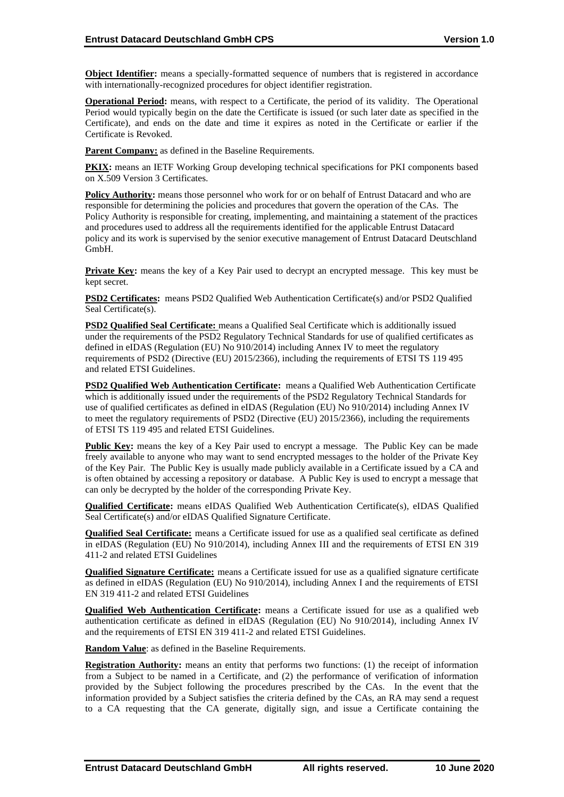**Object Identifier:** means a specially-formatted sequence of numbers that is registered in accordance with internationally-recognized procedures for object identifier registration.

**Operational Period:** means, with respect to a Certificate, the period of its validity. The Operational Period would typically begin on the date the Certificate is issued (or such later date as specified in the Certificate), and ends on the date and time it expires as noted in the Certificate or earlier if the Certificate is Revoked.

**Parent Company:** as defined in the Baseline Requirements.

**PKIX:** means an IETF Working Group developing technical specifications for PKI components based on X.509 Version 3 Certificates.

**Policy Authority:** means those personnel who work for or on behalf of Entrust Datacard and who are responsible for determining the policies and procedures that govern the operation of the CAs. The Policy Authority is responsible for creating, implementing, and maintaining a statement of the practices and procedures used to address all the requirements identified for the applicable Entrust Datacard policy and its work is supervised by the senior executive management of Entrust Datacard Deutschland GmbH.

**Private Key:** means the key of a Key Pair used to decrypt an encrypted message. This key must be kept secret.

**PSD2 Certificates:** means PSD2 Qualified Web Authentication Certificate(s) and/or PSD2 Qualified Seal Certificate(s).

**PSD2 Qualified Seal Certificate:** means a Qualified Seal Certificate which is additionally issued under the requirements of the PSD2 Regulatory Technical Standards for use of qualified certificates as defined in eIDAS (Regulation (EU) No 910/2014) including Annex IV to meet the regulatory requirements of PSD2 (Directive (EU) 2015/2366), including the requirements of ETSI TS 119 495 and related ETSI Guidelines.

**PSD2 Qualified Web Authentication Certificate:** means a Qualified Web Authentication Certificate which is additionally issued under the requirements of the PSD2 Regulatory Technical Standards for use of qualified certificates as defined in eIDAS (Regulation (EU) No 910/2014) including Annex IV to meet the regulatory requirements of PSD2 (Directive (EU) 2015/2366), including the requirements of ETSI TS 119 495 and related ETSI Guidelines.

**Public Key:** means the key of a Key Pair used to encrypt a message. The Public Key can be made freely available to anyone who may want to send encrypted messages to the holder of the Private Key of the Key Pair. The Public Key is usually made publicly available in a Certificate issued by a CA and is often obtained by accessing a repository or database. A Public Key is used to encrypt a message that can only be decrypted by the holder of the corresponding Private Key.

**Qualified Certificate:** means eIDAS Qualified Web Authentication Certificate(s), eIDAS Qualified Seal Certificate(s) and/or eIDAS Qualified Signature Certificate.

**Qualified Seal Certificate:** means a Certificate issued for use as a qualified seal certificate as defined in eIDAS (Regulation (EU) No 910/2014), including Annex III and the requirements of ETSI EN 319 411-2 and related ETSI Guidelines

**Qualified Signature Certificate:** means a Certificate issued for use as a qualified signature certificate as defined in eIDAS (Regulation (EU) No 910/2014), including Annex I and the requirements of ETSI EN 319 411-2 and related ETSI Guidelines

**Qualified Web Authentication Certificate:** means a Certificate issued for use as a qualified web authentication certificate as defined in eIDAS (Regulation (EU) No 910/2014), including Annex IV and the requirements of ETSI EN 319 411-2 and related ETSI Guidelines.

**Random Value:** as defined in the Baseline Requirements.

**Registration Authority:** means an entity that performs two functions: (1) the receipt of information from a Subject to be named in a Certificate, and (2) the performance of verification of information provided by the Subject following the procedures prescribed by the CAs. In the event that the information provided by a Subject satisfies the criteria defined by the CAs, an RA may send a request to a CA requesting that the CA generate, digitally sign, and issue a Certificate containing the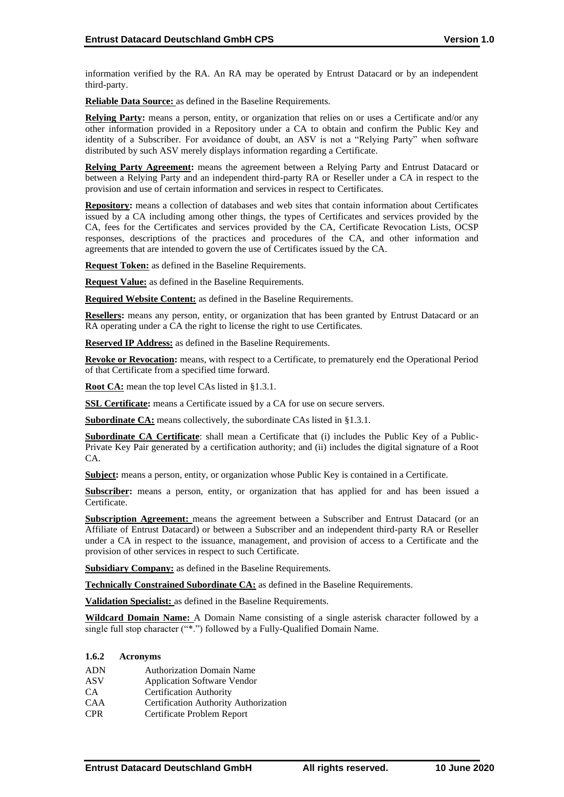information verified by the RA. An RA may be operated by Entrust Datacard or by an independent third-party.

**Reliable Data Source:** as defined in the Baseline Requirements.

**Relying Party:** means a person, entity, or organization that relies on or uses a Certificate and/or any other information provided in a Repository under a CA to obtain and confirm the Public Key and identity of a Subscriber. For avoidance of doubt, an ASV is not a "Relying Party" when software distributed by such ASV merely displays information regarding a Certificate.

**Relying Party Agreement:** means the agreement between a Relying Party and Entrust Datacard or between a Relying Party and an independent third-party RA or Reseller under a CA in respect to the provision and use of certain information and services in respect to Certificates.

**Repository:** means a collection of databases and web sites that contain information about Certificates issued by a CA including among other things, the types of Certificates and services provided by the CA, fees for the Certificates and services provided by the CA, Certificate Revocation Lists, OCSP responses, descriptions of the practices and procedures of the CA, and other information and agreements that are intended to govern the use of Certificates issued by the CA.

**Request Token:** as defined in the Baseline Requirements.

**Request Value:** as defined in the Baseline Requirements.

**Required Website Content:** as defined in the Baseline Requirements.

**Resellers:** means any person, entity, or organization that has been granted by Entrust Datacard or an RA operating under a CA the right to license the right to use Certificates.

**Reserved IP Address:** as defined in the Baseline Requirements.

**Revoke or Revocation:** means, with respect to a Certificate, to prematurely end the Operational Period of that Certificate from a specified time forward.

**Root CA:** mean the top level CAs listed in §1.3.1.

**SSL Certificate:** means a Certificate issued by a CA for use on secure servers.

**Subordinate CA:** means collectively, the subordinate CAs listed in §1.3.1.

**Subordinate CA Certificate**: shall mean a Certificate that (i) includes the Public Key of a Public-Private Key Pair generated by a certification authority; and (ii) includes the digital signature of a Root CA.

**Subject:** means a person, entity, or organization whose Public Key is contained in a Certificate.

**Subscriber:** means a person, entity, or organization that has applied for and has been issued a Certificate.

**Subscription Agreement:** means the agreement between a Subscriber and Entrust Datacard (or an Affiliate of Entrust Datacard) or between a Subscriber and an independent third-party RA or Reseller under a CA in respect to the issuance, management, and provision of access to a Certificate and the provision of other services in respect to such Certificate.

**Subsidiary Company:** as defined in the Baseline Requirements.

**Technically Constrained Subordinate CA:** as defined in the Baseline Requirements.

**Validation Specialist:** as defined in the Baseline Requirements.

**Wildcard Domain Name:** A Domain Name consisting of a single asterisk character followed by a single full stop character ("\*.") followed by a Fully-Qualified Domain Name.

#### **1.6.2 Acronyms**

| ADN<br><b>Authorization Domain Name</b> |  |
|-----------------------------------------|--|
|-----------------------------------------|--|

- ASV Application Software Vendor
- CA Certification Authority
- CAA Certification Authority Authorization
- CPR Certificate Problem Report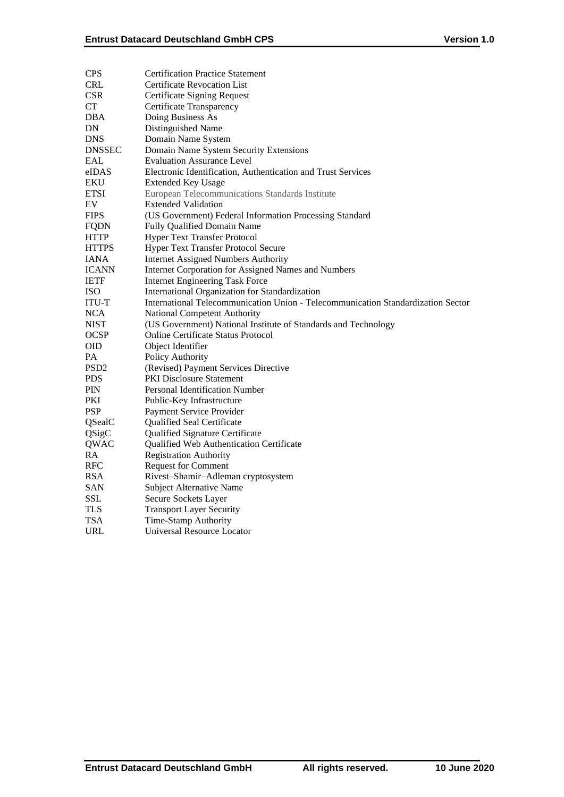| <b>CPS</b>       | <b>Certification Practice Statement</b>                                          |
|------------------|----------------------------------------------------------------------------------|
| <b>CRL</b>       | Certificate Revocation List                                                      |
| <b>CSR</b>       | <b>Certificate Signing Request</b>                                               |
| <b>CT</b>        | Certificate Transparency                                                         |
| DBA              | Doing Business As                                                                |
| DN               | Distinguished Name                                                               |
| <b>DNS</b>       | Domain Name System                                                               |
| <b>DNSSEC</b>    | Domain Name System Security Extensions                                           |
| EAL              | <b>Evaluation Assurance Level</b>                                                |
| eIDAS            | Electronic Identification, Authentication and Trust Services                     |
| <b>EKU</b>       | <b>Extended Key Usage</b>                                                        |
| <b>ETSI</b>      | European Telecommunications Standards Institute                                  |
| EV.              | <b>Extended Validation</b>                                                       |
| <b>FIPS</b>      | (US Government) Federal Information Processing Standard                          |
| <b>FQDN</b>      | Fully Qualified Domain Name                                                      |
| <b>HTTP</b>      | Hyper Text Transfer Protocol                                                     |
| <b>HTTPS</b>     | <b>Hyper Text Transfer Protocol Secure</b>                                       |
| <b>JANA</b>      | <b>Internet Assigned Numbers Authority</b>                                       |
| <b>ICANN</b>     | Internet Corporation for Assigned Names and Numbers                              |
| <b>IETF</b>      | <b>Internet Engineering Task Force</b>                                           |
| <b>ISO</b>       | International Organization for Standardization                                   |
| ITU-T            | International Telecommunication Union - Telecommunication Standardization Sector |
| <b>NCA</b>       | <b>National Competent Authority</b>                                              |
| <b>NIST</b>      | (US Government) National Institute of Standards and Technology                   |
| <b>OCSP</b>      | Online Certificate Status Protocol                                               |
| <b>OID</b>       | Object Identifier                                                                |
| PA               | Policy Authority                                                                 |
| PSD <sub>2</sub> | (Revised) Payment Services Directive                                             |
| <b>PDS</b>       | <b>PKI</b> Disclosure Statement                                                  |
| PIN              | Personal Identification Number                                                   |
| PKI              | Public-Key Infrastructure                                                        |
| <b>PSP</b>       | Payment Service Provider                                                         |
| QSealC           | <b>Qualified Seal Certificate</b>                                                |
| QSigC            | Qualified Signature Certificate                                                  |
| QWAC             | Qualified Web Authentication Certificate                                         |
| <b>RA</b>        | <b>Registration Authority</b>                                                    |
| <b>RFC</b>       | <b>Request for Comment</b>                                                       |
| <b>RSA</b>       | Rivest-Shamir-Adleman cryptosystem                                               |
| <b>SAN</b>       | <b>Subject Alternative Name</b>                                                  |
| <b>SSL</b>       | Secure Sockets Layer                                                             |
| <b>TLS</b>       | <b>Transport Layer Security</b>                                                  |
| <b>TSA</b>       | Time-Stamp Authority                                                             |
| <b>URL</b>       | Universal Resource Locator                                                       |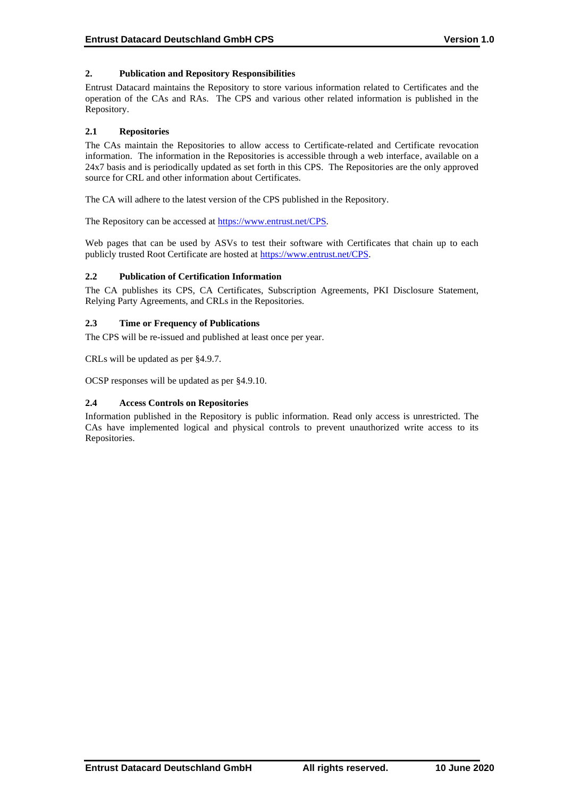## **2. Publication and Repository Responsibilities**

Entrust Datacard maintains the Repository to store various information related to Certificates and the operation of the CAs and RAs. The CPS and various other related information is published in the Repository.

## **2.1 Repositories**

The CAs maintain the Repositories to allow access to Certificate-related and Certificate revocation information. The information in the Repositories is accessible through a web interface, available on a 24x7 basis and is periodically updated as set forth in this CPS. The Repositories are the only approved source for CRL and other information about Certificates.

The CA will adhere to the latest version of the CPS published in the Repository.

The Repository can be accessed at [https://www.entrust.net/CPS.](https://www.entrust.net/CPS)

Web pages that can be used by ASVs to test their software with Certificates that chain up to each publicly trusted Root Certificate are hosted a[t https://www.entrust.net/CPS.](https://www.entrust.net/CPS)

## **2.2 Publication of Certification Information**

The CA publishes its CPS, CA Certificates, Subscription Agreements, PKI Disclosure Statement, Relying Party Agreements, and CRLs in the Repositories.

## **2.3 Time or Frequency of Publications**

The CPS will be re-issued and published at least once per year.

CRLs will be updated as per §4.9.7.

OCSP responses will be updated as per §4.9.10.

#### **2.4 Access Controls on Repositories**

Information published in the Repository is public information. Read only access is unrestricted. The CAs have implemented logical and physical controls to prevent unauthorized write access to its Repositories.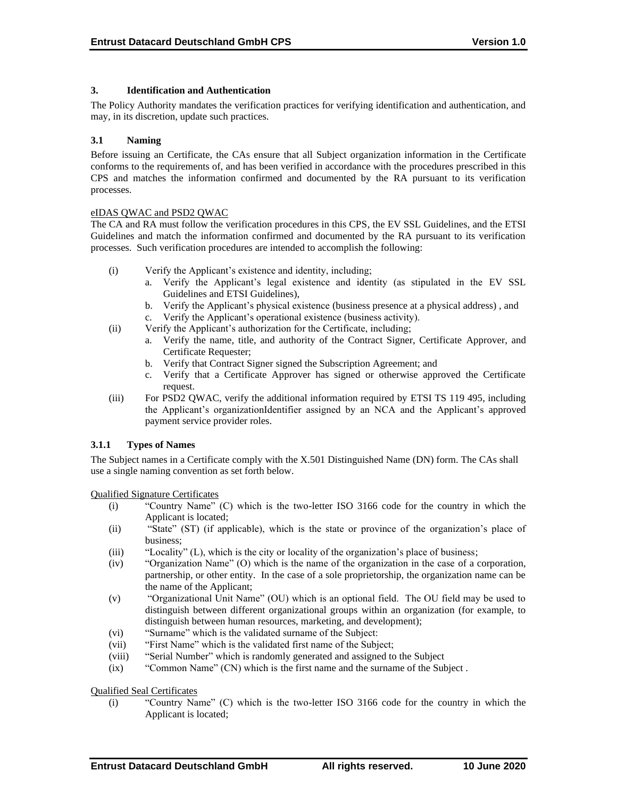## **3. Identification and Authentication**

The Policy Authority mandates the verification practices for verifying identification and authentication, and may, in its discretion, update such practices.

#### **3.1 Naming**

Before issuing an Certificate, the CAs ensure that all Subject organization information in the Certificate conforms to the requirements of, and has been verified in accordance with the procedures prescribed in this CPS and matches the information confirmed and documented by the RA pursuant to its verification processes.

## eIDAS QWAC and PSD2 QWAC

The CA and RA must follow the verification procedures in this CPS, the EV SSL Guidelines, and the ETSI Guidelines and match the information confirmed and documented by the RA pursuant to its verification processes. Such verification procedures are intended to accomplish the following:

- (i) Verify the Applicant's existence and identity, including;
	- a. Verify the Applicant's legal existence and identity (as stipulated in the EV SSL Guidelines and ETSI Guidelines),
	- b. Verify the Applicant's physical existence (business presence at a physical address) , and c. Verify the Applicant's operational existence (business activity).
- (ii) Verify the Applicant's authorization for the Certificate, including;
	- a. Verify the name, title, and authority of the Contract Signer, Certificate Approver, and Certificate Requester;
	- b. Verify that Contract Signer signed the Subscription Agreement; and
	- c. Verify that a Certificate Approver has signed or otherwise approved the Certificate request.
- (iii) For PSD2 QWAC, verify the additional information required by ETSI TS 119 495, including the Applicant's organizationIdentifier assigned by an NCA and the Applicant's approved payment service provider roles.

## **3.1.1 Types of Names**

The Subject names in a Certificate comply with the X.501 Distinguished Name (DN) form. The CAs shall use a single naming convention as set forth below.

Qualified Signature Certificates

- (i) "Country Name" (C) which is the two-letter ISO 3166 code for the country in which the Applicant is located;
- (ii) "State" (ST) (if applicable), which is the state or province of the organization's place of business;
- (iii) "Locality" (L), which is the city or locality of the organization's place of business;
- (iv) "Organization Name" (O) which is the name of the organization in the case of a corporation, partnership, or other entity. In the case of a sole proprietorship, the organization name can be the name of the Applicant;
- (v) "Organizational Unit Name" (OU) which is an optional field. The OU field may be used to distinguish between different organizational groups within an organization (for example, to distinguish between human resources, marketing, and development);
- (vi) "Surname" which is the validated surname of the Subject:
- (vii) "First Name" which is the validated first name of the Subject;
- (viii) "Serial Number" which is randomly generated and assigned to the Subject
- (ix) "Common Name" (CN) which is the first name and the surname of the Subject .

Qualified Seal Certificates

(i) "Country Name" (C) which is the two-letter ISO 3166 code for the country in which the Applicant is located;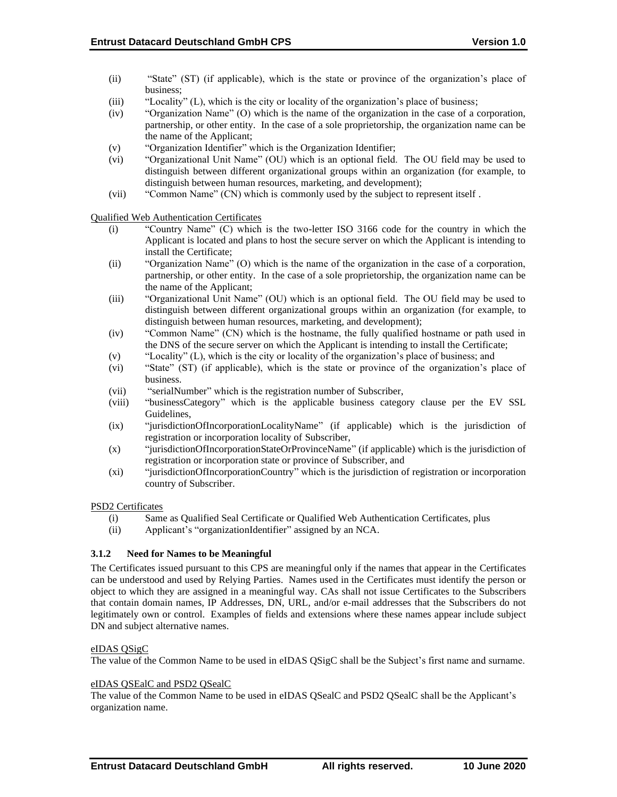- (ii) "State" (ST) (if applicable), which is the state or province of the organization's place of business;
- (iii) "Locality" (L), which is the city or locality of the organization's place of business;
- (iv) "Organization Name" (O) which is the name of the organization in the case of a corporation, partnership, or other entity. In the case of a sole proprietorship, the organization name can be the name of the Applicant;
- (v) "Organization Identifier" which is the Organization Identifier;
- (vi) "Organizational Unit Name" (OU) which is an optional field. The OU field may be used to distinguish between different organizational groups within an organization (for example, to distinguish between human resources, marketing, and development);
- (vii) "Common Name" (CN) which is commonly used by the subject to represent itself .

Qualified Web Authentication Certificates

- (i) "Country Name" (C) which is the two-letter ISO 3166 code for the country in which the Applicant is located and plans to host the secure server on which the Applicant is intending to install the Certificate;
- (ii) "Organization Name" (O) which is the name of the organization in the case of a corporation, partnership, or other entity. In the case of a sole proprietorship, the organization name can be the name of the Applicant;
- (iii) "Organizational Unit Name" (OU) which is an optional field. The OU field may be used to distinguish between different organizational groups within an organization (for example, to distinguish between human resources, marketing, and development);
- (iv) "Common Name" (CN) which is the hostname, the fully qualified hostname or path used in the DNS of the secure server on which the Applicant is intending to install the Certificate;
- (v) "Locality" (L), which is the city or locality of the organization's place of business; and
- (vi) "State" (ST) (if applicable), which is the state or province of the organization's place of business.
- (vii) "serialNumber" which is the registration number of Subscriber,
- (viii) "businessCategory" which is the applicable business category clause per the EV SSL Guidelines,
- (ix) "jurisdictionOfIncorporationLocalityName" (if applicable) which is the jurisdiction of registration or incorporation locality of Subscriber,
- (x) "jurisdictionOfIncorporationStateOrProvinceName" (if applicable) which is the jurisdiction of registration or incorporation state or province of Subscriber, and
- (xi) "jurisdictionOfIncorporationCountry" which is the jurisdiction of registration or incorporation country of Subscriber.

#### PSD2 Certificates

- (i) Same as Qualified Seal Certificate or Qualified Web Authentication Certificates, plus
- (ii) Applicant's "organizationIdentifier" assigned by an NCA.

## **3.1.2 Need for Names to be Meaningful**

The Certificates issued pursuant to this CPS are meaningful only if the names that appear in the Certificates can be understood and used by Relying Parties. Names used in the Certificates must identify the person or object to which they are assigned in a meaningful way. CAs shall not issue Certificates to the Subscribers that contain domain names, IP Addresses, DN, URL, and/or e-mail addresses that the Subscribers do not legitimately own or control. Examples of fields and extensions where these names appear include subject DN and subject alternative names.

## eIDAS QSigC

The value of the Common Name to be used in eIDAS QSigC shall be the Subject's first name and surname.

#### eIDAS QSEalC and PSD2 QSealC

The value of the Common Name to be used in eIDAS QSealC and PSD2 QSealC shall be the Applicant's organization name.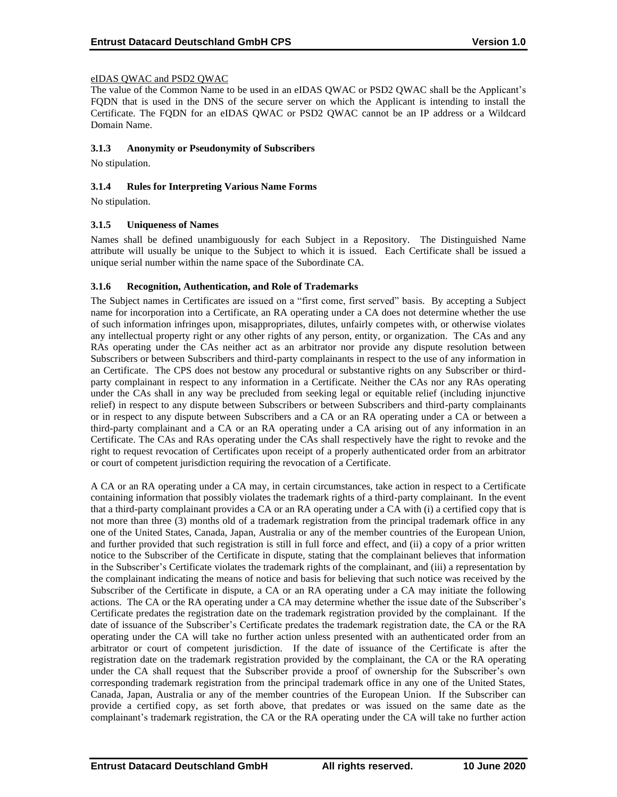## eIDAS QWAC and PSD2 QWAC

The value of the Common Name to be used in an eIDAS QWAC or PSD2 QWAC shall be the Applicant's FQDN that is used in the DNS of the secure server on which the Applicant is intending to install the Certificate. The FQDN for an eIDAS QWAC or PSD2 QWAC cannot be an IP address or a Wildcard Domain Name.

#### **3.1.3 Anonymity or Pseudonymity of Subscribers**

No stipulation.

#### **3.1.4 Rules for Interpreting Various Name Forms**

No stipulation.

## **3.1.5 Uniqueness of Names**

Names shall be defined unambiguously for each Subject in a Repository. The Distinguished Name attribute will usually be unique to the Subject to which it is issued. Each Certificate shall be issued a unique serial number within the name space of the Subordinate CA.

## **3.1.6 Recognition, Authentication, and Role of Trademarks**

The Subject names in Certificates are issued on a "first come, first served" basis. By accepting a Subject name for incorporation into a Certificate, an RA operating under a CA does not determine whether the use of such information infringes upon, misappropriates, dilutes, unfairly competes with, or otherwise violates any intellectual property right or any other rights of any person, entity, or organization. The CAs and any RAs operating under the CAs neither act as an arbitrator nor provide any dispute resolution between Subscribers or between Subscribers and third-party complainants in respect to the use of any information in an Certificate. The CPS does not bestow any procedural or substantive rights on any Subscriber or thirdparty complainant in respect to any information in a Certificate. Neither the CAs nor any RAs operating under the CAs shall in any way be precluded from seeking legal or equitable relief (including injunctive relief) in respect to any dispute between Subscribers or between Subscribers and third-party complainants or in respect to any dispute between Subscribers and a CA or an RA operating under a CA or between a third-party complainant and a CA or an RA operating under a CA arising out of any information in an Certificate. The CAs and RAs operating under the CAs shall respectively have the right to revoke and the right to request revocation of Certificates upon receipt of a properly authenticated order from an arbitrator or court of competent jurisdiction requiring the revocation of a Certificate.

A CA or an RA operating under a CA may, in certain circumstances, take action in respect to a Certificate containing information that possibly violates the trademark rights of a third-party complainant. In the event that a third-party complainant provides a CA or an RA operating under a CA with (i) a certified copy that is not more than three (3) months old of a trademark registration from the principal trademark office in any one of the United States, Canada, Japan, Australia or any of the member countries of the European Union, and further provided that such registration is still in full force and effect, and (ii) a copy of a prior written notice to the Subscriber of the Certificate in dispute, stating that the complainant believes that information in the Subscriber's Certificate violates the trademark rights of the complainant, and (iii) a representation by the complainant indicating the means of notice and basis for believing that such notice was received by the Subscriber of the Certificate in dispute, a CA or an RA operating under a CA may initiate the following actions. The CA or the RA operating under a CA may determine whether the issue date of the Subscriber's Certificate predates the registration date on the trademark registration provided by the complainant. If the date of issuance of the Subscriber's Certificate predates the trademark registration date, the CA or the RA operating under the CA will take no further action unless presented with an authenticated order from an arbitrator or court of competent jurisdiction. If the date of issuance of the Certificate is after the registration date on the trademark registration provided by the complainant, the CA or the RA operating under the CA shall request that the Subscriber provide a proof of ownership for the Subscriber's own corresponding trademark registration from the principal trademark office in any one of the United States, Canada, Japan, Australia or any of the member countries of the European Union. If the Subscriber can provide a certified copy, as set forth above, that predates or was issued on the same date as the complainant's trademark registration, the CA or the RA operating under the CA will take no further action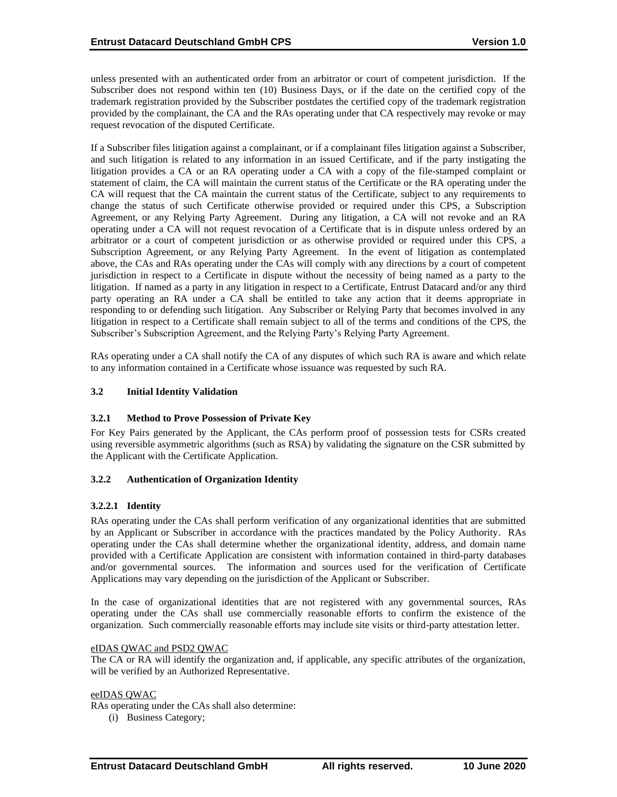unless presented with an authenticated order from an arbitrator or court of competent jurisdiction. If the Subscriber does not respond within ten (10) Business Days, or if the date on the certified copy of the trademark registration provided by the Subscriber postdates the certified copy of the trademark registration provided by the complainant, the CA and the RAs operating under that CA respectively may revoke or may request revocation of the disputed Certificate.

If a Subscriber files litigation against a complainant, or if a complainant files litigation against a Subscriber, and such litigation is related to any information in an issued Certificate, and if the party instigating the litigation provides a CA or an RA operating under a CA with a copy of the file-stamped complaint or statement of claim, the CA will maintain the current status of the Certificate or the RA operating under the CA will request that the CA maintain the current status of the Certificate, subject to any requirements to change the status of such Certificate otherwise provided or required under this CPS, a Subscription Agreement, or any Relying Party Agreement. During any litigation, a CA will not revoke and an RA operating under a CA will not request revocation of a Certificate that is in dispute unless ordered by an arbitrator or a court of competent jurisdiction or as otherwise provided or required under this CPS, a Subscription Agreement, or any Relying Party Agreement. In the event of litigation as contemplated above, the CAs and RAs operating under the CAs will comply with any directions by a court of competent jurisdiction in respect to a Certificate in dispute without the necessity of being named as a party to the litigation. If named as a party in any litigation in respect to a Certificate, Entrust Datacard and/or any third party operating an RA under a CA shall be entitled to take any action that it deems appropriate in responding to or defending such litigation. Any Subscriber or Relying Party that becomes involved in any litigation in respect to a Certificate shall remain subject to all of the terms and conditions of the CPS, the Subscriber's Subscription Agreement, and the Relying Party's Relying Party Agreement.

RAs operating under a CA shall notify the CA of any disputes of which such RA is aware and which relate to any information contained in a Certificate whose issuance was requested by such RA.

## **3.2 Initial Identity Validation**

## **3.2.1 Method to Prove Possession of Private Key**

For Key Pairs generated by the Applicant, the CAs perform proof of possession tests for CSRs created using reversible asymmetric algorithms (such as RSA) by validating the signature on the CSR submitted by the Applicant with the Certificate Application.

#### **3.2.2 Authentication of Organization Identity**

## **3.2.2.1 Identity**

RAs operating under the CAs shall perform verification of any organizational identities that are submitted by an Applicant or Subscriber in accordance with the practices mandated by the Policy Authority. RAs operating under the CAs shall determine whether the organizational identity, address, and domain name provided with a Certificate Application are consistent with information contained in third-party databases and/or governmental sources. The information and sources used for the verification of Certificate Applications may vary depending on the jurisdiction of the Applicant or Subscriber.

In the case of organizational identities that are not registered with any governmental sources, RAs operating under the CAs shall use commercially reasonable efforts to confirm the existence of the organization. Such commercially reasonable efforts may include site visits or third-party attestation letter.

#### eIDAS QWAC and PSD2 QWAC

The CA or RA will identify the organization and, if applicable, any specific attributes of the organization, will be verified by an Authorized Representative.

#### eeIDAS QWAC

RAs operating under the CAs shall also determine:

(i) Business Category;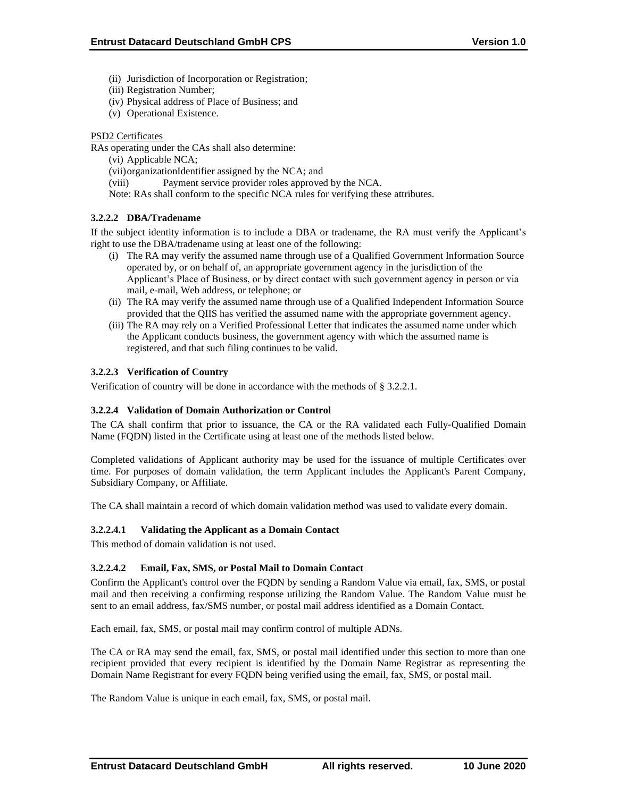- (ii) Jurisdiction of Incorporation or Registration;
- (iii) Registration Number;
- (iv) Physical address of Place of Business; and
- (v) Operational Existence.

## PSD2 Certificates

RAs operating under the CAs shall also determine:

- (vi) Applicable NCA;
- (vii)organizationIdentifier assigned by the NCA; and
- (viii) Payment service provider roles approved by the NCA.
- Note: RAs shall conform to the specific NCA rules for verifying these attributes.

## **3.2.2.2 DBA/Tradename**

If the subject identity information is to include a DBA or tradename, the RA must verify the Applicant's right to use the DBA/tradename using at least one of the following:

- (i) The RA may verify the assumed name through use of a Qualified Government Information Source operated by, or on behalf of, an appropriate government agency in the jurisdiction of the Applicant's Place of Business, or by direct contact with such government agency in person or via mail, e-mail, Web address, or telephone; or
- (ii) The RA may verify the assumed name through use of a Qualified Independent Information Source provided that the QIIS has verified the assumed name with the appropriate government agency.
- (iii) The RA may rely on a Verified Professional Letter that indicates the assumed name under which the Applicant conducts business, the government agency with which the assumed name is registered, and that such filing continues to be valid.

## **3.2.2.3 Verification of Country**

Verification of country will be done in accordance with the methods of § 3.2.2.1.

## **3.2.2.4 Validation of Domain Authorization or Control**

The CA shall confirm that prior to issuance, the CA or the RA validated each Fully‐Qualified Domain Name (FQDN) listed in the Certificate using at least one of the methods listed below.

Completed validations of Applicant authority may be used for the issuance of multiple Certificates over time. For purposes of domain validation, the term Applicant includes the Applicant's Parent Company, Subsidiary Company, or Affiliate.

The CA shall maintain a record of which domain validation method was used to validate every domain.

## **3.2.2.4.1 Validating the Applicant as a Domain Contact**

This method of domain validation is not used.

## **3.2.2.4.2 Email, Fax, SMS, or Postal Mail to Domain Contact**

Confirm the Applicant's control over the FQDN by sending a Random Value via email, fax, SMS, or postal mail and then receiving a confirming response utilizing the Random Value. The Random Value must be sent to an email address, fax/SMS number, or postal mail address identified as a Domain Contact.

Each email, fax, SMS, or postal mail may confirm control of multiple ADNs.

The CA or RA may send the email, fax, SMS, or postal mail identified under this section to more than one recipient provided that every recipient is identified by the Domain Name Registrar as representing the Domain Name Registrant for every FQDN being verified using the email, fax, SMS, or postal mail.

The Random Value is unique in each email, fax, SMS, or postal mail.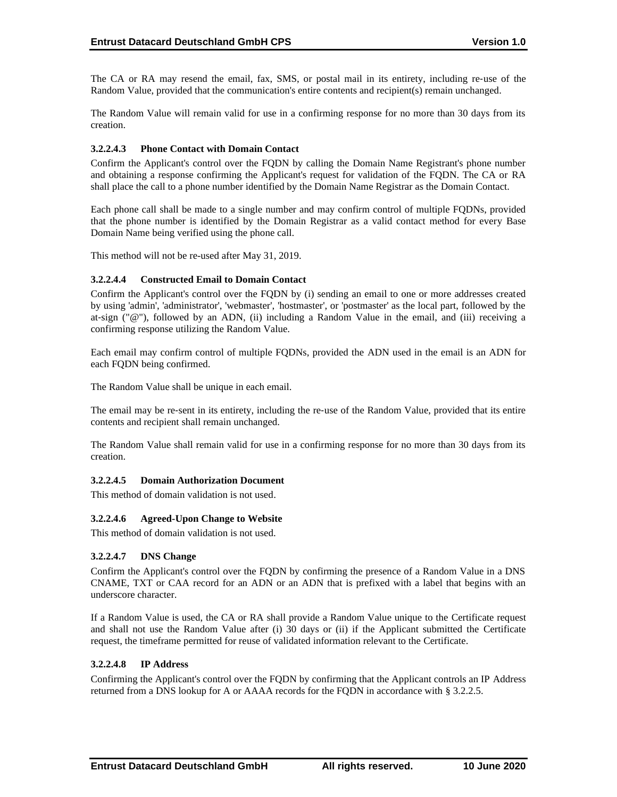The CA or RA may resend the email, fax, SMS, or postal mail in its entirety, including re‐use of the Random Value, provided that the communication's entire contents and recipient(s) remain unchanged.

The Random Value will remain valid for use in a confirming response for no more than 30 days from its creation.

#### **3.2.2.4.3 Phone Contact with Domain Contact**

Confirm the Applicant's control over the FQDN by calling the Domain Name Registrant's phone number and obtaining a response confirming the Applicant's request for validation of the FQDN. The CA or RA shall place the call to a phone number identified by the Domain Name Registrar as the Domain Contact.

Each phone call shall be made to a single number and may confirm control of multiple FQDNs, provided that the phone number is identified by the Domain Registrar as a valid contact method for every Base Domain Name being verified using the phone call.

This method will not be re-used after May 31, 2019.

## **3.2.2.4.4 Constructed Email to Domain Contact**

Confirm the Applicant's control over the FQDN by (i) sending an email to one or more addresses created by using 'admin', 'administrator', 'webmaster', 'hostmaster', or 'postmaster' as the local part, followed by the at-sign (" $@$ "), followed by an ADN, (ii) including a Random Value in the email, and (iii) receiving a confirming response utilizing the Random Value.

Each email may confirm control of multiple FQDNs, provided the ADN used in the email is an ADN for each FQDN being confirmed.

The Random Value shall be unique in each email.

The email may be re-sent in its entirety, including the re-use of the Random Value, provided that its entire contents and recipient shall remain unchanged.

The Random Value shall remain valid for use in a confirming response for no more than 30 days from its creation.

#### **3.2.2.4.5 Domain Authorization Document**

This method of domain validation is not used.

#### **3.2.2.4.6 Agreed-Upon Change to Website**

This method of domain validation is not used.

#### **3.2.2.4.7 DNS Change**

Confirm the Applicant's control over the FQDN by confirming the presence of a Random Value in a DNS CNAME, TXT or CAA record for an ADN or an ADN that is prefixed with a label that begins with an underscore character.

If a Random Value is used, the CA or RA shall provide a Random Value unique to the Certificate request and shall not use the Random Value after (i) 30 days or (ii) if the Applicant submitted the Certificate request, the timeframe permitted for reuse of validated information relevant to the Certificate.

#### **3.2.2.4.8 IP Address**

Confirming the Applicant's control over the FQDN by confirming that the Applicant controls an IP Address returned from a DNS lookup for A or AAAA records for the FQDN in accordance with § 3.2.2.5.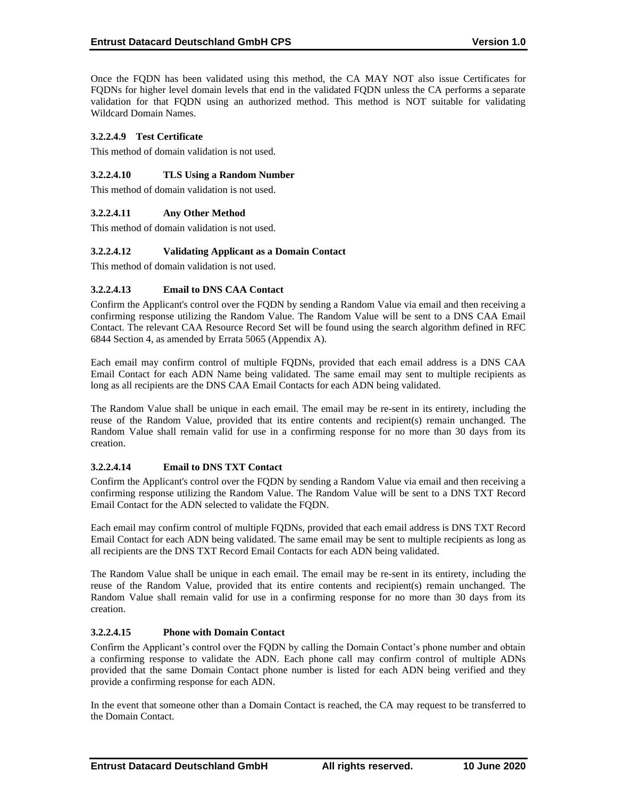Once the FQDN has been validated using this method, the CA MAY NOT also issue Certificates for FODNs for higher level domain levels that end in the validated FODN unless the CA performs a separate validation for that FQDN using an authorized method. This method is NOT suitable for validating Wildcard Domain Names.

## **3.2.2.4.9 Test Certificate**

This method of domain validation is not used.

## **3.2.2.4.10 TLS Using a Random Number**

This method of domain validation is not used.

## **3.2.2.4.11 Any Other Method**

This method of domain validation is not used.

## **3.2.2.4.12 Validating Applicant as a Domain Contact**

This method of domain validation is not used.

## **3.2.2.4.13 Email to DNS CAA Contact**

Confirm the Applicant's control over the FQDN by sending a Random Value via email and then receiving a confirming response utilizing the Random Value. The Random Value will be sent to a DNS CAA Email Contact. The relevant CAA Resource Record Set will be found using the search algorithm defined in RFC 6844 Section 4, as amended by Errata 5065 (Appendix A).

Each email may confirm control of multiple FQDNs, provided that each email address is a DNS CAA Email Contact for each ADN Name being validated. The same email may sent to multiple recipients as long as all recipients are the DNS CAA Email Contacts for each ADN being validated.

The Random Value shall be unique in each email. The email may be re-sent in its entirety, including the reuse of the Random Value, provided that its entire contents and recipient(s) remain unchanged. The Random Value shall remain valid for use in a confirming response for no more than 30 days from its creation.

#### **3.2.2.4.14 Email to DNS TXT Contact**

Confirm the Applicant's control over the FQDN by sending a Random Value via email and then receiving a confirming response utilizing the Random Value. The Random Value will be sent to a DNS TXT Record Email Contact for the ADN selected to validate the FQDN.

Each email may confirm control of multiple FQDNs, provided that each email address is DNS TXT Record Email Contact for each ADN being validated. The same email may be sent to multiple recipients as long as all recipients are the DNS TXT Record Email Contacts for each ADN being validated.

The Random Value shall be unique in each email. The email may be re-sent in its entirety, including the reuse of the Random Value, provided that its entire contents and recipient(s) remain unchanged. The Random Value shall remain valid for use in a confirming response for no more than 30 days from its creation.

#### **3.2.2.4.15 Phone with Domain Contact**

Confirm the Applicant's control over the FQDN by calling the Domain Contact's phone number and obtain a confirming response to validate the ADN. Each phone call may confirm control of multiple ADNs provided that the same Domain Contact phone number is listed for each ADN being verified and they provide a confirming response for each ADN.

In the event that someone other than a Domain Contact is reached, the CA may request to be transferred to the Domain Contact.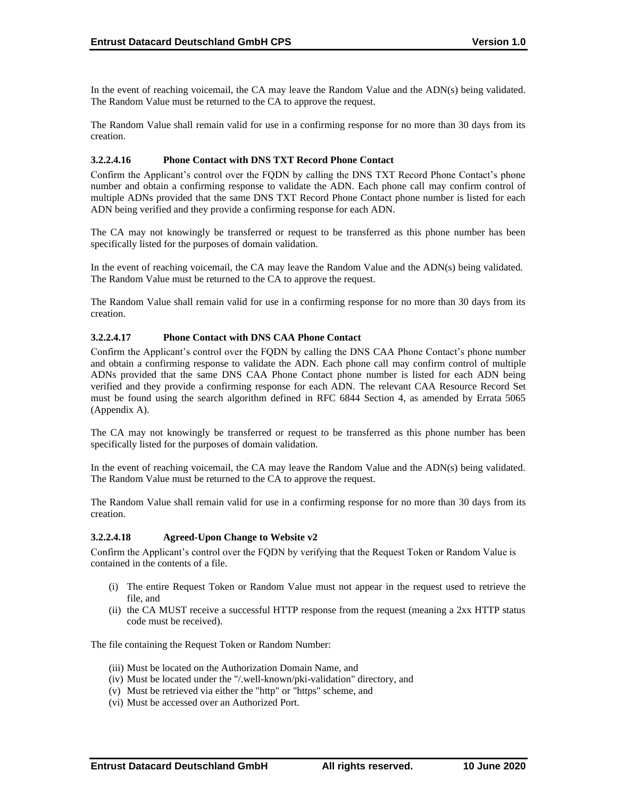In the event of reaching voicemail, the CA may leave the Random Value and the ADN(s) being validated. The Random Value must be returned to the CA to approve the request.

The Random Value shall remain valid for use in a confirming response for no more than 30 days from its creation.

#### **3.2.2.4.16 Phone Contact with DNS TXT Record Phone Contact**

Confirm the Applicant's control over the FQDN by calling the DNS TXT Record Phone Contact's phone number and obtain a confirming response to validate the ADN. Each phone call may confirm control of multiple ADNs provided that the same DNS TXT Record Phone Contact phone number is listed for each ADN being verified and they provide a confirming response for each ADN.

The CA may not knowingly be transferred or request to be transferred as this phone number has been specifically listed for the purposes of domain validation.

In the event of reaching voicemail, the CA may leave the Random Value and the ADN(s) being validated. The Random Value must be returned to the CA to approve the request.

The Random Value shall remain valid for use in a confirming response for no more than 30 days from its creation.

## **3.2.2.4.17 Phone Contact with DNS CAA Phone Contact**

Confirm the Applicant's control over the FQDN by calling the DNS CAA Phone Contact's phone number and obtain a confirming response to validate the ADN. Each phone call may confirm control of multiple ADNs provided that the same DNS CAA Phone Contact phone number is listed for each ADN being verified and they provide a confirming response for each ADN. The relevant CAA Resource Record Set must be found using the search algorithm defined in RFC 6844 Section 4, as amended by Errata 5065 (Appendix A).

The CA may not knowingly be transferred or request to be transferred as this phone number has been specifically listed for the purposes of domain validation.

In the event of reaching voicemail, the CA may leave the Random Value and the ADN(s) being validated. The Random Value must be returned to the CA to approve the request.

The Random Value shall remain valid for use in a confirming response for no more than 30 days from its creation.

#### **3.2.2.4.18 Agreed-Upon Change to Website v2**

Confirm the Applicant's control over the FQDN by verifying that the Request Token or Random Value is contained in the contents of a file.

- (i) The entire Request Token or Random Value must not appear in the request used to retrieve the file, and
- (ii) the CA MUST receive a successful HTTP response from the request (meaning a 2xx HTTP status code must be received).

The file containing the Request Token or Random Number:

- (iii) Must be located on the Authorization Domain Name, and
- (iv) Must be located under the "/.well-known/pki-validation" directory, and
- (v) Must be retrieved via either the "http" or "https" scheme, and
- (vi) Must be accessed over an Authorized Port.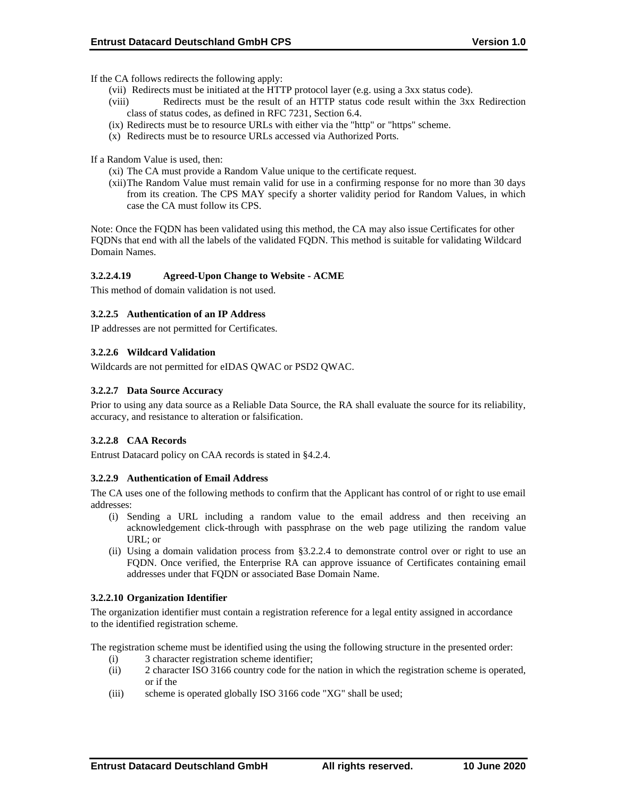If the CA follows redirects the following apply:

- (vii) Redirects must be initiated at the HTTP protocol layer (e.g. using a 3xx status code).
- (viii) Redirects must be the result of an HTTP status code result within the 3xx Redirection class of status codes, as defined in RFC 7231, Section 6.4.
- (ix) Redirects must be to resource URLs with either via the "http" or "https" scheme.
- (x) Redirects must be to resource URLs accessed via Authorized Ports.

If a Random Value is used, then:

- (xi) The CA must provide a Random Value unique to the certificate request.
- (xii)The Random Value must remain valid for use in a confirming response for no more than 30 days from its creation. The CPS MAY specify a shorter validity period for Random Values, in which case the CA must follow its CPS.

Note: Once the FQDN has been validated using this method, the CA may also issue Certificates for other FQDNs that end with all the labels of the validated FQDN. This method is suitable for validating Wildcard Domain Names.

## **3.2.2.4.19 Agreed-Upon Change to Website - ACME**

This method of domain validation is not used.

## **3.2.2.5 Authentication of an IP Address**

IP addresses are not permitted for Certificates.

#### **3.2.2.6 Wildcard Validation**

Wildcards are not permitted for eIDAS QWAC or PSD2 QWAC.

## **3.2.2.7 Data Source Accuracy**

Prior to using any data source as a Reliable Data Source, the RA shall evaluate the source for its reliability, accuracy, and resistance to alteration or falsification.

## **3.2.2.8 CAA Records**

Entrust Datacard policy on CAA records is stated in §4.2.4.

#### **3.2.2.9 Authentication of Email Address**

The CA uses one of the following methods to confirm that the Applicant has control of or right to use email addresses:

- (i) Sending a URL including a random value to the email address and then receiving an acknowledgement click-through with passphrase on the web page utilizing the random value URL; or
- (ii) Using a domain validation process from §3.2.2.4 to demonstrate control over or right to use an FQDN. Once verified, the Enterprise RA can approve issuance of Certificates containing email addresses under that FQDN or associated Base Domain Name.

#### **3.2.2.10 Organization Identifier**

The organization identifier must contain a registration reference for a legal entity assigned in accordance to the identified registration scheme.

The registration scheme must be identified using the using the following structure in the presented order:

- (i) 3 character registration scheme identifier;
- (ii) 2 character ISO 3166 country code for the nation in which the registration scheme is operated, or if the
- (iii) scheme is operated globally ISO 3166 code "XG" shall be used;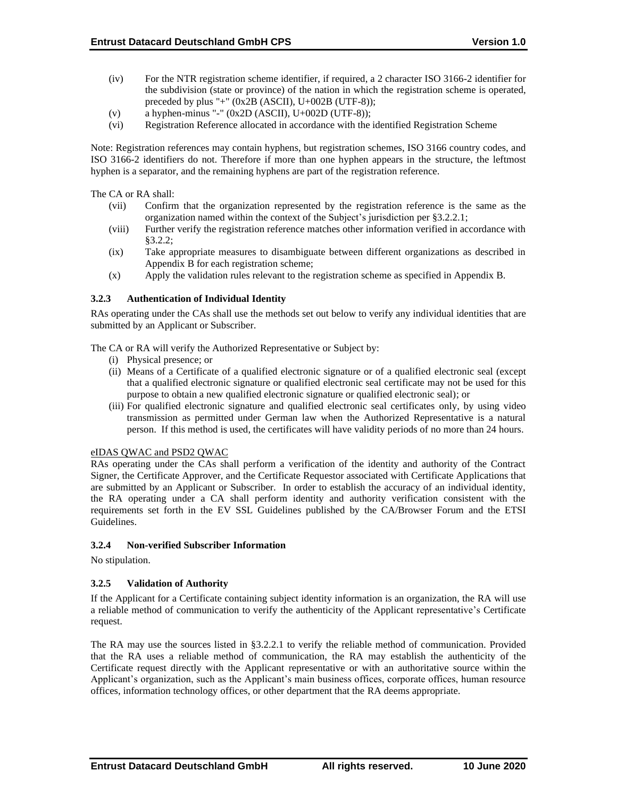- (iv) For the NTR registration scheme identifier, if required, a 2 character ISO 3166-2 identifier for the subdivision (state or province) of the nation in which the registration scheme is operated, preceded by plus "+"  $(0x2B (ASCII), U+002B (UTF-8));$
- (v) a hyphen-minus "-"  $(0x2D (ASCII), U+002D (UTF-8));$
- (vi) Registration Reference allocated in accordance with the identified Registration Scheme

Note: Registration references may contain hyphens, but registration schemes, ISO 3166 country codes, and ISO 3166-2 identifiers do not. Therefore if more than one hyphen appears in the structure, the leftmost hyphen is a separator, and the remaining hyphens are part of the registration reference.

The CA or RA shall:

- (vii) Confirm that the organization represented by the registration reference is the same as the organization named within the context of the Subject's jurisdiction per §3.2.2.1;
- (viii) Further verify the registration reference matches other information verified in accordance with §3.2.2;
- (ix) Take appropriate measures to disambiguate between different organizations as described in Appendix B for each registration scheme;
- (x) Apply the validation rules relevant to the registration scheme as specified in Appendix B.

#### **3.2.3 Authentication of Individual Identity**

RAs operating under the CAs shall use the methods set out below to verify any individual identities that are submitted by an Applicant or Subscriber.

The CA or RA will verify the Authorized Representative or Subject by:

- (i) Physical presence; or
- (ii) Means of a Certificate of a qualified electronic signature or of a qualified electronic seal (except that a qualified electronic signature or qualified electronic seal certificate may not be used for this purpose to obtain a new qualified electronic signature or qualified electronic seal); or
- (iii) For qualified electronic signature and qualified electronic seal certificates only, by using video transmission as permitted under German law when the Authorized Representative is a natural person. If this method is used, the certificates will have validity periods of no more than 24 hours.

#### eIDAS QWAC and PSD2 QWAC

RAs operating under the CAs shall perform a verification of the identity and authority of the Contract Signer, the Certificate Approver, and the Certificate Requestor associated with Certificate Applications that are submitted by an Applicant or Subscriber. In order to establish the accuracy of an individual identity, the RA operating under a CA shall perform identity and authority verification consistent with the requirements set forth in the EV SSL Guidelines published by the CA/Browser Forum and the ETSI Guidelines.

#### **3.2.4 Non-verified Subscriber Information**

No stipulation.

#### **3.2.5 Validation of Authority**

If the Applicant for a Certificate containing subject identity information is an organization, the RA will use a reliable method of communication to verify the authenticity of the Applicant representative's Certificate request.

The RA may use the sources listed in §3.2.2.1 to verify the reliable method of communication. Provided that the RA uses a reliable method of communication, the RA may establish the authenticity of the Certificate request directly with the Applicant representative or with an authoritative source within the Applicant's organization, such as the Applicant's main business offices, corporate offices, human resource offices, information technology offices, or other department that the RA deems appropriate.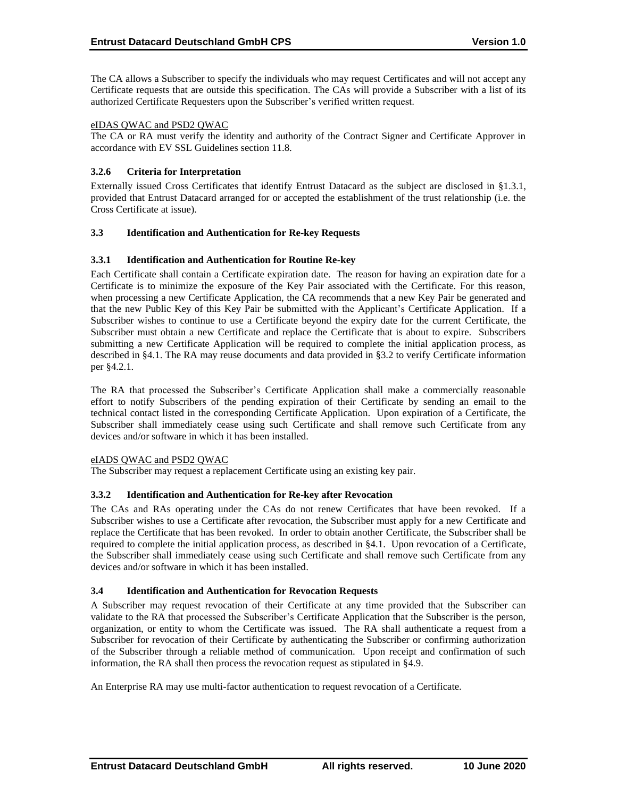The CA allows a Subscriber to specify the individuals who may request Certificates and will not accept any Certificate requests that are outside this specification. The CAs will provide a Subscriber with a list of its authorized Certificate Requesters upon the Subscriber's verified written request.

## eIDAS QWAC and PSD2 QWAC

The CA or RA must verify the identity and authority of the Contract Signer and Certificate Approver in accordance with EV SSL Guidelines section 11.8.

## **3.2.6 Criteria for Interpretation**

Externally issued Cross Certificates that identify Entrust Datacard as the subject are disclosed in §1.3.1, provided that Entrust Datacard arranged for or accepted the establishment of the trust relationship (i.e. the Cross Certificate at issue).

## **3.3 Identification and Authentication for Re-key Requests**

## **3.3.1 Identification and Authentication for Routine Re-key**

Each Certificate shall contain a Certificate expiration date. The reason for having an expiration date for a Certificate is to minimize the exposure of the Key Pair associated with the Certificate. For this reason, when processing a new Certificate Application, the CA recommends that a new Key Pair be generated and that the new Public Key of this Key Pair be submitted with the Applicant's Certificate Application. If a Subscriber wishes to continue to use a Certificate beyond the expiry date for the current Certificate, the Subscriber must obtain a new Certificate and replace the Certificate that is about to expire. Subscribers submitting a new Certificate Application will be required to complete the initial application process, as described in §4.1. The RA may reuse documents and data provided in §3.2 to verify Certificate information per §4.2.1.

The RA that processed the Subscriber's Certificate Application shall make a commercially reasonable effort to notify Subscribers of the pending expiration of their Certificate by sending an email to the technical contact listed in the corresponding Certificate Application. Upon expiration of a Certificate, the Subscriber shall immediately cease using such Certificate and shall remove such Certificate from any devices and/or software in which it has been installed.

#### eIADS QWAC and PSD2 QWAC

The Subscriber may request a replacement Certificate using an existing key pair.

#### **3.3.2 Identification and Authentication for Re-key after Revocation**

The CAs and RAs operating under the CAs do not renew Certificates that have been revoked. If a Subscriber wishes to use a Certificate after revocation, the Subscriber must apply for a new Certificate and replace the Certificate that has been revoked. In order to obtain another Certificate, the Subscriber shall be required to complete the initial application process, as described in §4.1. Upon revocation of a Certificate, the Subscriber shall immediately cease using such Certificate and shall remove such Certificate from any devices and/or software in which it has been installed.

#### **3.4 Identification and Authentication for Revocation Requests**

A Subscriber may request revocation of their Certificate at any time provided that the Subscriber can validate to the RA that processed the Subscriber's Certificate Application that the Subscriber is the person, organization, or entity to whom the Certificate was issued. The RA shall authenticate a request from a Subscriber for revocation of their Certificate by authenticating the Subscriber or confirming authorization of the Subscriber through a reliable method of communication. Upon receipt and confirmation of such information, the RA shall then process the revocation request as stipulated in §4.9.

An Enterprise RA may use multi-factor authentication to request revocation of a Certificate.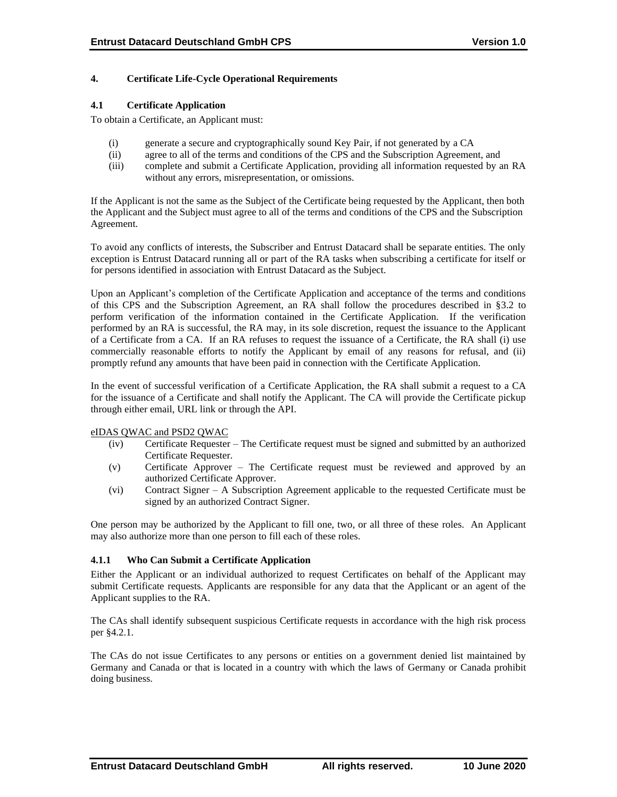#### **4. Certificate Life-Cycle Operational Requirements**

#### **4.1 Certificate Application**

To obtain a Certificate, an Applicant must:

- (i) generate a secure and cryptographically sound Key Pair, if not generated by a CA
- (ii) agree to all of the terms and conditions of the CPS and the Subscription Agreement, and
- (iii) complete and submit a Certificate Application, providing all information requested by an RA without any errors, misrepresentation, or omissions.

If the Applicant is not the same as the Subject of the Certificate being requested by the Applicant, then both the Applicant and the Subject must agree to all of the terms and conditions of the CPS and the Subscription Agreement.

To avoid any conflicts of interests, the Subscriber and Entrust Datacard shall be separate entities. The only exception is Entrust Datacard running all or part of the RA tasks when subscribing a certificate for itself or for persons identified in association with Entrust Datacard as the Subject.

Upon an Applicant's completion of the Certificate Application and acceptance of the terms and conditions of this CPS and the Subscription Agreement, an RA shall follow the procedures described in §3.2 to perform verification of the information contained in the Certificate Application. If the verification performed by an RA is successful, the RA may, in its sole discretion, request the issuance to the Applicant of a Certificate from a CA. If an RA refuses to request the issuance of a Certificate, the RA shall (i) use commercially reasonable efforts to notify the Applicant by email of any reasons for refusal, and (ii) promptly refund any amounts that have been paid in connection with the Certificate Application.

In the event of successful verification of a Certificate Application, the RA shall submit a request to a CA for the issuance of a Certificate and shall notify the Applicant. The CA will provide the Certificate pickup through either email, URL link or through the API.

#### eIDAS QWAC and PSD2 QWAC

- (iv) Certificate Requester The Certificate request must be signed and submitted by an authorized Certificate Requester.
- (v) Certificate Approver The Certificate request must be reviewed and approved by an authorized Certificate Approver.
- (vi) Contract Signer A Subscription Agreement applicable to the requested Certificate must be signed by an authorized Contract Signer.

One person may be authorized by the Applicant to fill one, two, or all three of these roles. An Applicant may also authorize more than one person to fill each of these roles.

#### **4.1.1 Who Can Submit a Certificate Application**

Either the Applicant or an individual authorized to request Certificates on behalf of the Applicant may submit Certificate requests. Applicants are responsible for any data that the Applicant or an agent of the Applicant supplies to the RA.

The CAs shall identify subsequent suspicious Certificate requests in accordance with the high risk process per §4.2.1.

The CAs do not issue Certificates to any persons or entities on a government denied list maintained by Germany and Canada or that is located in a country with which the laws of Germany or Canada prohibit doing business.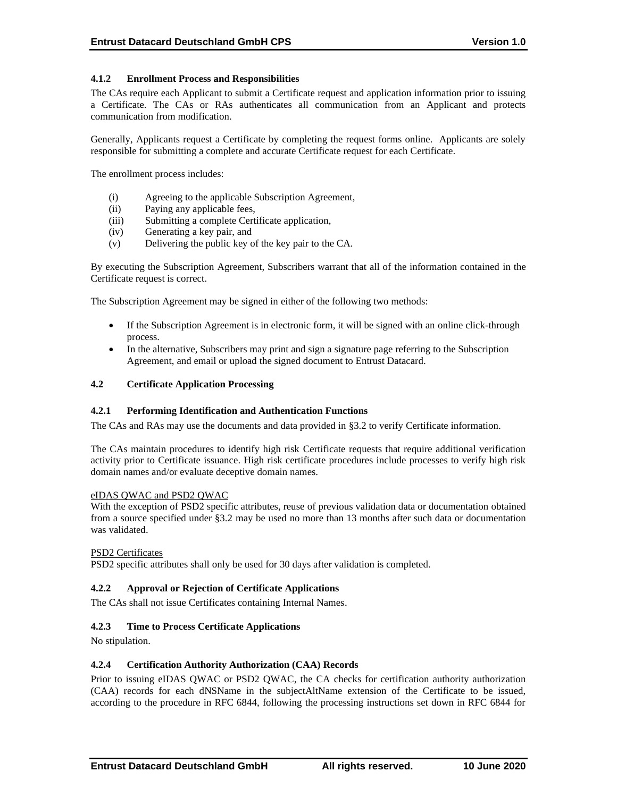## **4.1.2 Enrollment Process and Responsibilities**

The CAs require each Applicant to submit a Certificate request and application information prior to issuing a Certificate. The CAs or RAs authenticates all communication from an Applicant and protects communication from modification.

Generally, Applicants request a Certificate by completing the request forms online. Applicants are solely responsible for submitting a complete and accurate Certificate request for each Certificate.

The enrollment process includes:

- (i) Agreeing to the applicable Subscription Agreement,
- (ii) Paying any applicable fees,
- (iii) Submitting a complete Certificate application,
- (iv) Generating a key pair, and
- (v) Delivering the public key of the key pair to the CA.

By executing the Subscription Agreement, Subscribers warrant that all of the information contained in the Certificate request is correct.

The Subscription Agreement may be signed in either of the following two methods:

- If the Subscription Agreement is in electronic form, it will be signed with an online click-through process.
- In the alternative, Subscribers may print and sign a signature page referring to the Subscription Agreement, and email or upload the signed document to Entrust Datacard.

#### **4.2 Certificate Application Processing**

#### **4.2.1 Performing Identification and Authentication Functions**

The CAs and RAs may use the documents and data provided in §3.2 to verify Certificate information.

The CAs maintain procedures to identify high risk Certificate requests that require additional verification activity prior to Certificate issuance. High risk certificate procedures include processes to verify high risk domain names and/or evaluate deceptive domain names.

#### eIDAS QWAC and PSD2 QWAC

With the exception of PSD2 specific attributes, reuse of previous validation data or documentation obtained from a source specified under §3.2 may be used no more than 13 months after such data or documentation was validated.

#### PSD2 Certificates

PSD2 specific attributes shall only be used for 30 days after validation is completed.

#### **4.2.2 Approval or Rejection of Certificate Applications**

The CAs shall not issue Certificates containing Internal Names.

#### **4.2.3 Time to Process Certificate Applications**

No stipulation.

#### **4.2.4 Certification Authority Authorization (CAA) Records**

Prior to issuing eIDAS QWAC or PSD2 QWAC, the CA checks for certification authority authorization (CAA) records for each dNSName in the subjectAltName extension of the Certificate to be issued, according to the procedure in RFC 6844, following the processing instructions set down in RFC 6844 for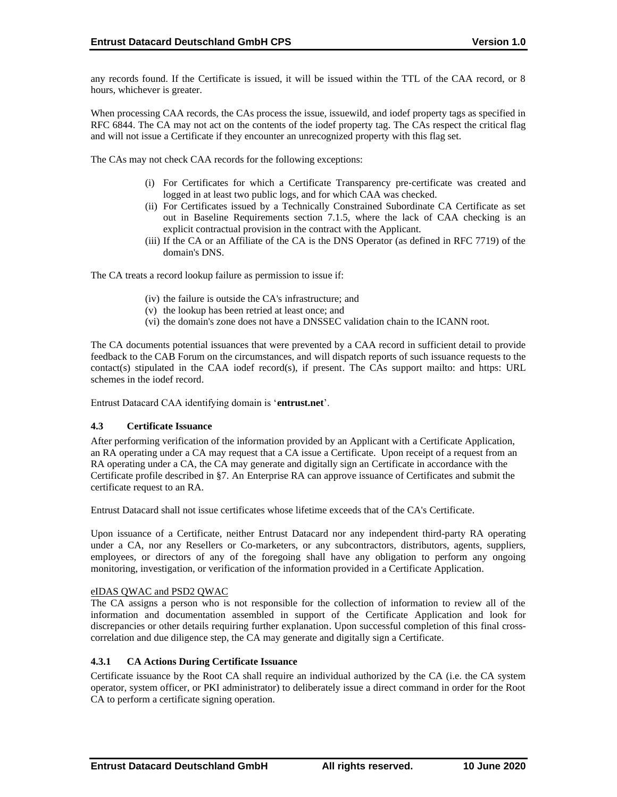any records found. If the Certificate is issued, it will be issued within the TTL of the CAA record, or 8 hours, whichever is greater.

When processing CAA records, the CAs process the issue, issuewild, and iodef property tags as specified in RFC 6844. The CA may not act on the contents of the iodef property tag. The CAs respect the critical flag and will not issue a Certificate if they encounter an unrecognized property with this flag set.

The CAs may not check CAA records for the following exceptions:

- (i) For Certificates for which a Certificate Transparency pre‐certificate was created and logged in at least two public logs, and for which CAA was checked.
- (ii) For Certificates issued by a Technically Constrained Subordinate CA Certificate as set out in Baseline Requirements section 7.1.5, where the lack of CAA checking is an explicit contractual provision in the contract with the Applicant.
- (iii) If the CA or an Affiliate of the CA is the DNS Operator (as defined in RFC 7719) of the domain's DNS.

The CA treats a record lookup failure as permission to issue if:

- (iv) the failure is outside the CA's infrastructure; and
- (v) the lookup has been retried at least once; and
- (vi) the domain's zone does not have a DNSSEC validation chain to the ICANN root.

The CA documents potential issuances that were prevented by a CAA record in sufficient detail to provide feedback to the CAB Forum on the circumstances, and will dispatch reports of such issuance requests to the contact(s) stipulated in the CAA iodef record(s), if present. The CAs support mailto: and https: URL schemes in the iodef record.

Entrust Datacard CAA identifying domain is '**entrust.net**'.

#### **4.3 Certificate Issuance**

After performing verification of the information provided by an Applicant with a Certificate Application, an RA operating under a CA may request that a CA issue a Certificate. Upon receipt of a request from an RA operating under a CA, the CA may generate and digitally sign an Certificate in accordance with the Certificate profile described in §7. An Enterprise RA can approve issuance of Certificates and submit the certificate request to an RA.

Entrust Datacard shall not issue certificates whose lifetime exceeds that of the CA's Certificate.

Upon issuance of a Certificate, neither Entrust Datacard nor any independent third-party RA operating under a CA, nor any Resellers or Co-marketers, or any subcontractors, distributors, agents, suppliers, employees, or directors of any of the foregoing shall have any obligation to perform any ongoing monitoring, investigation, or verification of the information provided in a Certificate Application.

#### eIDAS QWAC and PSD2 QWAC

The CA assigns a person who is not responsible for the collection of information to review all of the information and documentation assembled in support of the Certificate Application and look for discrepancies or other details requiring further explanation. Upon successful completion of this final crosscorrelation and due diligence step, the CA may generate and digitally sign a Certificate.

## **4.3.1 CA Actions During Certificate Issuance**

Certificate issuance by the Root CA shall require an individual authorized by the CA (i.e. the CA system operator, system officer, or PKI administrator) to deliberately issue a direct command in order for the Root CA to perform a certificate signing operation.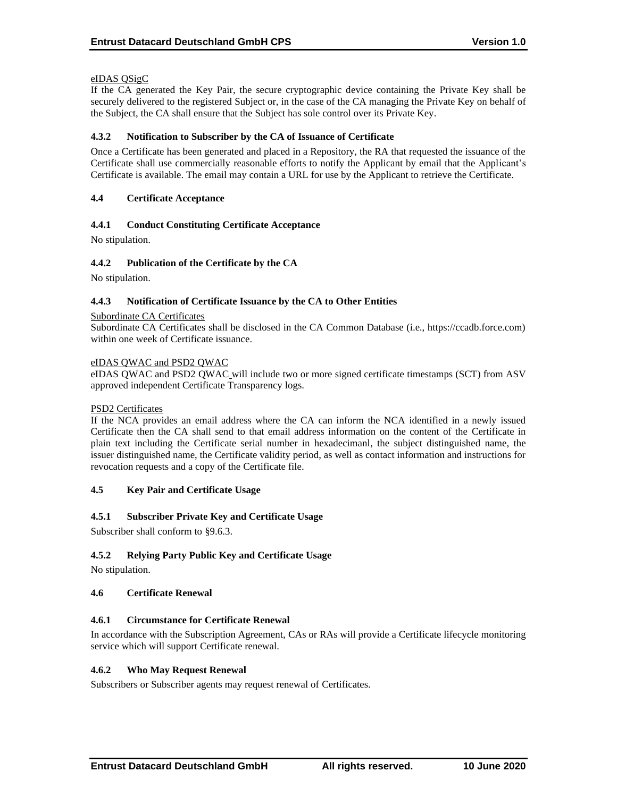## eIDAS QSigC

If the CA generated the Key Pair, the secure cryptographic device containing the Private Key shall be securely delivered to the registered Subject or, in the case of the CA managing the Private Key on behalf of the Subject, the CA shall ensure that the Subject has sole control over its Private Key.

## **4.3.2 Notification to Subscriber by the CA of Issuance of Certificate**

Once a Certificate has been generated and placed in a Repository, the RA that requested the issuance of the Certificate shall use commercially reasonable efforts to notify the Applicant by email that the Applicant's Certificate is available. The email may contain a URL for use by the Applicant to retrieve the Certificate.

## **4.4 Certificate Acceptance**

## **4.4.1 Conduct Constituting Certificate Acceptance**

No stipulation.

#### **4.4.2 Publication of the Certificate by the CA**

No stipulation.

#### **4.4.3 Notification of Certificate Issuance by the CA to Other Entities**

#### Subordinate CA Certificates

Subordinate CA Certificates shall be disclosed in the CA Common Database (i.e., https://ccadb.force.com) within one week of Certificate issuance.

#### eIDAS QWAC and PSD2 QWAC

eIDAS QWAC and PSD2 QWAC will include two or more signed certificate timestamps (SCT) from ASV approved independent Certificate Transparency logs.

#### PSD2 Certificates

If the NCA provides an email address where the CA can inform the NCA identified in a newly issued Certificate then the CA shall send to that email address information on the content of the Certificate in plain text including the Certificate serial number in hexadecimanl, the subject distinguished name, the issuer distinguished name, the Certificate validity period, as well as contact information and instructions for revocation requests and a copy of the Certificate file.

#### **4.5 Key Pair and Certificate Usage**

#### **4.5.1 Subscriber Private Key and Certificate Usage**

Subscriber shall conform to §9.6.3.

#### **4.5.2 Relying Party Public Key and Certificate Usage**

No stipulation.

#### **4.6 Certificate Renewal**

#### **4.6.1 Circumstance for Certificate Renewal**

In accordance with the Subscription Agreement, CAs or RAs will provide a Certificate lifecycle monitoring service which will support Certificate renewal.

#### **4.6.2 Who May Request Renewal**

Subscribers or Subscriber agents may request renewal of Certificates.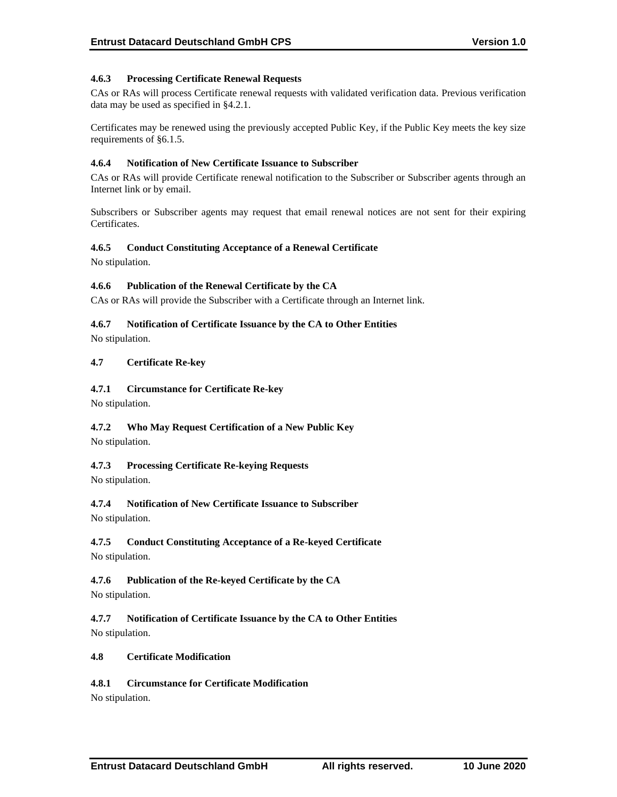## **4.6.3 Processing Certificate Renewal Requests**

CAs or RAs will process Certificate renewal requests with validated verification data. Previous verification data may be used as specified in §4.2.1.

Certificates may be renewed using the previously accepted Public Key, if the Public Key meets the key size requirements of §6.1.5.

## **4.6.4 Notification of New Certificate Issuance to Subscriber**

CAs or RAs will provide Certificate renewal notification to the Subscriber or Subscriber agents through an Internet link or by email.

Subscribers or Subscriber agents may request that email renewal notices are not sent for their expiring Certificates.

## **4.6.5 Conduct Constituting Acceptance of a Renewal Certificate**

No stipulation.

## **4.6.6 Publication of the Renewal Certificate by the CA**

CAs or RAs will provide the Subscriber with a Certificate through an Internet link.

## **4.6.7 Notification of Certificate Issuance by the CA to Other Entities**

No stipulation.

## **4.7 Certificate Re-key**

## **4.7.1 Circumstance for Certificate Re-key**

No stipulation.

# **4.7.2 Who May Request Certification of a New Public Key**

No stipulation.

## **4.7.3 Processing Certificate Re-keying Requests**

No stipulation.

# **4.7.4 Notification of New Certificate Issuance to Subscriber**

No stipulation.

## **4.7.5 Conduct Constituting Acceptance of a Re-keyed Certificate**

No stipulation.

## **4.7.6 Publication of the Re-keyed Certificate by the CA**

No stipulation.

**4.7.7 Notification of Certificate Issuance by the CA to Other Entities** No stipulation.

#### **4.8 Certificate Modification**

## **4.8.1 Circumstance for Certificate Modification**

No stipulation.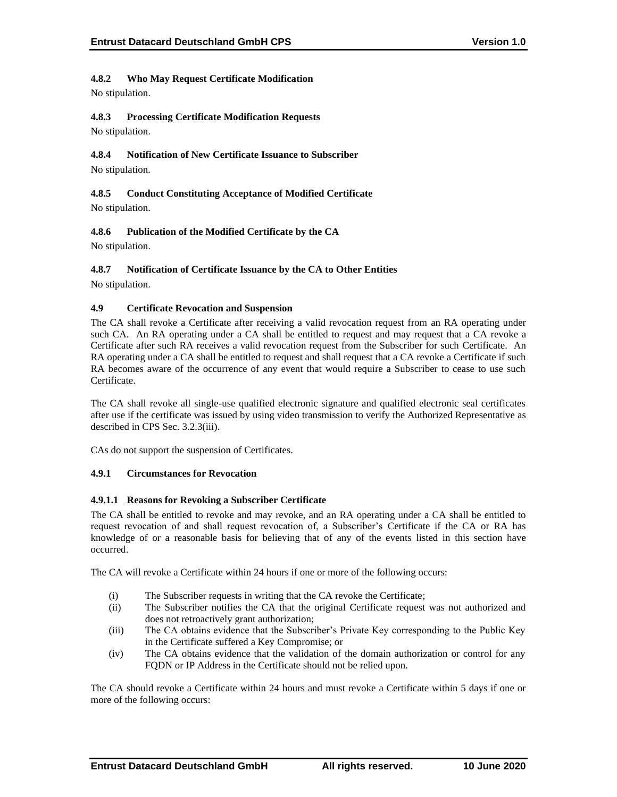## **4.8.2 Who May Request Certificate Modification**

No stipulation.

## **4.8.3 Processing Certificate Modification Requests**

No stipulation.

## **4.8.4 Notification of New Certificate Issuance to Subscriber**

No stipulation.

## **4.8.5 Conduct Constituting Acceptance of Modified Certificate** No stipulation.

**4.8.6 Publication of the Modified Certificate by the CA**

No stipulation.

## **4.8.7 Notification of Certificate Issuance by the CA to Other Entities**

No stipulation.

## **4.9 Certificate Revocation and Suspension**

The CA shall revoke a Certificate after receiving a valid revocation request from an RA operating under such CA. An RA operating under a CA shall be entitled to request and may request that a CA revoke a Certificate after such RA receives a valid revocation request from the Subscriber for such Certificate. An RA operating under a CA shall be entitled to request and shall request that a CA revoke a Certificate if such RA becomes aware of the occurrence of any event that would require a Subscriber to cease to use such Certificate.

The CA shall revoke all single-use qualified electronic signature and qualified electronic seal certificates after use if the certificate was issued by using video transmission to verify the Authorized Representative as described in CPS Sec. 3.2.3(iii).

CAs do not support the suspension of Certificates.

## **4.9.1 Circumstances for Revocation**

## **4.9.1.1 Reasons for Revoking a Subscriber Certificate**

The CA shall be entitled to revoke and may revoke, and an RA operating under a CA shall be entitled to request revocation of and shall request revocation of, a Subscriber's Certificate if the CA or RA has knowledge of or a reasonable basis for believing that of any of the events listed in this section have occurred.

The CA will revoke a Certificate within 24 hours if one or more of the following occurs:

- (i) The Subscriber requests in writing that the CA revoke the Certificate;
- (ii) The Subscriber notifies the CA that the original Certificate request was not authorized and does not retroactively grant authorization;
- (iii) The CA obtains evidence that the Subscriber's Private Key corresponding to the Public Key in the Certificate suffered a Key Compromise; or
- (iv) The CA obtains evidence that the validation of the domain authorization or control for any FQDN or IP Address in the Certificate should not be relied upon.

The CA should revoke a Certificate within 24 hours and must revoke a Certificate within 5 days if one or more of the following occurs: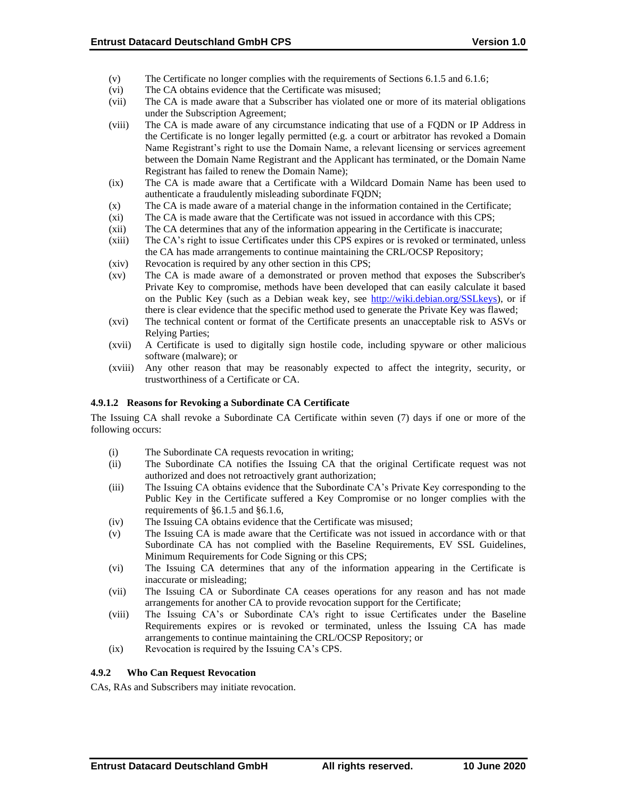- (v) The Certificate no longer complies with the requirements of Sections 6.1.5 and 6.1.6;
- (vi) The CA obtains evidence that the Certificate was misused;
- (vii) The CA is made aware that a Subscriber has violated one or more of its material obligations under the Subscription Agreement;
- (viii) The CA is made aware of any circumstance indicating that use of a FQDN or IP Address in the Certificate is no longer legally permitted (e.g. a court or arbitrator has revoked a Domain Name Registrant's right to use the Domain Name, a relevant licensing or services agreement between the Domain Name Registrant and the Applicant has terminated, or the Domain Name Registrant has failed to renew the Domain Name);
- (ix) The CA is made aware that a Certificate with a Wildcard Domain Name has been used to authenticate a fraudulently misleading subordinate FQDN;
- (x) The CA is made aware of a material change in the information contained in the Certificate;
- (xi) The CA is made aware that the Certificate was not issued in accordance with this CPS;
- (xii) The CA determines that any of the information appearing in the Certificate is inaccurate;
- (xiii) The CA's right to issue Certificates under this CPS expires or is revoked or terminated, unless the CA has made arrangements to continue maintaining the CRL/OCSP Repository;
- (xiv) Revocation is required by any other section in this CPS;
- (xv) The CA is made aware of a demonstrated or proven method that exposes the Subscriber's Private Key to compromise, methods have been developed that can easily calculate it based on the Public Key (such as a Debian weak key, see [http://wiki.debian.org/SSLkeys\)](http://wiki.debian.org/SSLkeys), or if there is clear evidence that the specific method used to generate the Private Key was flawed;
- (xvi) The technical content or format of the Certificate presents an unacceptable risk to ASVs or Relying Parties;
- (xvii) A Certificate is used to digitally sign hostile code, including spyware or other malicious software (malware); or
- (xviii) Any other reason that may be reasonably expected to affect the integrity, security, or trustworthiness of a Certificate or CA.

### **4.9.1.2 Reasons for Revoking a Subordinate CA Certificate**

The Issuing CA shall revoke a Subordinate CA Certificate within seven (7) days if one or more of the following occurs:

- (i) The Subordinate CA requests revocation in writing;
- (ii) The Subordinate CA notifies the Issuing CA that the original Certificate request was not authorized and does not retroactively grant authorization;
- (iii) The Issuing CA obtains evidence that the Subordinate CA's Private Key corresponding to the Public Key in the Certificate suffered a Key Compromise or no longer complies with the requirements of §6.1.5 and §6.1.6,
- (iv) The Issuing CA obtains evidence that the Certificate was misused;
- (v) The Issuing CA is made aware that the Certificate was not issued in accordance with or that Subordinate CA has not complied with the Baseline Requirements, EV SSL Guidelines, Minimum Requirements for Code Signing or this CPS;
- (vi) The Issuing CA determines that any of the information appearing in the Certificate is inaccurate or misleading;
- (vii) The Issuing CA or Subordinate CA ceases operations for any reason and has not made arrangements for another CA to provide revocation support for the Certificate;
- (viii) The Issuing CA's or Subordinate CA's right to issue Certificates under the Baseline Requirements expires or is revoked or terminated, unless the Issuing CA has made arrangements to continue maintaining the CRL/OCSP Repository; or
- (ix) Revocation is required by the Issuing CA's CPS.

### **4.9.2 Who Can Request Revocation**

CAs, RAs and Subscribers may initiate revocation.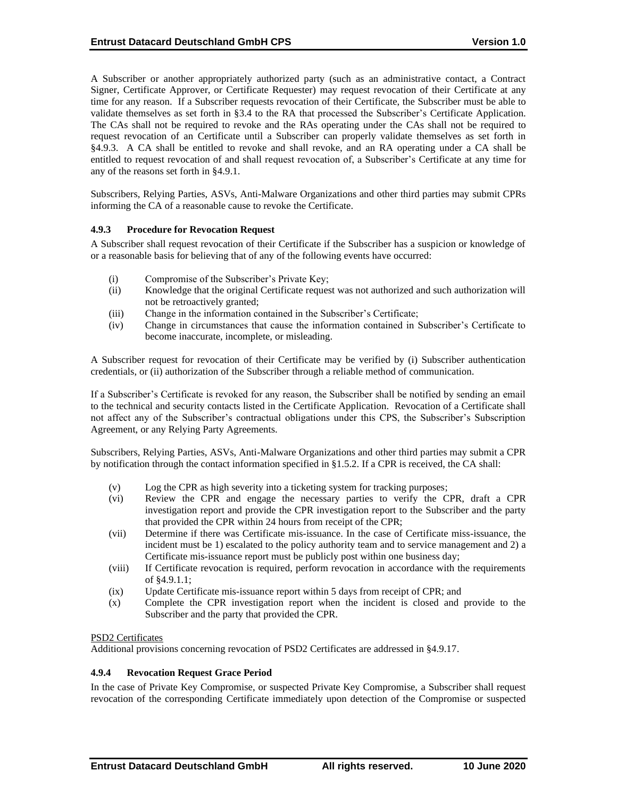A Subscriber or another appropriately authorized party (such as an administrative contact, a Contract Signer, Certificate Approver, or Certificate Requester) may request revocation of their Certificate at any time for any reason. If a Subscriber requests revocation of their Certificate, the Subscriber must be able to validate themselves as set forth in §3.4 to the RA that processed the Subscriber's Certificate Application. The CAs shall not be required to revoke and the RAs operating under the CAs shall not be required to request revocation of an Certificate until a Subscriber can properly validate themselves as set forth in §4.9.3. A CA shall be entitled to revoke and shall revoke, and an RA operating under a CA shall be entitled to request revocation of and shall request revocation of, a Subscriber's Certificate at any time for any of the reasons set forth in §4.9.1.

Subscribers, Relying Parties, ASVs, Anti-Malware Organizations and other third parties may submit CPRs informing the CA of a reasonable cause to revoke the Certificate.

### **4.9.3 Procedure for Revocation Request**

A Subscriber shall request revocation of their Certificate if the Subscriber has a suspicion or knowledge of or a reasonable basis for believing that of any of the following events have occurred:

- (i) Compromise of the Subscriber's Private Key;
- (ii) Knowledge that the original Certificate request was not authorized and such authorization will not be retroactively granted;
- (iii) Change in the information contained in the Subscriber's Certificate;
- (iv) Change in circumstances that cause the information contained in Subscriber's Certificate to become inaccurate, incomplete, or misleading.

A Subscriber request for revocation of their Certificate may be verified by (i) Subscriber authentication credentials, or (ii) authorization of the Subscriber through a reliable method of communication.

If a Subscriber's Certificate is revoked for any reason, the Subscriber shall be notified by sending an email to the technical and security contacts listed in the Certificate Application. Revocation of a Certificate shall not affect any of the Subscriber's contractual obligations under this CPS, the Subscriber's Subscription Agreement, or any Relying Party Agreements.

Subscribers, Relying Parties, ASVs, Anti-Malware Organizations and other third parties may submit a CPR by notification through the contact information specified in §1.5.2. If a CPR is received, the CA shall:

- (v) Log the CPR as high severity into a ticketing system for tracking purposes;
- (vi) Review the CPR and engage the necessary parties to verify the CPR, draft a CPR investigation report and provide the CPR investigation report to the Subscriber and the party that provided the CPR within 24 hours from receipt of the CPR;
- (vii) Determine if there was Certificate mis-issuance. In the case of Certificate miss-issuance, the incident must be 1) escalated to the policy authority team and to service management and 2) a Certificate mis-issuance report must be publicly post within one business day;
- (viii) If Certificate revocation is required, perform revocation in accordance with the requirements of §4.9.1.1;
- (ix) Update Certificate mis-issuance report within 5 days from receipt of CPR; and
- (x) Complete the CPR investigation report when the incident is closed and provide to the Subscriber and the party that provided the CPR.

### PSD2 Certificates

Additional provisions concerning revocation of PSD2 Certificates are addressed in §4.9.17.

### **4.9.4 Revocation Request Grace Period**

In the case of Private Key Compromise, or suspected Private Key Compromise, a Subscriber shall request revocation of the corresponding Certificate immediately upon detection of the Compromise or suspected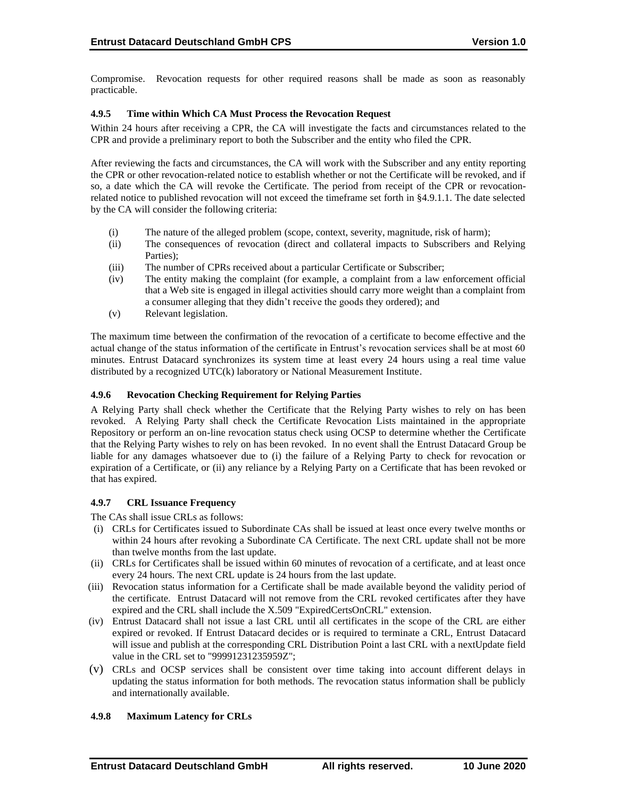Compromise. Revocation requests for other required reasons shall be made as soon as reasonably practicable.

## **4.9.5 Time within Which CA Must Process the Revocation Request**

Within 24 hours after receiving a CPR, the CA will investigate the facts and circumstances related to the CPR and provide a preliminary report to both the Subscriber and the entity who filed the CPR.

After reviewing the facts and circumstances, the CA will work with the Subscriber and any entity reporting the CPR or other revocation-related notice to establish whether or not the Certificate will be revoked, and if so, a date which the CA will revoke the Certificate. The period from receipt of the CPR or revocationrelated notice to published revocation will not exceed the timeframe set forth in §4.9.1.1. The date selected by the CA will consider the following criteria:

- (i) The nature of the alleged problem (scope, context, severity, magnitude, risk of harm);
- (ii) The consequences of revocation (direct and collateral impacts to Subscribers and Relying Parties);
- (iii) The number of CPRs received about a particular Certificate or Subscriber;
- (iv) The entity making the complaint (for example, a complaint from a law enforcement official that a Web site is engaged in illegal activities should carry more weight than a complaint from a consumer alleging that they didn't receive the goods they ordered); and
- (v) Relevant legislation.

The maximum time between the confirmation of the revocation of a certificate to become effective and the actual change of the status information of the certificate in Entrust's revocation services shall be at most 60 minutes. Entrust Datacard synchronizes its system time at least every 24 hours using a real time value distributed by a recognized UTC(k) laboratory or National Measurement Institute.

### **4.9.6 Revocation Checking Requirement for Relying Parties**

A Relying Party shall check whether the Certificate that the Relying Party wishes to rely on has been revoked. A Relying Party shall check the Certificate Revocation Lists maintained in the appropriate Repository or perform an on-line revocation status check using OCSP to determine whether the Certificate that the Relying Party wishes to rely on has been revoked. In no event shall the Entrust Datacard Group be liable for any damages whatsoever due to (i) the failure of a Relying Party to check for revocation or expiration of a Certificate, or (ii) any reliance by a Relying Party on a Certificate that has been revoked or that has expired.

### **4.9.7 CRL Issuance Frequency**

The CAs shall issue CRLs as follows:

- (i) CRLs for Certificates issued to Subordinate CAs shall be issued at least once every twelve months or within 24 hours after revoking a Subordinate CA Certificate. The next CRL update shall not be more than twelve months from the last update.
- (ii) CRLs for Certificates shall be issued within 60 minutes of revocation of a certificate, and at least once every 24 hours. The next CRL update is 24 hours from the last update.
- (iii) Revocation status information for a Certificate shall be made available beyond the validity period of the certificate. Entrust Datacard will not remove from the CRL revoked certificates after they have expired and the CRL shall include the X.509 "ExpiredCertsOnCRL" extension.
- (iv) Entrust Datacard shall not issue a last CRL until all certificates in the scope of the CRL are either expired or revoked. If Entrust Datacard decides or is required to terminate a CRL, Entrust Datacard will issue and publish at the corresponding CRL Distribution Point a last CRL with a nextUpdate field value in the CRL set to "99991231235959Z";
- (v) CRLs and OCSP services shall be consistent over time taking into account different delays in updating the status information for both methods. The revocation status information shall be publicly and internationally available.

### **4.9.8 Maximum Latency for CRLs**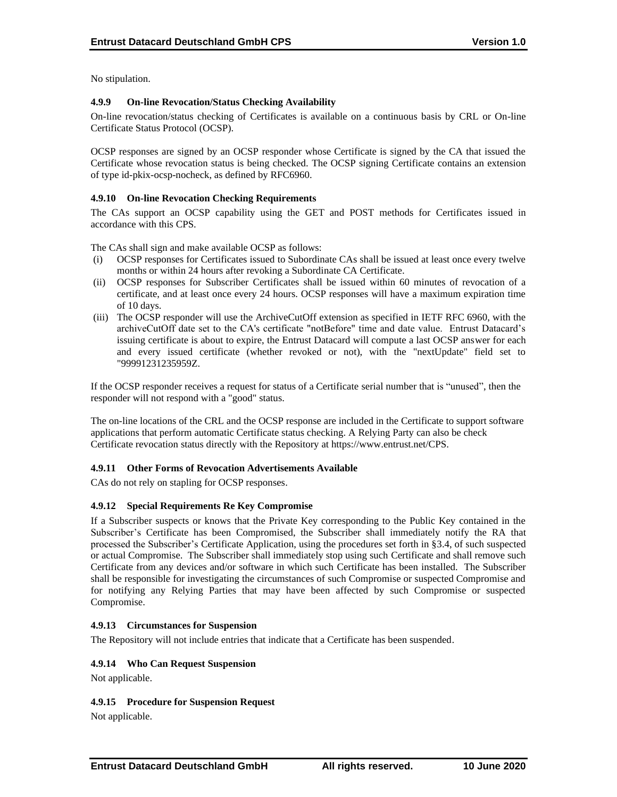No stipulation.

### **4.9.9 On-line Revocation/Status Checking Availability**

On-line revocation/status checking of Certificates is available on a continuous basis by CRL or On-line Certificate Status Protocol (OCSP).

OCSP responses are signed by an OCSP responder whose Certificate is signed by the CA that issued the Certificate whose revocation status is being checked. The OCSP signing Certificate contains an extension of type id-pkix-ocsp-nocheck, as defined by RFC6960.

### **4.9.10 On-line Revocation Checking Requirements**

The CAs support an OCSP capability using the GET and POST methods for Certificates issued in accordance with this CPS.

The CAs shall sign and make available OCSP as follows:

- (i) OCSP responses for Certificates issued to Subordinate CAs shall be issued at least once every twelve months or within 24 hours after revoking a Subordinate CA Certificate.
- (ii) OCSP responses for Subscriber Certificates shall be issued within 60 minutes of revocation of a certificate, and at least once every 24 hours. OCSP responses will have a maximum expiration time of 10 days.
- (iii) The OCSP responder will use the ArchiveCutOff extension as specified in IETF RFC 6960, with the archiveCutOff date set to the CA's certificate "notBefore" time and date value. Entrust Datacard's issuing certificate is about to expire, the Entrust Datacard will compute a last OCSP answer for each and every issued certificate (whether revoked or not), with the "nextUpdate" field set to "99991231235959Z.

If the OCSP responder receives a request for status of a Certificate serial number that is "unused", then the responder will not respond with a "good" status.

The on-line locations of the CRL and the OCSP response are included in the Certificate to support software applications that perform automatic Certificate status checking. A Relying Party can also be check Certificate revocation status directly with the Repository at [https://www.entrust.net/CPS.](https://www.entrust.net/CPS) 

### **4.9.11 Other Forms of Revocation Advertisements Available**

CAs do not rely on stapling for OCSP responses.

### **4.9.12 Special Requirements Re Key Compromise**

If a Subscriber suspects or knows that the Private Key corresponding to the Public Key contained in the Subscriber's Certificate has been Compromised, the Subscriber shall immediately notify the RA that processed the Subscriber's Certificate Application, using the procedures set forth in §3.4, of such suspected or actual Compromise. The Subscriber shall immediately stop using such Certificate and shall remove such Certificate from any devices and/or software in which such Certificate has been installed. The Subscriber shall be responsible for investigating the circumstances of such Compromise or suspected Compromise and for notifying any Relying Parties that may have been affected by such Compromise or suspected Compromise.

# **4.9.13 Circumstances for Suspension**

The Repository will not include entries that indicate that a Certificate has been suspended.

### **4.9.14 Who Can Request Suspension**

Not applicable.

### **4.9.15 Procedure for Suspension Request**

Not applicable.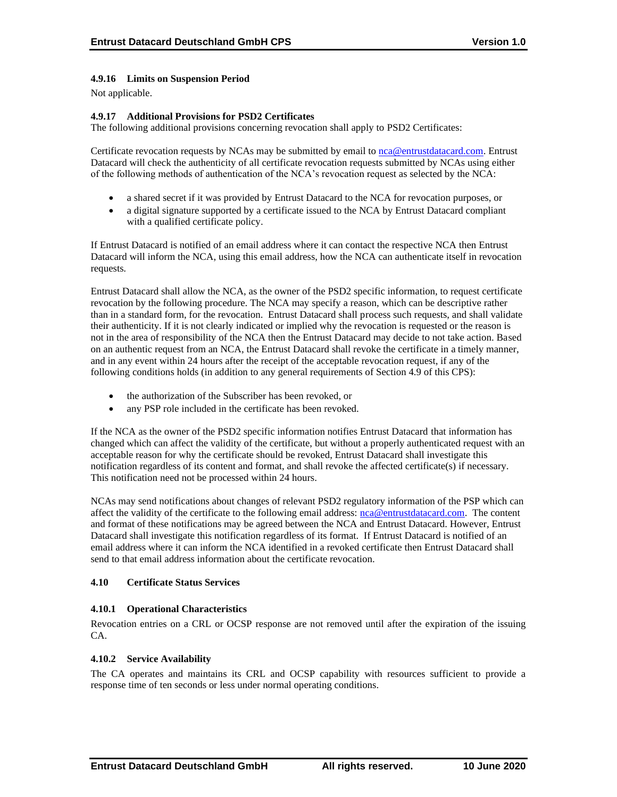### **4.9.16 Limits on Suspension Period**

Not applicable.

### **4.9.17 Additional Provisions for PSD2 Certificates**

The following additional provisions concerning revocation shall apply to PSD2 Certificates:

Certificate revocation requests by NCAs may be submitted by email to [nca@entrustdatacard.com.](mailto:nca@entrustdatacard.com) Entrust Datacard will check the authenticity of all certificate revocation requests submitted by NCAs using either of the following methods of authentication of the NCA's revocation request as selected by the NCA:

- a shared secret if it was provided by Entrust Datacard to the NCA for revocation purposes, or
- a digital signature supported by a certificate issued to the NCA by Entrust Datacard compliant with a qualified certificate policy.

If Entrust Datacard is notified of an email address where it can contact the respective NCA then Entrust Datacard will inform the NCA, using this email address, how the NCA can authenticate itself in revocation requests.

Entrust Datacard shall allow the NCA, as the owner of the PSD2 specific information, to request certificate revocation by the following procedure. The NCA may specify a reason, which can be descriptive rather than in a standard form, for the revocation. Entrust Datacard shall process such requests, and shall validate their authenticity. If it is not clearly indicated or implied why the revocation is requested or the reason is not in the area of responsibility of the NCA then the Entrust Datacard may decide to not take action. Based on an authentic request from an NCA, the Entrust Datacard shall revoke the certificate in a timely manner, and in any event within 24 hours after the receipt of the acceptable revocation request, if any of the following conditions holds (in addition to any general requirements of Section 4.9 of this CPS):

- the authorization of the Subscriber has been revoked, or
- any PSP role included in the certificate has been revoked.

If the NCA as the owner of the PSD2 specific information notifies Entrust Datacard that information has changed which can affect the validity of the certificate, but without a properly authenticated request with an acceptable reason for why the certificate should be revoked, Entrust Datacard shall investigate this notification regardless of its content and format, and shall revoke the affected certificate(s) if necessary. This notification need not be processed within 24 hours.

NCAs may send notifications about changes of relevant PSD2 regulatory information of the PSP which can affect the validity of the certificate to the following email address: [nca@entrustdatacard.com.](mailto:nca@entrustdatacard.com) The content and format of these notifications may be agreed between the NCA and Entrust Datacard. However, Entrust Datacard shall investigate this notification regardless of its format. If Entrust Datacard is notified of an email address where it can inform the NCA identified in a revoked certificate then Entrust Datacard shall send to that email address information about the certificate revocation.

### **4.10 Certificate Status Services**

### **4.10.1 Operational Characteristics**

Revocation entries on a CRL or OCSP response are not removed until after the expiration of the issuing CA.

### **4.10.2 Service Availability**

The CA operates and maintains its CRL and OCSP capability with resources sufficient to provide a response time of ten seconds or less under normal operating conditions.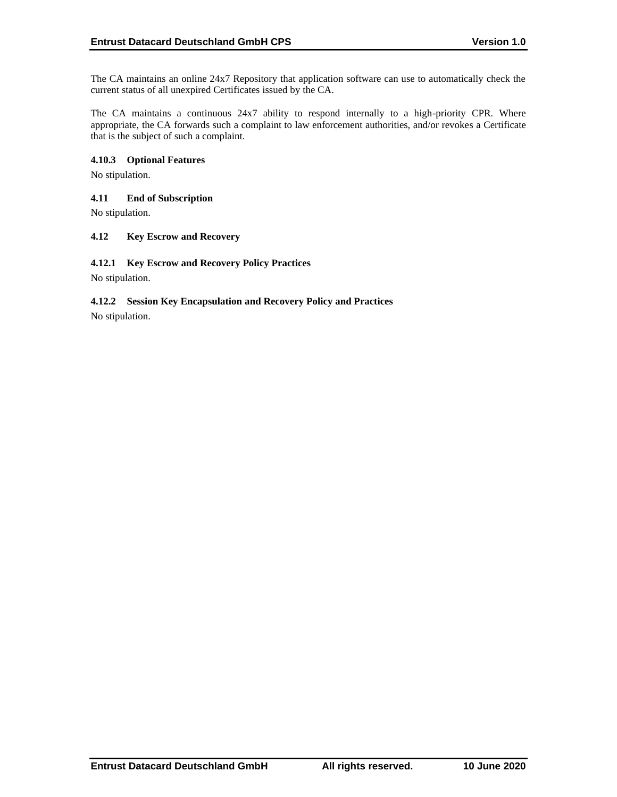The CA maintains an online 24x7 Repository that application software can use to automatically check the current status of all unexpired Certificates issued by the CA.

The CA maintains a continuous 24x7 ability to respond internally to a high-priority CPR. Where appropriate, the CA forwards such a complaint to law enforcement authorities, and/or revokes a Certificate that is the subject of such a complaint.

# **4.10.3 Optional Features**

No stipulation.

### **4.11 End of Subscription**

No stipulation.

### **4.12 Key Escrow and Recovery**

### **4.12.1 Key Escrow and Recovery Policy Practices**

No stipulation.

# **4.12.2 Session Key Encapsulation and Recovery Policy and Practices**

No stipulation.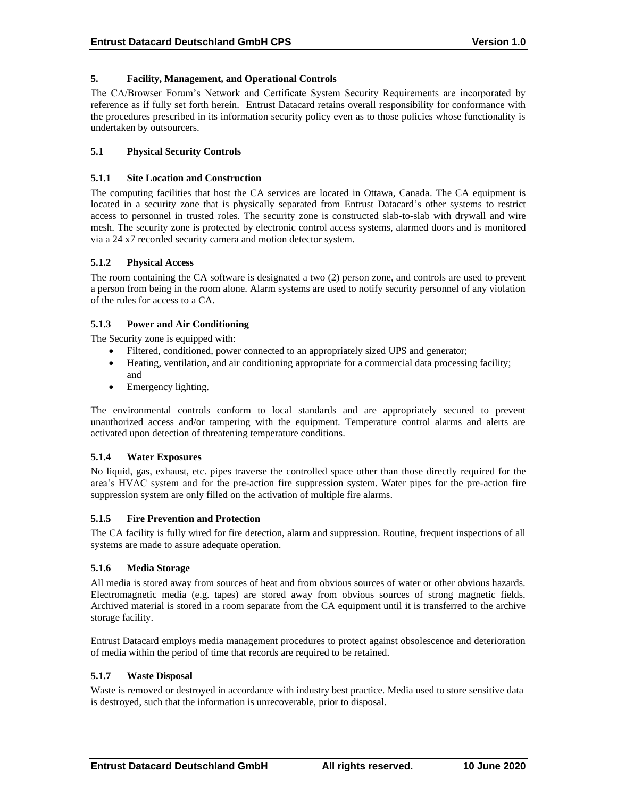### **5. Facility, Management, and Operational Controls**

The CA/Browser Forum's Network and Certificate System Security Requirements are incorporated by reference as if fully set forth herein. Entrust Datacard retains overall responsibility for conformance with the procedures prescribed in its information security policy even as to those policies whose functionality is undertaken by outsourcers.

## **5.1 Physical Security Controls**

### **5.1.1 Site Location and Construction**

The computing facilities that host the CA services are located in Ottawa, Canada. The CA equipment is located in a security zone that is physically separated from Entrust Datacard's other systems to restrict access to personnel in trusted roles. The security zone is constructed slab-to-slab with drywall and wire mesh. The security zone is protected by electronic control access systems, alarmed doors and is monitored via a 24 x7 recorded security camera and motion detector system.

### **5.1.2 Physical Access**

The room containing the CA software is designated a two (2) person zone, and controls are used to prevent a person from being in the room alone. Alarm systems are used to notify security personnel of any violation of the rules for access to a CA.

### **5.1.3 Power and Air Conditioning**

The Security zone is equipped with:

- Filtered, conditioned, power connected to an appropriately sized UPS and generator;
- Heating, ventilation, and air conditioning appropriate for a commercial data processing facility; and
- Emergency lighting.

The environmental controls conform to local standards and are appropriately secured to prevent unauthorized access and/or tampering with the equipment. Temperature control alarms and alerts are activated upon detection of threatening temperature conditions.

### **5.1.4 Water Exposures**

No liquid, gas, exhaust, etc. pipes traverse the controlled space other than those directly required for the area's HVAC system and for the pre-action fire suppression system. Water pipes for the pre-action fire suppression system are only filled on the activation of multiple fire alarms.

### **5.1.5 Fire Prevention and Protection**

The CA facility is fully wired for fire detection, alarm and suppression. Routine, frequent inspections of all systems are made to assure adequate operation.

### **5.1.6 Media Storage**

All media is stored away from sources of heat and from obvious sources of water or other obvious hazards. Electromagnetic media (e.g. tapes) are stored away from obvious sources of strong magnetic fields. Archived material is stored in a room separate from the CA equipment until it is transferred to the archive storage facility.

Entrust Datacard employs media management procedures to protect against obsolescence and deterioration of media within the period of time that records are required to be retained.

### **5.1.7 Waste Disposal**

Waste is removed or destroyed in accordance with industry best practice. Media used to store sensitive data is destroyed, such that the information is unrecoverable, prior to disposal.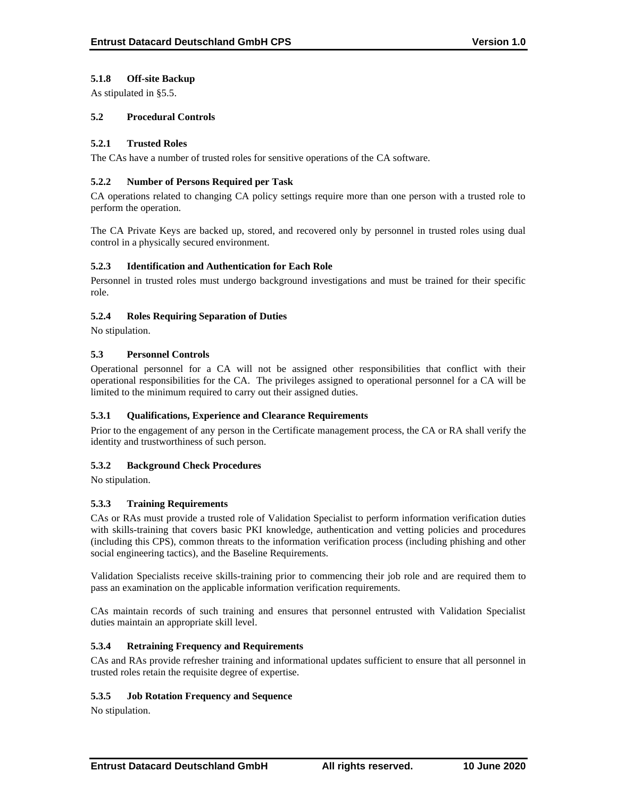### **5.1.8 Off-site Backup**

As stipulated in §5.5.

### **5.2 Procedural Controls**

### **5.2.1 Trusted Roles**

The CAs have a number of trusted roles for sensitive operations of the CA software.

### **5.2.2 Number of Persons Required per Task**

CA operations related to changing CA policy settings require more than one person with a trusted role to perform the operation.

The CA Private Keys are backed up, stored, and recovered only by personnel in trusted roles using dual control in a physically secured environment.

### **5.2.3 Identification and Authentication for Each Role**

Personnel in trusted roles must undergo background investigations and must be trained for their specific role.

### **5.2.4 Roles Requiring Separation of Duties**

No stipulation.

### **5.3 Personnel Controls**

Operational personnel for a CA will not be assigned other responsibilities that conflict with their operational responsibilities for the CA. The privileges assigned to operational personnel for a CA will be limited to the minimum required to carry out their assigned duties.

### **5.3.1 Qualifications, Experience and Clearance Requirements**

Prior to the engagement of any person in the Certificate management process, the CA or RA shall verify the identity and trustworthiness of such person.

### **5.3.2 Background Check Procedures**

No stipulation.

# **5.3.3 Training Requirements**

CAs or RAs must provide a trusted role of Validation Specialist to perform information verification duties with skills-training that covers basic PKI knowledge, authentication and vetting policies and procedures (including this CPS), common threats to the information verification process (including phishing and other social engineering tactics), and the Baseline Requirements.

Validation Specialists receive skills-training prior to commencing their job role and are required them to pass an examination on the applicable information verification requirements.

CAs maintain records of such training and ensures that personnel entrusted with Validation Specialist duties maintain an appropriate skill level.

### **5.3.4 Retraining Frequency and Requirements**

CAs and RAs provide refresher training and informational updates sufficient to ensure that all personnel in trusted roles retain the requisite degree of expertise.

### **5.3.5 Job Rotation Frequency and Sequence**

No stipulation.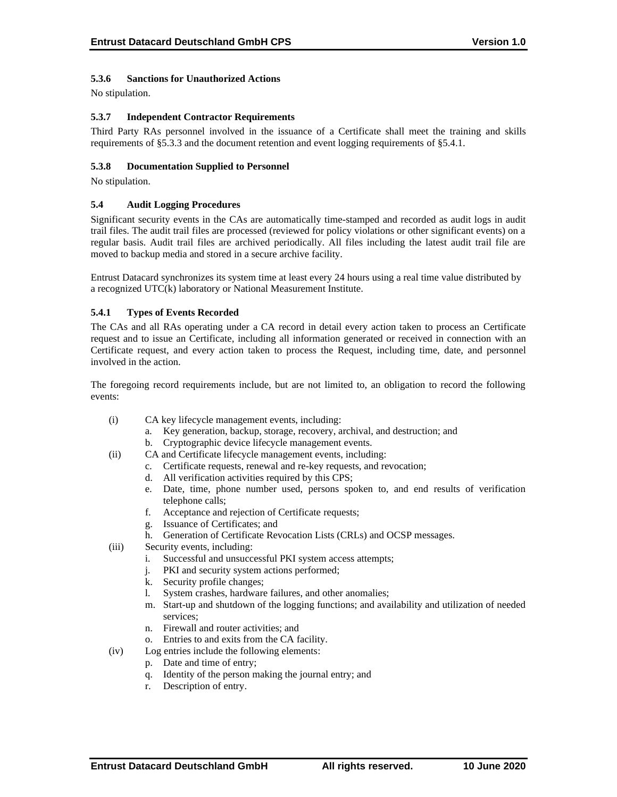# **5.3.6 Sanctions for Unauthorized Actions**

No stipulation.

### **5.3.7 Independent Contractor Requirements**

Third Party RAs personnel involved in the issuance of a Certificate shall meet the training and skills requirements of §5.3.3 and the document retention and event logging requirements of §5.4.1.

### **5.3.8 Documentation Supplied to Personnel**

No stipulation.

### **5.4 Audit Logging Procedures**

Significant security events in the CAs are automatically time-stamped and recorded as audit logs in audit trail files. The audit trail files are processed (reviewed for policy violations or other significant events) on a regular basis. Audit trail files are archived periodically. All files including the latest audit trail file are moved to backup media and stored in a secure archive facility.

Entrust Datacard synchronizes its system time at least every 24 hours using a real time value distributed by a recognized UTC(k) laboratory or National Measurement Institute.

### **5.4.1 Types of Events Recorded**

The CAs and all RAs operating under a CA record in detail every action taken to process an Certificate request and to issue an Certificate, including all information generated or received in connection with an Certificate request, and every action taken to process the Request, including time, date, and personnel involved in the action.

The foregoing record requirements include, but are not limited to, an obligation to record the following events:

- (i) CA key lifecycle management events, including:
	- a. Key generation, backup, storage, recovery, archival, and destruction; and
	- b. Cryptographic device lifecycle management events.
- (ii) CA and Certificate lifecycle management events, including:
	- c. Certificate requests, renewal and re-key requests, and revocation;
	- d. All verification activities required by this CPS;
	- e. Date, time, phone number used, persons spoken to, and end results of verification telephone calls;
	- f. Acceptance and rejection of Certificate requests;
	- g. Issuance of Certificates; and
	- Generation of Certificate Revocation Lists (CRLs) and OCSP messages.
- (iii) Security events, including:
	- i. Successful and unsuccessful PKI system access attempts;
	- j. PKI and security system actions performed;
	- k. Security profile changes;
	- l. System crashes, hardware failures, and other anomalies;
	- m. Start-up and shutdown of the logging functions; and availability and utilization of needed services;
	- n. Firewall and router activities; and
	- o. Entries to and exits from the CA facility.
- (iv) Log entries include the following elements:
	- p. Date and time of entry;
	- q. Identity of the person making the journal entry; and
	- r. Description of entry.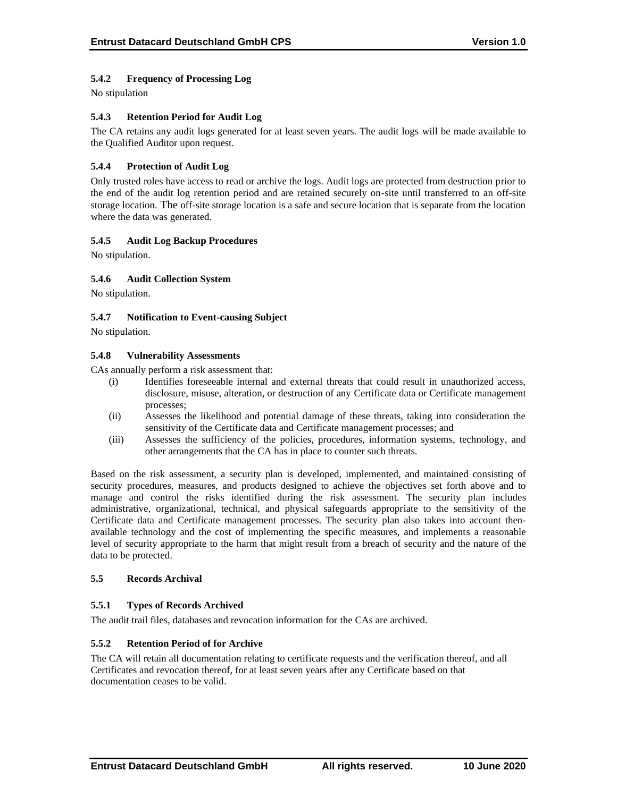# **5.4.2 Frequency of Processing Log**

No stipulation

### **5.4.3 Retention Period for Audit Log**

The CA retains any audit logs generated for at least seven years. The audit logs will be made available to the Qualified Auditor upon request.

### **5.4.4 Protection of Audit Log**

Only trusted roles have access to read or archive the logs. Audit logs are protected from destruction prior to the end of the audit log retention period and are retained securely on-site until transferred to an off-site storage location. The off-site storage location is a safe and secure location that is separate from the location where the data was generated.

### **5.4.5 Audit Log Backup Procedures**

No stipulation.

### **5.4.6 Audit Collection System**

No stipulation.

### **5.4.7 Notification to Event-causing Subject**

No stipulation.

### **5.4.8 Vulnerability Assessments**

CAs annually perform a risk assessment that:

- (i) Identifies foreseeable internal and external threats that could result in unauthorized access, disclosure, misuse, alteration, or destruction of any Certificate data or Certificate management processes;
- (ii) Assesses the likelihood and potential damage of these threats, taking into consideration the sensitivity of the Certificate data and Certificate management processes; and
- (iii) Assesses the sufficiency of the policies, procedures, information systems, technology, and other arrangements that the CA has in place to counter such threats.

Based on the risk assessment, a security plan is developed, implemented, and maintained consisting of security procedures, measures, and products designed to achieve the objectives set forth above and to manage and control the risks identified during the risk assessment. The security plan includes administrative, organizational, technical, and physical safeguards appropriate to the sensitivity of the Certificate data and Certificate management processes. The security plan also takes into account thenavailable technology and the cost of implementing the specific measures, and implements a reasonable level of security appropriate to the harm that might result from a breach of security and the nature of the data to be protected.

### **5.5 Records Archival**

### **5.5.1 Types of Records Archived**

The audit trail files, databases and revocation information for the CAs are archived.

### **5.5.2 Retention Period of for Archive**

The CA will retain all documentation relating to certificate requests and the verification thereof, and all Certificates and revocation thereof, for at least seven years after any Certificate based on that documentation ceases to be valid.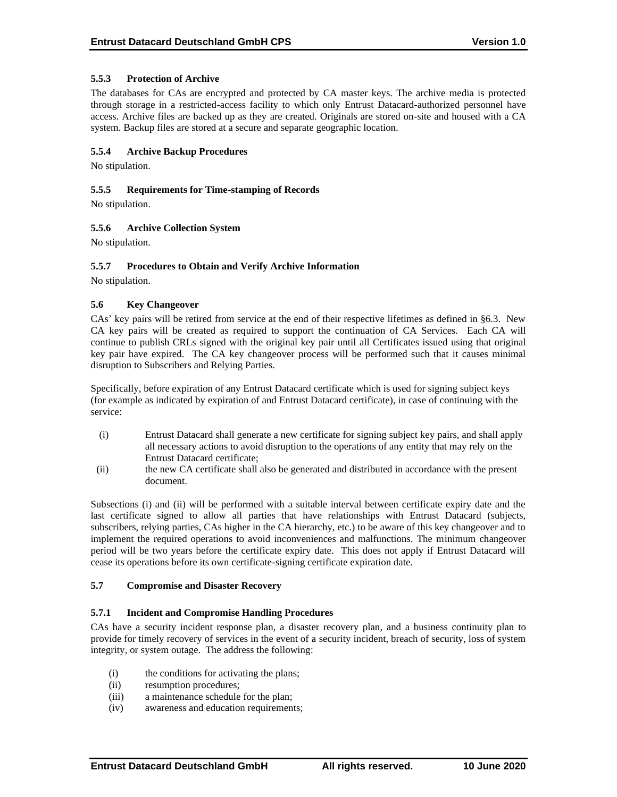### **5.5.3 Protection of Archive**

The databases for CAs are encrypted and protected by CA master keys. The archive media is protected through storage in a restricted-access facility to which only Entrust Datacard-authorized personnel have access. Archive files are backed up as they are created. Originals are stored on-site and housed with a CA system. Backup files are stored at a secure and separate geographic location.

### **5.5.4 Archive Backup Procedures**

No stipulation.

### **5.5.5 Requirements for Time-stamping of Records**

No stipulation.

### **5.5.6 Archive Collection System**

No stipulation.

### **5.5.7 Procedures to Obtain and Verify Archive Information**

No stipulation.

### **5.6 Key Changeover**

CAs' key pairs will be retired from service at the end of their respective lifetimes as defined in §6.3. New CA key pairs will be created as required to support the continuation of CA Services. Each CA will continue to publish CRLs signed with the original key pair until all Certificates issued using that original key pair have expired. The CA key changeover process will be performed such that it causes minimal disruption to Subscribers and Relying Parties.

Specifically, before expiration of any Entrust Datacard certificate which is used for signing subject keys (for example as indicated by expiration of and Entrust Datacard certificate), in case of continuing with the service:

- (i) Entrust Datacard shall generate a new certificate for signing subject key pairs, and shall apply all necessary actions to avoid disruption to the operations of any entity that may rely on the Entrust Datacard certificate;
- (ii) the new CA certificate shall also be generated and distributed in accordance with the present document.

Subsections (i) and (ii) will be performed with a suitable interval between certificate expiry date and the last certificate signed to allow all parties that have relationships with Entrust Datacard (subjects, subscribers, relying parties, CAs higher in the CA hierarchy, etc.) to be aware of this key changeover and to implement the required operations to avoid inconveniences and malfunctions. The minimum changeover period will be two years before the certificate expiry date. This does not apply if Entrust Datacard will cease its operations before its own certificate-signing certificate expiration date.

### **5.7 Compromise and Disaster Recovery**

### **5.7.1 Incident and Compromise Handling Procedures**

CAs have a security incident response plan, a disaster recovery plan, and a business continuity plan to provide for timely recovery of services in the event of a security incident, breach of security, loss of system integrity, or system outage. The address the following:

- (i) the conditions for activating the plans;
- (ii) resumption procedures;
- (iii) a maintenance schedule for the plan;
- (iv) awareness and education requirements;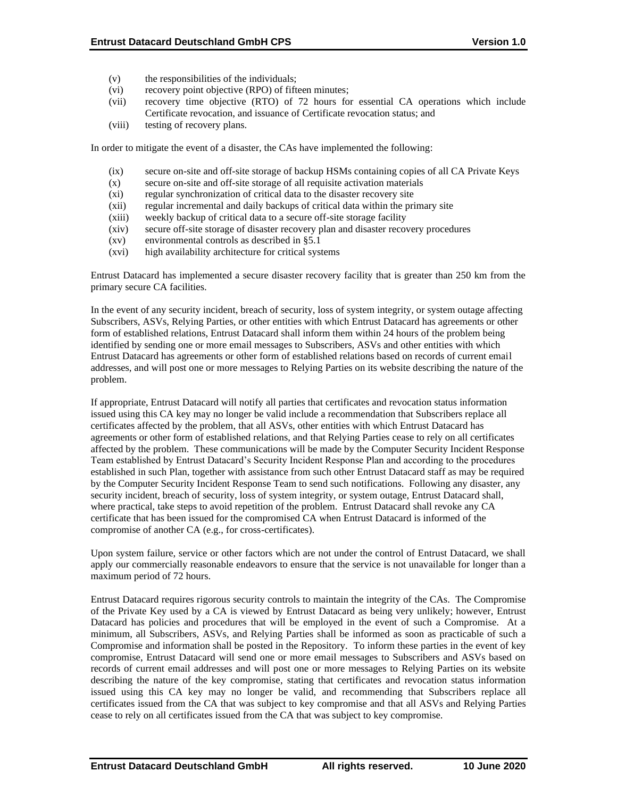- (v) the responsibilities of the individuals;
- (vi) recovery point objective (RPO) of fifteen minutes;
- (vii) recovery time objective (RTO) of 72 hours for essential CA operations which include Certificate revocation, and issuance of Certificate revocation status; and
- (viii) testing of recovery plans.

In order to mitigate the event of a disaster, the CAs have implemented the following:

- (ix) secure on-site and off-site storage of backup HSMs containing copies of all CA Private Keys
- (x) secure on-site and off-site storage of all requisite activation materials
- (xi) regular synchronization of critical data to the disaster recovery site
- (xii) regular incremental and daily backups of critical data within the primary site
- (xiii) weekly backup of critical data to a secure off-site storage facility
- (xiv) secure off-site storage of disaster recovery plan and disaster recovery procedures
- (xv) environmental controls as described in §5.1
- (xvi) high availability architecture for critical systems

Entrust Datacard has implemented a secure disaster recovery facility that is greater than 250 km from the primary secure CA facilities.

In the event of any security incident, breach of security, loss of system integrity, or system outage affecting Subscribers, ASVs, Relying Parties, or other entities with which Entrust Datacard has agreements or other form of established relations, Entrust Datacard shall inform them within 24 hours of the problem being identified by sending one or more email messages to Subscribers, ASVs and other entities with which Entrust Datacard has agreements or other form of established relations based on records of current email addresses, and will post one or more messages to Relying Parties on its website describing the nature of the problem.

If appropriate, Entrust Datacard will notify all parties that certificates and revocation status information issued using this CA key may no longer be valid include a recommendation that Subscribers replace all certificates affected by the problem, that all ASVs, other entities with which Entrust Datacard has agreements or other form of established relations, and that Relying Parties cease to rely on all certificates affected by the problem. These communications will be made by the Computer Security Incident Response Team established by Entrust Datacard's Security Incident Response Plan and according to the procedures established in such Plan, together with assistance from such other Entrust Datacard staff as may be required by the Computer Security Incident Response Team to send such notifications. Following any disaster, any security incident, breach of security, loss of system integrity, or system outage, Entrust Datacard shall, where practical, take steps to avoid repetition of the problem. Entrust Datacard shall revoke any CA certificate that has been issued for the compromised CA when Entrust Datacard is informed of the compromise of another CA (e.g., for cross-certificates).

Upon system failure, service or other factors which are not under the control of Entrust Datacard, we shall apply our commercially reasonable endeavors to ensure that the service is not unavailable for longer than a maximum period of 72 hours.

Entrust Datacard requires rigorous security controls to maintain the integrity of the CAs. The Compromise of the Private Key used by a CA is viewed by Entrust Datacard as being very unlikely; however, Entrust Datacard has policies and procedures that will be employed in the event of such a Compromise. At a minimum, all Subscribers, ASVs, and Relying Parties shall be informed as soon as practicable of such a Compromise and information shall be posted in the Repository. To inform these parties in the event of key compromise, Entrust Datacard will send one or more email messages to Subscribers and ASVs based on records of current email addresses and will post one or more messages to Relying Parties on its website describing the nature of the key compromise, stating that certificates and revocation status information issued using this CA key may no longer be valid, and recommending that Subscribers replace all certificates issued from the CA that was subject to key compromise and that all ASVs and Relying Parties cease to rely on all certificates issued from the CA that was subject to key compromise.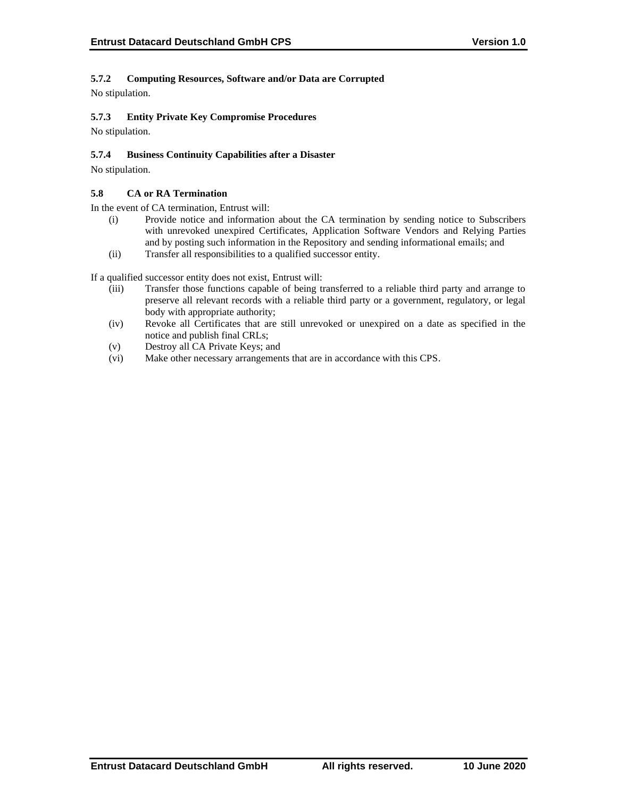# **5.7.2 Computing Resources, Software and/or Data are Corrupted**

No stipulation.

# **5.7.3 Entity Private Key Compromise Procedures**

No stipulation.

## **5.7.4 Business Continuity Capabilities after a Disaster**

No stipulation.

### **5.8 CA or RA Termination**

In the event of CA termination, Entrust will:

- (i) Provide notice and information about the CA termination by sending notice to Subscribers with unrevoked unexpired Certificates, Application Software Vendors and Relying Parties and by posting such information in the Repository and sending informational emails; and
- (ii) Transfer all responsibilities to a qualified successor entity.

If a qualified successor entity does not exist, Entrust will:

- (iii) Transfer those functions capable of being transferred to a reliable third party and arrange to preserve all relevant records with a reliable third party or a government, regulatory, or legal body with appropriate authority;
- (iv) Revoke all Certificates that are still unrevoked or unexpired on a date as specified in the notice and publish final CRLs;
- (v) Destroy all CA Private Keys; and
- (vi) Make other necessary arrangements that are in accordance with this CPS.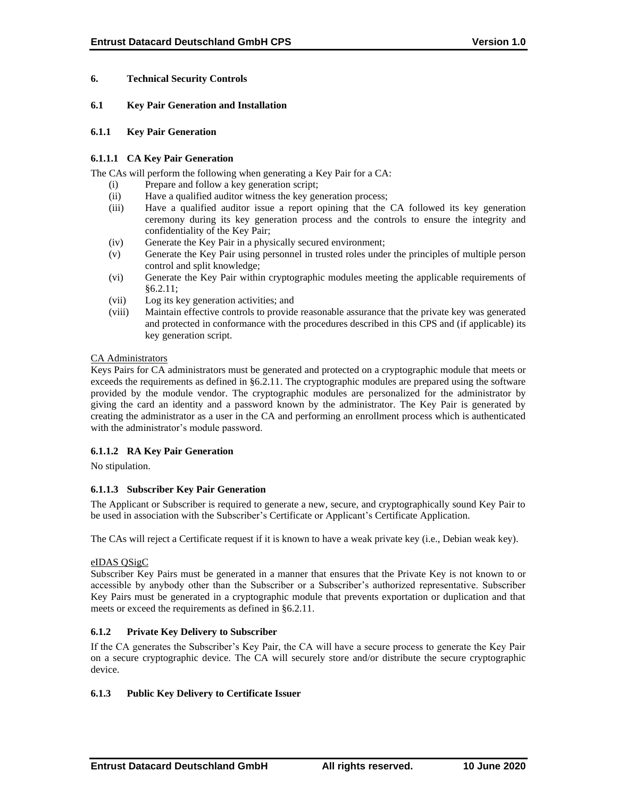## **6. Technical Security Controls**

### **6.1 Key Pair Generation and Installation**

### **6.1.1 Key Pair Generation**

### **6.1.1.1 CA Key Pair Generation**

The CAs will perform the following when generating a Key Pair for a CA:

- (i) Prepare and follow a key generation script;
- (ii) Have a qualified auditor witness the key generation process;
- (iii) Have a qualified auditor issue a report opining that the CA followed its key generation ceremony during its key generation process and the controls to ensure the integrity and confidentiality of the Key Pair;
- (iv) Generate the Key Pair in a physically secured environment;
- (v) Generate the Key Pair using personnel in trusted roles under the principles of multiple person control and split knowledge;
- (vi) Generate the Key Pair within cryptographic modules meeting the applicable requirements of §6.2.11;
- (vii) Log its key generation activities; and
- (viii) Maintain effective controls to provide reasonable assurance that the private key was generated and protected in conformance with the procedures described in this CPS and (if applicable) its key generation script.

### CA Administrators

Keys Pairs for CA administrators must be generated and protected on a cryptographic module that meets or exceeds the requirements as defined in §6.2.11. The cryptographic modules are prepared using the software provided by the module vendor. The cryptographic modules are personalized for the administrator by giving the card an identity and a password known by the administrator. The Key Pair is generated by creating the administrator as a user in the CA and performing an enrollment process which is authenticated with the administrator's module password.

# **6.1.1.2 RA Key Pair Generation**

No stipulation.

# **6.1.1.3 Subscriber Key Pair Generation**

The Applicant or Subscriber is required to generate a new, secure, and cryptographically sound Key Pair to be used in association with the Subscriber's Certificate or Applicant's Certificate Application.

The CAs will reject a Certificate request if it is known to have a weak private key (i.e., Debian weak key).

### eIDAS QSigC

Subscriber Key Pairs must be generated in a manner that ensures that the Private Key is not known to or accessible by anybody other than the Subscriber or a Subscriber's authorized representative. Subscriber Key Pairs must be generated in a cryptographic module that prevents exportation or duplication and that meets or exceed the requirements as defined in §6.2.11.

# **6.1.2 Private Key Delivery to Subscriber**

If the CA generates the Subscriber's Key Pair, the CA will have a secure process to generate the Key Pair on a secure cryptographic device. The CA will securely store and/or distribute the secure cryptographic device.

# **6.1.3 Public Key Delivery to Certificate Issuer**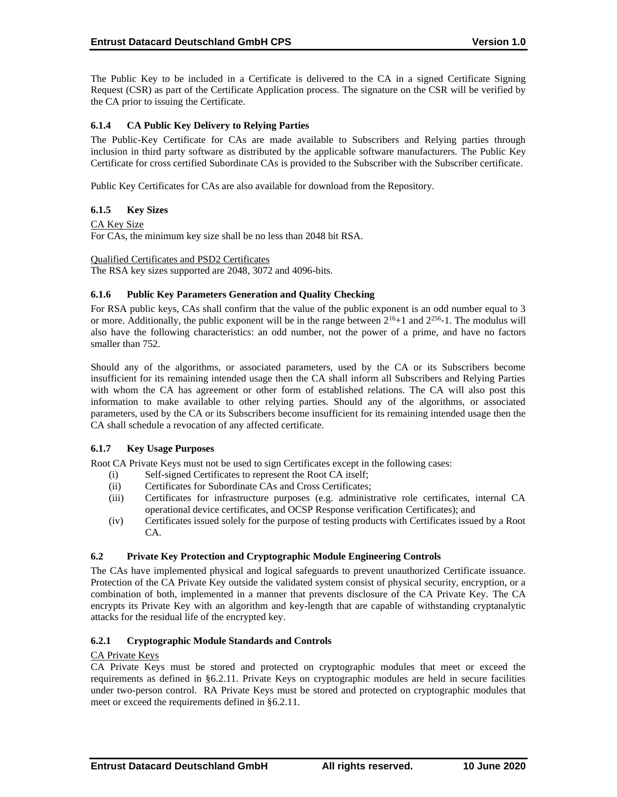The Public Key to be included in a Certificate is delivered to the CA in a signed Certificate Signing Request (CSR) as part of the Certificate Application process. The signature on the CSR will be verified by the CA prior to issuing the Certificate.

# **6.1.4 CA Public Key Delivery to Relying Parties**

The Public-Key Certificate for CAs are made available to Subscribers and Relying parties through inclusion in third party software as distributed by the applicable software manufacturers. The Public Key Certificate for cross certified Subordinate CAs is provided to the Subscriber with the Subscriber certificate.

Public Key Certificates for CAs are also available for download from the Repository.

# **6.1.5 Key Sizes**

### CA Key Size

For CAs, the minimum key size shall be no less than 2048 bit RSA.

Qualified Certificates and PSD2 Certificates

The RSA key sizes supported are 2048, 3072 and 4096-bits.

### **6.1.6 Public Key Parameters Generation and Quality Checking**

For RSA public keys, CAs shall confirm that the value of the public exponent is an odd number equal to 3 or more. Additionally, the public exponent will be in the range between  $2^{16}+1$  and  $2^{256}$ -1. The modulus will also have the following characteristics: an odd number, not the power of a prime, and have no factors smaller than 752.

Should any of the algorithms, or associated parameters, used by the CA or its Subscribers become insufficient for its remaining intended usage then the CA shall inform all Subscribers and Relying Parties with whom the CA has agreement or other form of established relations. The CA will also post this information to make available to other relying parties. Should any of the algorithms, or associated parameters, used by the CA or its Subscribers become insufficient for its remaining intended usage then the CA shall schedule a revocation of any affected certificate.

# **6.1.7 Key Usage Purposes**

Root CA Private Keys must not be used to sign Certificates except in the following cases:

- (i) Self-signed Certificates to represent the Root CA itself;
- (ii) Certificates for Subordinate CAs and Cross Certificates;
- (iii) Certificates for infrastructure purposes (e.g. administrative role certificates, internal CA operational device certificates, and OCSP Response verification Certificates); and
- (iv) Certificates issued solely for the purpose of testing products with Certificates issued by a Root CA.

# **6.2 Private Key Protection and Cryptographic Module Engineering Controls**

The CAs have implemented physical and logical safeguards to prevent unauthorized Certificate issuance. Protection of the CA Private Key outside the validated system consist of physical security, encryption, or a combination of both, implemented in a manner that prevents disclosure of the CA Private Key. The CA encrypts its Private Key with an algorithm and key-length that are capable of withstanding cryptanalytic attacks for the residual life of the encrypted key.

# **6.2.1 Cryptographic Module Standards and Controls**

### CA Private Keys

CA Private Keys must be stored and protected on cryptographic modules that meet or exceed the requirements as defined in §6.2.11. Private Keys on cryptographic modules are held in secure facilities under two-person control. RA Private Keys must be stored and protected on cryptographic modules that meet or exceed the requirements defined in §6.2.11.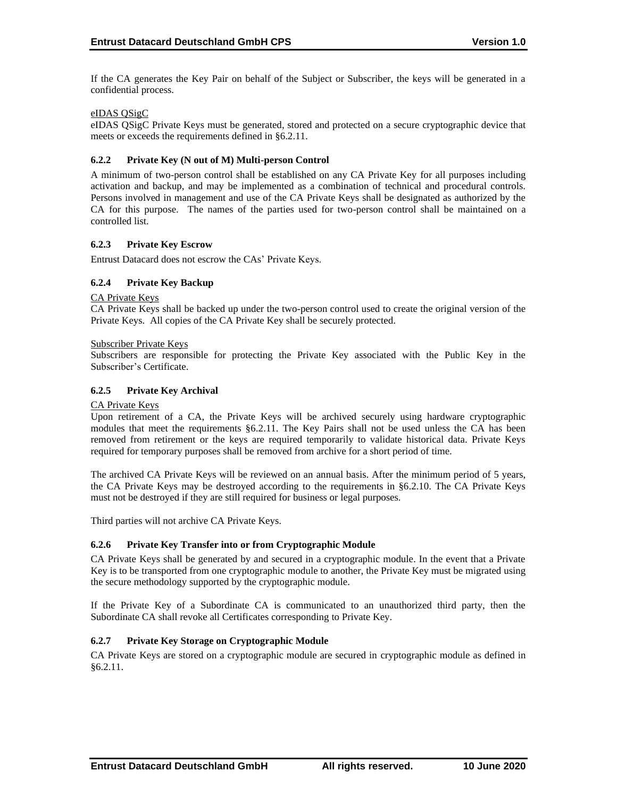If the CA generates the Key Pair on behalf of the Subject or Subscriber, the keys will be generated in a confidential process.

## eIDAS QSigC

eIDAS QSigC Private Keys must be generated, stored and protected on a secure cryptographic device that meets or exceeds the requirements defined in §6.2.11.

### **6.2.2 Private Key (N out of M) Multi-person Control**

A minimum of two-person control shall be established on any CA Private Key for all purposes including activation and backup, and may be implemented as a combination of technical and procedural controls. Persons involved in management and use of the CA Private Keys shall be designated as authorized by the CA for this purpose. The names of the parties used for two-person control shall be maintained on a controlled list.

### **6.2.3 Private Key Escrow**

Entrust Datacard does not escrow the CAs' Private Keys.

### **6.2.4 Private Key Backup**

CA Private Keys

CA Private Keys shall be backed up under the two-person control used to create the original version of the Private Keys. All copies of the CA Private Key shall be securely protected.

#### Subscriber Private Keys

Subscribers are responsible for protecting the Private Key associated with the Public Key in the Subscriber's Certificate.

### **6.2.5 Private Key Archival**

### CA Private Keys

Upon retirement of a CA, the Private Keys will be archived securely using hardware cryptographic modules that meet the requirements §6.2.11. The Key Pairs shall not be used unless the CA has been removed from retirement or the keys are required temporarily to validate historical data. Private Keys required for temporary purposes shall be removed from archive for a short period of time.

The archived CA Private Keys will be reviewed on an annual basis. After the minimum period of 5 years, the CA Private Keys may be destroyed according to the requirements in §6.2.10. The CA Private Keys must not be destroyed if they are still required for business or legal purposes.

Third parties will not archive CA Private Keys.

### **6.2.6 Private Key Transfer into or from Cryptographic Module**

CA Private Keys shall be generated by and secured in a cryptographic module. In the event that a Private Key is to be transported from one cryptographic module to another, the Private Key must be migrated using the secure methodology supported by the cryptographic module.

If the Private Key of a Subordinate CA is communicated to an unauthorized third party, then the Subordinate CA shall revoke all Certificates corresponding to Private Key.

### **6.2.7 Private Key Storage on Cryptographic Module**

CA Private Keys are stored on a cryptographic module are secured in cryptographic module as defined in §6.2.11.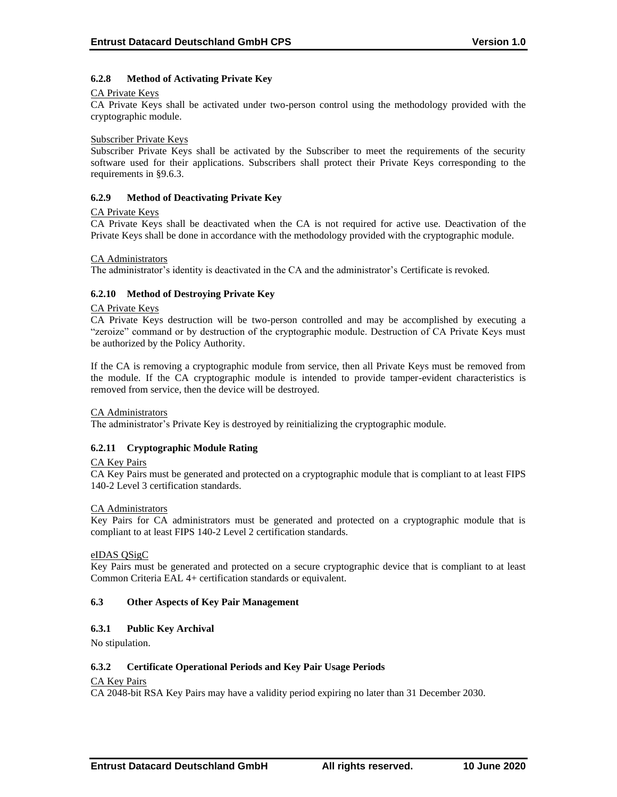## **6.2.8 Method of Activating Private Key**

### CA Private Keys

CA Private Keys shall be activated under two-person control using the methodology provided with the cryptographic module.

#### Subscriber Private Keys

Subscriber Private Keys shall be activated by the Subscriber to meet the requirements of the security software used for their applications. Subscribers shall protect their Private Keys corresponding to the requirements in §9.6.3.

### **6.2.9 Method of Deactivating Private Key**

#### CA Private Keys

CA Private Keys shall be deactivated when the CA is not required for active use. Deactivation of the Private Keys shall be done in accordance with the methodology provided with the cryptographic module.

#### CA Administrators

The administrator's identity is deactivated in the CA and the administrator's Certificate is revoked.

### **6.2.10 Method of Destroying Private Key**

#### CA Private Keys

CA Private Keys destruction will be two-person controlled and may be accomplished by executing a "zeroize" command or by destruction of the cryptographic module. Destruction of CA Private Keys must be authorized by the Policy Authority.

If the CA is removing a cryptographic module from service, then all Private Keys must be removed from the module. If the CA cryptographic module is intended to provide tamper-evident characteristics is removed from service, then the device will be destroyed.

### CA Administrators

The administrator's Private Key is destroyed by reinitializing the cryptographic module.

### **6.2.11 Cryptographic Module Rating**

### CA Key Pairs

CA Key Pairs must be generated and protected on a cryptographic module that is compliant to at least FIPS 140-2 Level 3 certification standards.

### CA Administrators

Key Pairs for CA administrators must be generated and protected on a cryptographic module that is compliant to at least FIPS 140-2 Level 2 certification standards.

#### eIDAS QSigC

Key Pairs must be generated and protected on a secure cryptographic device that is compliant to at least Common Criteria EAL 4+ certification standards or equivalent.

### **6.3 Other Aspects of Key Pair Management**

### **6.3.1 Public Key Archival**

No stipulation.

### **6.3.2 Certificate Operational Periods and Key Pair Usage Periods**

### CA Key Pairs

CA 2048-bit RSA Key Pairs may have a validity period expiring no later than 31 December 2030.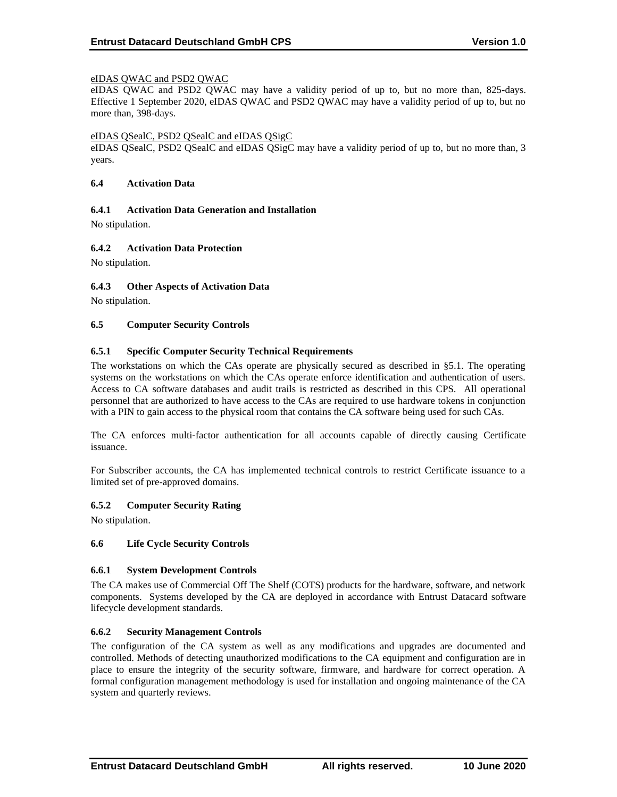### eIDAS QWAC and PSD2 QWAC

eIDAS QWAC and PSD2 QWAC may have a validity period of up to, but no more than, 825-days. Effective 1 September 2020, eIDAS QWAC and PSD2 QWAC may have a validity period of up to, but no more than, 398-days.

### eIDAS QSealC, PSD2 QSealC and eIDAS QSigC

eIDAS QSealC, PSD2 QSealC and eIDAS QSigC may have a validity period of up to, but no more than, 3 years.

### **6.4 Activation Data**

### **6.4.1 Activation Data Generation and Installation**

No stipulation.

### **6.4.2 Activation Data Protection**

No stipulation.

### **6.4.3 Other Aspects of Activation Data**

No stipulation.

### **6.5 Computer Security Controls**

### **6.5.1 Specific Computer Security Technical Requirements**

The workstations on which the CAs operate are physically secured as described in §5.1. The operating systems on the workstations on which the CAs operate enforce identification and authentication of users. Access to CA software databases and audit trails is restricted as described in this CPS. All operational personnel that are authorized to have access to the CAs are required to use hardware tokens in conjunction with a PIN to gain access to the physical room that contains the CA software being used for such CAs.

The CA enforces multi‐factor authentication for all accounts capable of directly causing Certificate issuance.

For Subscriber accounts, the CA has implemented technical controls to restrict Certificate issuance to a limited set of pre-approved domains.

### **6.5.2 Computer Security Rating**

No stipulation.

### **6.6 Life Cycle Security Controls**

### **6.6.1 System Development Controls**

The CA makes use of Commercial Off The Shelf (COTS) products for the hardware, software, and network components. Systems developed by the CA are deployed in accordance with Entrust Datacard software lifecycle development standards.

### **6.6.2 Security Management Controls**

The configuration of the CA system as well as any modifications and upgrades are documented and controlled. Methods of detecting unauthorized modifications to the CA equipment and configuration are in place to ensure the integrity of the security software, firmware, and hardware for correct operation. A formal configuration management methodology is used for installation and ongoing maintenance of the CA system and quarterly reviews.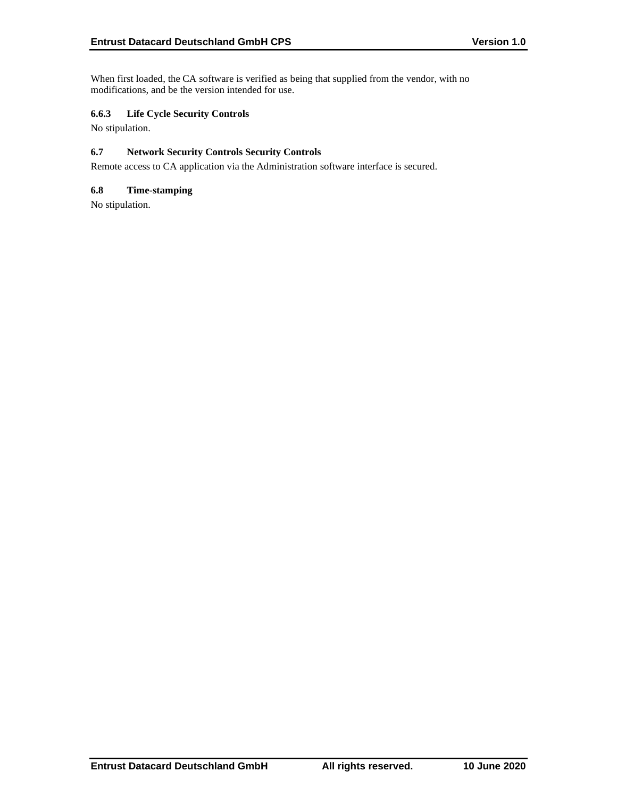When first loaded, the CA software is verified as being that supplied from the vendor, with no modifications, and be the version intended for use.

# **6.6.3 Life Cycle Security Controls**

No stipulation.

# **6.7 Network Security Controls Security Controls**

Remote access to CA application via the Administration software interface is secured.

## **6.8 Time-stamping**

No stipulation.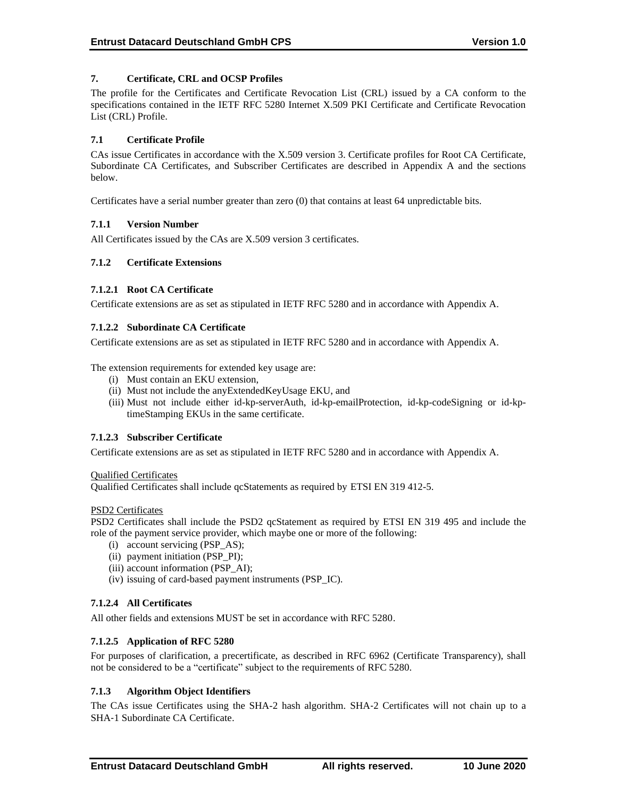## **7. Certificate, CRL and OCSP Profiles**

The profile for the Certificates and Certificate Revocation List (CRL) issued by a CA conform to the specifications contained in the IETF RFC 5280 Internet X.509 PKI Certificate and Certificate Revocation List (CRL) Profile.

### **7.1 Certificate Profile**

CAs issue Certificates in accordance with the X.509 version 3. Certificate profiles for Root CA Certificate, Subordinate CA Certificates, and Subscriber Certificates are described in Appendix A and the sections below.

Certificates have a serial number greater than zero (0) that contains at least 64 unpredictable bits.

### **7.1.1 Version Number**

All Certificates issued by the CAs are X.509 version 3 certificates.

### **7.1.2 Certificate Extensions**

### **7.1.2.1 Root CA Certificate**

Certificate extensions are as set as stipulated in IETF RFC 5280 and in accordance with Appendix A.

### **7.1.2.2 Subordinate CA Certificate**

Certificate extensions are as set as stipulated in IETF RFC 5280 and in accordance with Appendix A.

The extension requirements for extended key usage are:

- (i) Must contain an EKU extension,
- (ii) Must not include the anyExtendedKeyUsage EKU, and
- (iii) Must not include either id-kp-serverAuth, id-kp-emailProtection, id-kp-codeSigning or id-kptimeStamping EKUs in the same certificate.

### **7.1.2.3 Subscriber Certificate**

Certificate extensions are as set as stipulated in IETF RFC 5280 and in accordance with Appendix A.

### Qualified Certificates

Qualified Certificates shall include qcStatements as required by ETSI EN 319 412-5.

### PSD2 Certificates

PSD2 Certificates shall include the PSD2 qcStatement as required by ETSI EN 319 495 and include the role of the payment service provider, which maybe one or more of the following:

- (i) account servicing (PSP\_AS);
- (ii) payment initiation (PSP\_PI);
- (iii) account information (PSP\_AI);
- (iv) issuing of card-based payment instruments (PSP\_IC).

# **7.1.2.4 All Certificates**

All other fields and extensions MUST be set in accordance with RFC 5280.

### **7.1.2.5 Application of RFC 5280**

For purposes of clarification, a precertificate, as described in RFC 6962 (Certificate Transparency), shall not be considered to be a "certificate" subject to the requirements of RFC 5280.

### **7.1.3 Algorithm Object Identifiers**

The CAs issue Certificates using the SHA-2 hash algorithm. SHA‐2 Certificates will not chain up to a SHA‐1 Subordinate CA Certificate.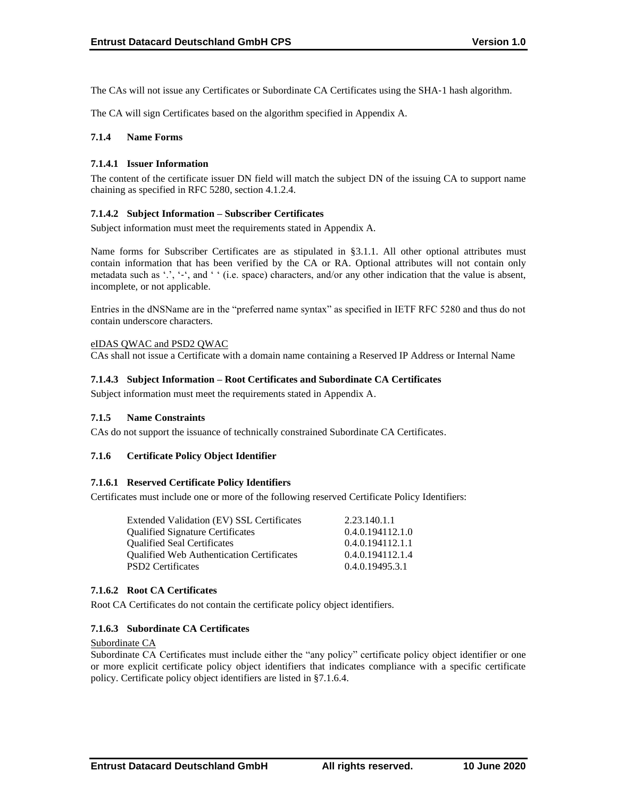The CAs will not issue any Certificates or Subordinate CA Certificates using the SHA-1 hash algorithm.

The CA will sign Certificates based on the algorithm specified in Appendix A.

### **7.1.4 Name Forms**

### **7.1.4.1 Issuer Information**

The content of the certificate issuer DN field will match the subject DN of the issuing CA to support name chaining as specified in RFC 5280, section 4.1.2.4.

### **7.1.4.2 Subject Information – Subscriber Certificates**

Subject information must meet the requirements stated in Appendix A.

Name forms for Subscriber Certificates are as stipulated in §3.1.1. All other optional attributes must contain information that has been verified by the CA or RA. Optional attributes will not contain only metadata such as '.', '-', and '' (i.e. space) characters, and/or any other indication that the value is absent, incomplete, or not applicable.

Entries in the dNSName are in the "preferred name syntax" as specified in IETF RFC 5280 and thus do not contain underscore characters.

### eIDAS QWAC and PSD2 QWAC

CAs shall not issue a Certificate with a domain name containing a Reserved IP Address or Internal Name

### **7.1.4.3 Subject Information – Root Certificates and Subordinate CA Certificates**

Subject information must meet the requirements stated in Appendix A.

### **7.1.5 Name Constraints**

CAs do not support the issuance of technically constrained Subordinate CA Certificates.

### **7.1.6 Certificate Policy Object Identifier**

### **7.1.6.1 Reserved Certificate Policy Identifiers**

Certificates must include one or more of the following reserved Certificate Policy Identifiers:

| Extended Validation (EV) SSL Certificates        | 2.23.140.1.1     |
|--------------------------------------------------|------------------|
| <b>Qualified Signature Certificates</b>          | 0.4.0.194112.1.0 |
| <b>Oualified Seal Certificates</b>               | 0.4.0.194112.1.1 |
| <b>Qualified Web Authentication Certificates</b> | 0.4.0.194112.1.4 |
| <b>PSD2</b> Certificates                         | 0.4.0.19495.3.1  |
|                                                  |                  |

### **7.1.6.2 Root CA Certificates**

Root CA Certificates do not contain the certificate policy object identifiers.

### **7.1.6.3 Subordinate CA Certificates**

Subordinate CA

Subordinate CA Certificates must include either the "any policy" certificate policy object identifier or one or more explicit certificate policy object identifiers that indicates compliance with a specific certificate policy. Certificate policy object identifiers are listed in §7.1.6.4.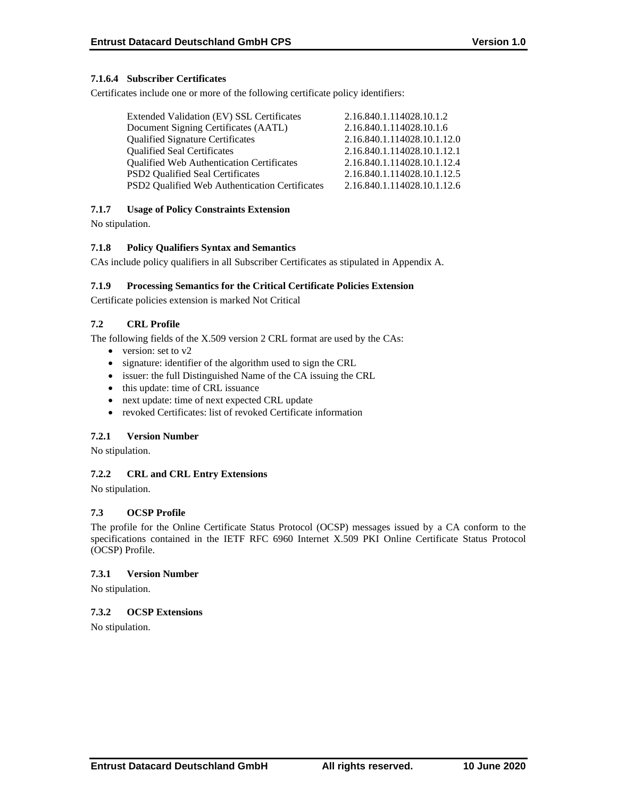# **7.1.6.4 Subscriber Certificates**

Certificates include one or more of the following certificate policy identifiers:

| 2.16.840.1.114028.10.1.2    |
|-----------------------------|
| 2.16.840.1.114028.10.1.6    |
| 2.16.840.1.114028.10.1.12.0 |
| 2.16.840.1.114028.10.1.12.1 |
| 2.16.840.1.114028.10.1.12.4 |
| 2.16.840.1.114028.10.1.12.5 |
| 2.16.840.1.114028.10.1.12.6 |
|                             |

### **7.1.7 Usage of Policy Constraints Extension**

No stipulation.

### **7.1.8 Policy Qualifiers Syntax and Semantics**

CAs include policy qualifiers in all Subscriber Certificates as stipulated in Appendix A.

### **7.1.9 Processing Semantics for the Critical Certificate Policies Extension**

Certificate policies extension is marked Not Critical

# **7.2 CRL Profile**

The following fields of the X.509 version 2 CRL format are used by the CAs:

- version: set to v2
- signature: identifier of the algorithm used to sign the CRL
- issuer: the full Distinguished Name of the CA issuing the CRL
- this update: time of CRL issuance
- next update: time of next expected CRL update
- revoked Certificates: list of revoked Certificate information

### **7.2.1 Version Number**

No stipulation.

### **7.2.2 CRL and CRL Entry Extensions**

No stipulation.

### **7.3 OCSP Profile**

The profile for the Online Certificate Status Protocol (OCSP) messages issued by a CA conform to the specifications contained in the IETF RFC 6960 Internet X.509 PKI Online Certificate Status Protocol (OCSP) Profile.

### **7.3.1 Version Number**

No stipulation.

### **7.3.2 OCSP Extensions**

No stipulation.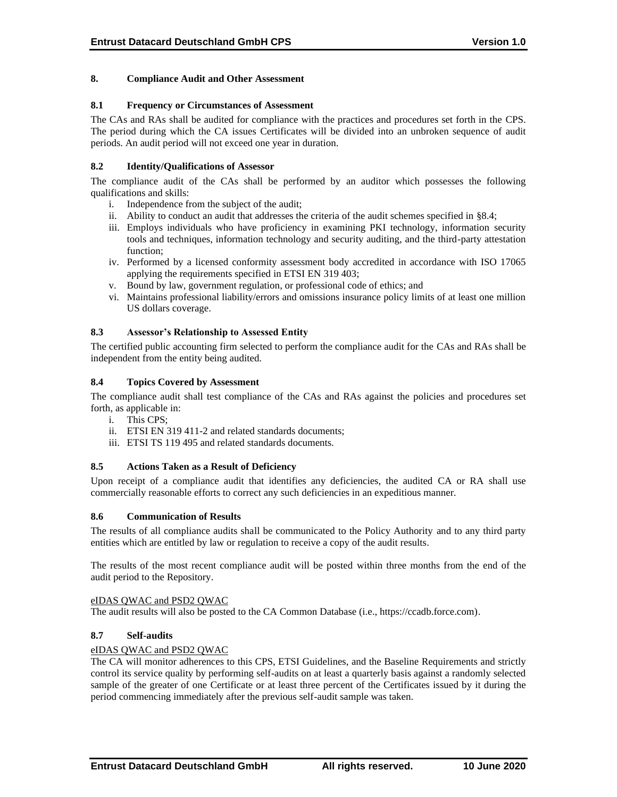### **8. Compliance Audit and Other Assessment**

### **8.1 Frequency or Circumstances of Assessment**

The CAs and RAs shall be audited for compliance with the practices and procedures set forth in the CPS. The period during which the CA issues Certificates will be divided into an unbroken sequence of audit periods. An audit period will not exceed one year in duration.

### **8.2 Identity/Qualifications of Assessor**

The compliance audit of the CAs shall be performed by an auditor which possesses the following qualifications and skills:

- i. Independence from the subject of the audit;
- ii. Ability to conduct an audit that addresses the criteria of the audit schemes specified in §8.4;
- iii. Employs individuals who have proficiency in examining PKI technology, information security tools and techniques, information technology and security auditing, and the third-party attestation function;
- iv. Performed by a licensed conformity assessment body accredited in accordance with ISO 17065 applying the requirements specified in ETSI EN 319 403;
- v. Bound by law, government regulation, or professional code of ethics; and
- vi. Maintains professional liability/errors and omissions insurance policy limits of at least one million US dollars coverage.

### **8.3 Assessor's Relationship to Assessed Entity**

The certified public accounting firm selected to perform the compliance audit for the CAs and RAs shall be independent from the entity being audited.

### **8.4 Topics Covered by Assessment**

The compliance audit shall test compliance of the CAs and RAs against the policies and procedures set forth, as applicable in:

- i. This CPS;
- ii. ETSI EN 319 411-2 and related standards documents;
- iii. ETSI TS 119 495 and related standards documents.

### **8.5 Actions Taken as a Result of Deficiency**

Upon receipt of a compliance audit that identifies any deficiencies, the audited CA or RA shall use commercially reasonable efforts to correct any such deficiencies in an expeditious manner.

### **8.6 Communication of Results**

The results of all compliance audits shall be communicated to the Policy Authority and to any third party entities which are entitled by law or regulation to receive a copy of the audit results.

The results of the most recent compliance audit will be posted within three months from the end of the audit period to the Repository.

### eIDAS QWAC and PSD2 QWAC

The audit results will also be posted to the CA Common Database (i.e., https://ccadb.force.com).

### **8.7 Self-audits**

### eIDAS QWAC and PSD2 QWAC

The CA will monitor adherences to this CPS, ETSI Guidelines, and the Baseline Requirements and strictly control its service quality by performing self-audits on at least a quarterly basis against a randomly selected sample of the greater of one Certificate or at least three percent of the Certificates issued by it during the period commencing immediately after the previous self-audit sample was taken.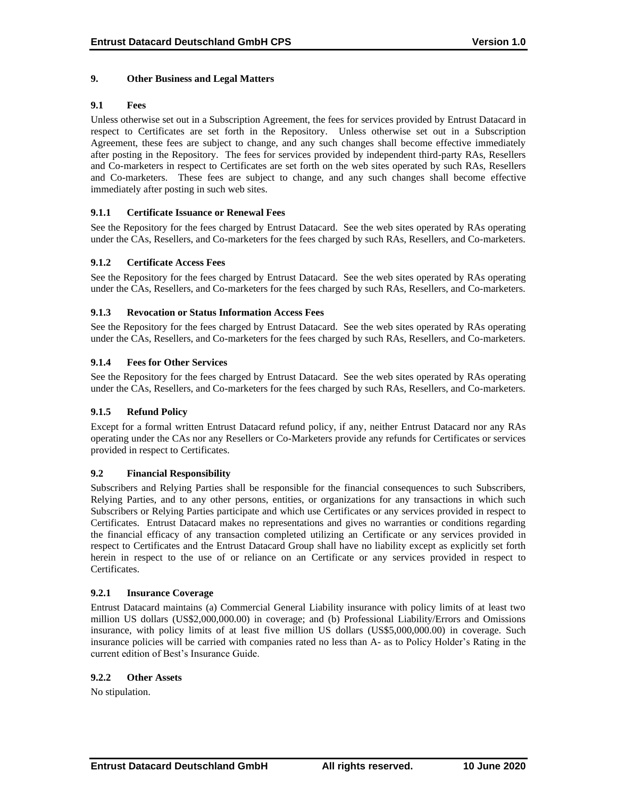### **9. Other Business and Legal Matters**

### **9.1 Fees**

Unless otherwise set out in a Subscription Agreement, the fees for services provided by Entrust Datacard in respect to Certificates are set forth in the Repository. Unless otherwise set out in a Subscription Agreement, these fees are subject to change, and any such changes shall become effective immediately after posting in the Repository. The fees for services provided by independent third-party RAs, Resellers and Co-marketers in respect to Certificates are set forth on the web sites operated by such RAs, Resellers and Co-marketers. These fees are subject to change, and any such changes shall become effective immediately after posting in such web sites.

### **9.1.1 Certificate Issuance or Renewal Fees**

See the Repository for the fees charged by Entrust Datacard. See the web sites operated by RAs operating under the CAs, Resellers, and Co-marketers for the fees charged by such RAs, Resellers, and Co-marketers.

### **9.1.2 Certificate Access Fees**

See the Repository for the fees charged by Entrust Datacard. See the web sites operated by RAs operating under the CAs, Resellers, and Co-marketers for the fees charged by such RAs, Resellers, and Co-marketers.

### **9.1.3 Revocation or Status Information Access Fees**

See the Repository for the fees charged by Entrust Datacard. See the web sites operated by RAs operating under the CAs, Resellers, and Co-marketers for the fees charged by such RAs, Resellers, and Co-marketers.

### **9.1.4 Fees for Other Services**

See the Repository for the fees charged by Entrust Datacard. See the web sites operated by RAs operating under the CAs, Resellers, and Co-marketers for the fees charged by such RAs, Resellers, and Co-marketers.

### **9.1.5 Refund Policy**

Except for a formal written Entrust Datacard refund policy, if any, neither Entrust Datacard nor any RAs operating under the CAs nor any Resellers or Co-Marketers provide any refunds for Certificates or services provided in respect to Certificates.

### **9.2 Financial Responsibility**

Subscribers and Relying Parties shall be responsible for the financial consequences to such Subscribers, Relying Parties, and to any other persons, entities, or organizations for any transactions in which such Subscribers or Relying Parties participate and which use Certificates or any services provided in respect to Certificates. Entrust Datacard makes no representations and gives no warranties or conditions regarding the financial efficacy of any transaction completed utilizing an Certificate or any services provided in respect to Certificates and the Entrust Datacard Group shall have no liability except as explicitly set forth herein in respect to the use of or reliance on an Certificate or any services provided in respect to Certificates.

### **9.2.1 Insurance Coverage**

Entrust Datacard maintains (a) Commercial General Liability insurance with policy limits of at least two million US dollars (US\$2,000,000.00) in coverage; and (b) Professional Liability/Errors and Omissions insurance, with policy limits of at least five million US dollars (US\$5,000,000.00) in coverage. Such insurance policies will be carried with companies rated no less than A- as to Policy Holder's Rating in the current edition of Best's Insurance Guide.

### **9.2.2 Other Assets**

No stipulation.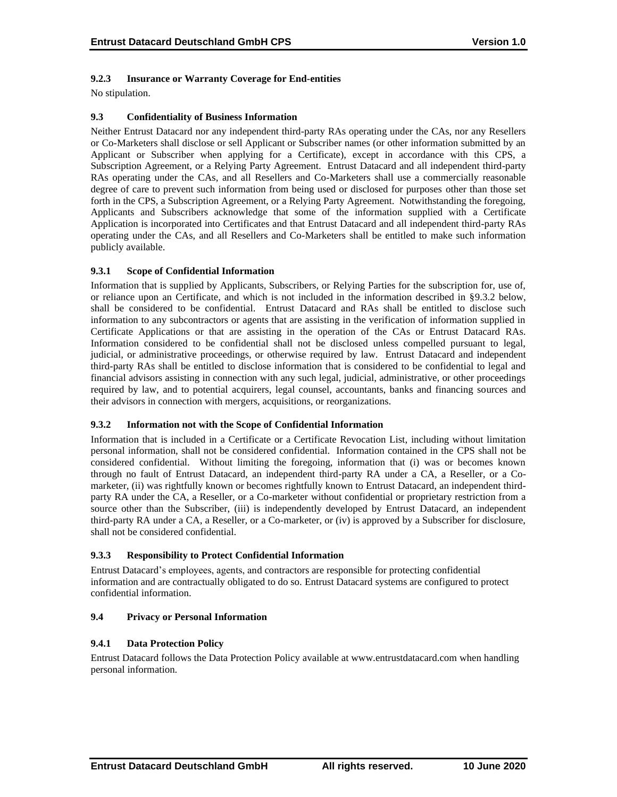# **9.2.3 Insurance or Warranty Coverage for End-entities**

No stipulation.

# **9.3 Confidentiality of Business Information**

Neither Entrust Datacard nor any independent third-party RAs operating under the CAs, nor any Resellers or Co-Marketers shall disclose or sell Applicant or Subscriber names (or other information submitted by an Applicant or Subscriber when applying for a Certificate), except in accordance with this CPS, a Subscription Agreement, or a Relying Party Agreement. Entrust Datacard and all independent third-party RAs operating under the CAs, and all Resellers and Co-Marketers shall use a commercially reasonable degree of care to prevent such information from being used or disclosed for purposes other than those set forth in the CPS, a Subscription Agreement, or a Relying Party Agreement. Notwithstanding the foregoing, Applicants and Subscribers acknowledge that some of the information supplied with a Certificate Application is incorporated into Certificates and that Entrust Datacard and all independent third-party RAs operating under the CAs, and all Resellers and Co-Marketers shall be entitled to make such information publicly available.

### **9.3.1 Scope of Confidential Information**

Information that is supplied by Applicants, Subscribers, or Relying Parties for the subscription for, use of, or reliance upon an Certificate, and which is not included in the information described in §9.3.2 below, shall be considered to be confidential. Entrust Datacard and RAs shall be entitled to disclose such information to any subcontractors or agents that are assisting in the verification of information supplied in Certificate Applications or that are assisting in the operation of the CAs or Entrust Datacard RAs. Information considered to be confidential shall not be disclosed unless compelled pursuant to legal, judicial, or administrative proceedings, or otherwise required by law. Entrust Datacard and independent third-party RAs shall be entitled to disclose information that is considered to be confidential to legal and financial advisors assisting in connection with any such legal, judicial, administrative, or other proceedings required by law, and to potential acquirers, legal counsel, accountants, banks and financing sources and their advisors in connection with mergers, acquisitions, or reorganizations.

### **9.3.2 Information not with the Scope of Confidential Information**

Information that is included in a Certificate or a Certificate Revocation List, including without limitation personal information, shall not be considered confidential. Information contained in the CPS shall not be considered confidential. Without limiting the foregoing, information that (i) was or becomes known through no fault of Entrust Datacard, an independent third-party RA under a CA, a Reseller, or a Comarketer, (ii) was rightfully known or becomes rightfully known to Entrust Datacard, an independent thirdparty RA under the CA, a Reseller, or a Co-marketer without confidential or proprietary restriction from a source other than the Subscriber, (iii) is independently developed by Entrust Datacard, an independent third-party RA under a CA, a Reseller, or a Co-marketer, or (iv) is approved by a Subscriber for disclosure, shall not be considered confidential.

# **9.3.3 Responsibility to Protect Confidential Information**

Entrust Datacard's employees, agents, and contractors are responsible for protecting confidential information and are contractually obligated to do so. Entrust Datacard systems are configured to protect confidential information.

### **9.4 Privacy or Personal Information**

### **9.4.1 Data Protection Policy**

Entrust Datacard follows the Data Protection Policy available at www.entrustdatacard.com when handling personal information.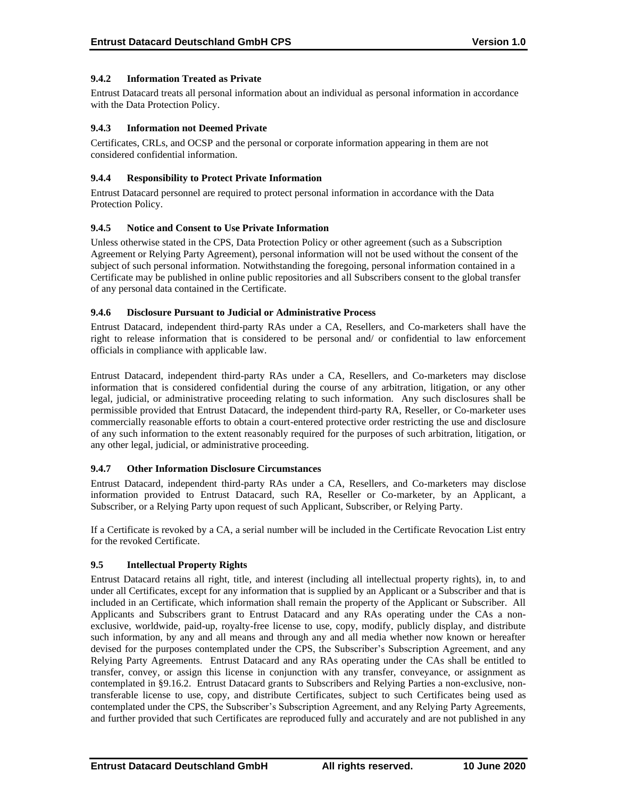### **9.4.2 Information Treated as Private**

Entrust Datacard treats all personal information about an individual as personal information in accordance with the Data Protection Policy.

### **9.4.3 Information not Deemed Private**

Certificates, CRLs, and OCSP and the personal or corporate information appearing in them are not considered confidential information.

### **9.4.4 Responsibility to Protect Private Information**

Entrust Datacard personnel are required to protect personal information in accordance with the Data Protection Policy.

### **9.4.5 Notice and Consent to Use Private Information**

Unless otherwise stated in the CPS, Data Protection Policy or other agreement (such as a Subscription Agreement or Relying Party Agreement), personal information will not be used without the consent of the subject of such personal information. Notwithstanding the foregoing, personal information contained in a Certificate may be published in online public repositories and all Subscribers consent to the global transfer of any personal data contained in the Certificate.

### **9.4.6 Disclosure Pursuant to Judicial or Administrative Process**

Entrust Datacard, independent third-party RAs under a CA, Resellers, and Co-marketers shall have the right to release information that is considered to be personal and/ or confidential to law enforcement officials in compliance with applicable law.

Entrust Datacard, independent third-party RAs under a CA, Resellers, and Co-marketers may disclose information that is considered confidential during the course of any arbitration, litigation, or any other legal, judicial, or administrative proceeding relating to such information. Any such disclosures shall be permissible provided that Entrust Datacard, the independent third-party RA, Reseller, or Co-marketer uses commercially reasonable efforts to obtain a court-entered protective order restricting the use and disclosure of any such information to the extent reasonably required for the purposes of such arbitration, litigation, or any other legal, judicial, or administrative proceeding.

### **9.4.7 Other Information Disclosure Circumstances**

Entrust Datacard, independent third-party RAs under a CA, Resellers, and Co-marketers may disclose information provided to Entrust Datacard, such RA, Reseller or Co-marketer, by an Applicant, a Subscriber, or a Relying Party upon request of such Applicant, Subscriber, or Relying Party.

If a Certificate is revoked by a CA, a serial number will be included in the Certificate Revocation List entry for the revoked Certificate.

# **9.5 Intellectual Property Rights**

Entrust Datacard retains all right, title, and interest (including all intellectual property rights), in, to and under all Certificates, except for any information that is supplied by an Applicant or a Subscriber and that is included in an Certificate, which information shall remain the property of the Applicant or Subscriber. All Applicants and Subscribers grant to Entrust Datacard and any RAs operating under the CAs a nonexclusive, worldwide, paid-up, royalty-free license to use, copy, modify, publicly display, and distribute such information, by any and all means and through any and all media whether now known or hereafter devised for the purposes contemplated under the CPS, the Subscriber's Subscription Agreement, and any Relying Party Agreements. Entrust Datacard and any RAs operating under the CAs shall be entitled to transfer, convey, or assign this license in conjunction with any transfer, conveyance, or assignment as contemplated in §9.16.2. Entrust Datacard grants to Subscribers and Relying Parties a non-exclusive, nontransferable license to use, copy, and distribute Certificates, subject to such Certificates being used as contemplated under the CPS, the Subscriber's Subscription Agreement, and any Relying Party Agreements, and further provided that such Certificates are reproduced fully and accurately and are not published in any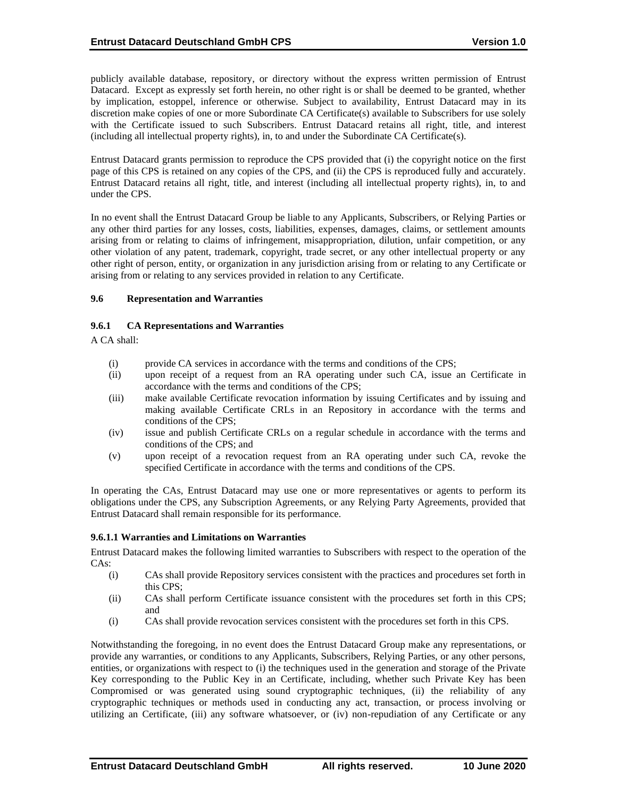publicly available database, repository, or directory without the express written permission of Entrust Datacard. Except as expressly set forth herein, no other right is or shall be deemed to be granted, whether by implication, estoppel, inference or otherwise. Subject to availability, Entrust Datacard may in its discretion make copies of one or more Subordinate CA Certificate(s) available to Subscribers for use solely with the Certificate issued to such Subscribers. Entrust Datacard retains all right, title, and interest (including all intellectual property rights), in, to and under the Subordinate CA Certificate(s).

Entrust Datacard grants permission to reproduce the CPS provided that (i) the copyright notice on the first page of this CPS is retained on any copies of the CPS, and (ii) the CPS is reproduced fully and accurately. Entrust Datacard retains all right, title, and interest (including all intellectual property rights), in, to and under the CPS.

In no event shall the Entrust Datacard Group be liable to any Applicants, Subscribers, or Relying Parties or any other third parties for any losses, costs, liabilities, expenses, damages, claims, or settlement amounts arising from or relating to claims of infringement, misappropriation, dilution, unfair competition, or any other violation of any patent, trademark, copyright, trade secret, or any other intellectual property or any other right of person, entity, or organization in any jurisdiction arising from or relating to any Certificate or arising from or relating to any services provided in relation to any Certificate.

### **9.6 Representation and Warranties**

### **9.6.1 CA Representations and Warranties**

A CA shall:

- (i) provide CA services in accordance with the terms and conditions of the CPS;
- (ii) upon receipt of a request from an RA operating under such CA, issue an Certificate in accordance with the terms and conditions of the CPS;
- (iii) make available Certificate revocation information by issuing Certificates and by issuing and making available Certificate CRLs in an Repository in accordance with the terms and conditions of the CPS;
- (iv) issue and publish Certificate CRLs on a regular schedule in accordance with the terms and conditions of the CPS; and
- (v) upon receipt of a revocation request from an RA operating under such CA, revoke the specified Certificate in accordance with the terms and conditions of the CPS.

In operating the CAs, Entrust Datacard may use one or more representatives or agents to perform its obligations under the CPS, any Subscription Agreements, or any Relying Party Agreements, provided that Entrust Datacard shall remain responsible for its performance.

### **9.6.1.1 Warranties and Limitations on Warranties**

Entrust Datacard makes the following limited warranties to Subscribers with respect to the operation of the CAs:

- (i) CAs shall provide Repository services consistent with the practices and procedures set forth in this CPS;
- (ii) CAs shall perform Certificate issuance consistent with the procedures set forth in this CPS; and
- (i) CAs shall provide revocation services consistent with the procedures set forth in this CPS.

Notwithstanding the foregoing, in no event does the Entrust Datacard Group make any representations, or provide any warranties, or conditions to any Applicants, Subscribers, Relying Parties, or any other persons, entities, or organizations with respect to (i) the techniques used in the generation and storage of the Private Key corresponding to the Public Key in an Certificate, including, whether such Private Key has been Compromised or was generated using sound cryptographic techniques, (ii) the reliability of any cryptographic techniques or methods used in conducting any act, transaction, or process involving or utilizing an Certificate, (iii) any software whatsoever, or (iv) non-repudiation of any Certificate or any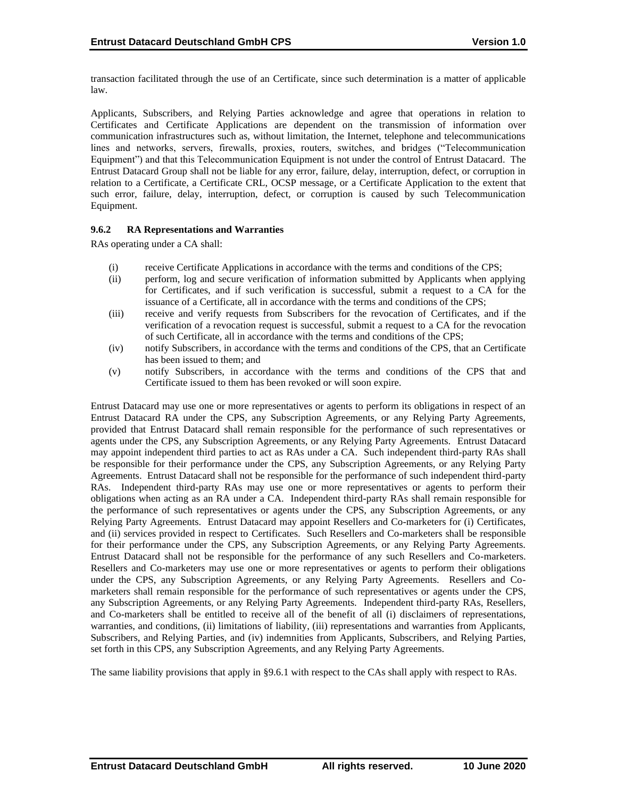transaction facilitated through the use of an Certificate, since such determination is a matter of applicable law.

Applicants, Subscribers, and Relying Parties acknowledge and agree that operations in relation to Certificates and Certificate Applications are dependent on the transmission of information over communication infrastructures such as, without limitation, the Internet, telephone and telecommunications lines and networks, servers, firewalls, proxies, routers, switches, and bridges ("Telecommunication Equipment") and that this Telecommunication Equipment is not under the control of Entrust Datacard. The Entrust Datacard Group shall not be liable for any error, failure, delay, interruption, defect, or corruption in relation to a Certificate, a Certificate CRL, OCSP message, or a Certificate Application to the extent that such error, failure, delay, interruption, defect, or corruption is caused by such Telecommunication Equipment.

### **9.6.2 RA Representations and Warranties**

RAs operating under a CA shall:

- (i) receive Certificate Applications in accordance with the terms and conditions of the CPS;
- (ii) perform, log and secure verification of information submitted by Applicants when applying for Certificates, and if such verification is successful, submit a request to a CA for the issuance of a Certificate, all in accordance with the terms and conditions of the CPS;
- (iii) receive and verify requests from Subscribers for the revocation of Certificates, and if the verification of a revocation request is successful, submit a request to a CA for the revocation of such Certificate, all in accordance with the terms and conditions of the CPS;
- (iv) notify Subscribers, in accordance with the terms and conditions of the CPS, that an Certificate has been issued to them; and
- (v) notify Subscribers, in accordance with the terms and conditions of the CPS that and Certificate issued to them has been revoked or will soon expire.

Entrust Datacard may use one or more representatives or agents to perform its obligations in respect of an Entrust Datacard RA under the CPS, any Subscription Agreements, or any Relying Party Agreements, provided that Entrust Datacard shall remain responsible for the performance of such representatives or agents under the CPS, any Subscription Agreements, or any Relying Party Agreements. Entrust Datacard may appoint independent third parties to act as RAs under a CA. Such independent third-party RAs shall be responsible for their performance under the CPS, any Subscription Agreements, or any Relying Party Agreements. Entrust Datacard shall not be responsible for the performance of such independent third-party RAs. Independent third-party RAs may use one or more representatives or agents to perform their obligations when acting as an RA under a CA. Independent third-party RAs shall remain responsible for the performance of such representatives or agents under the CPS, any Subscription Agreements, or any Relying Party Agreements. Entrust Datacard may appoint Resellers and Co-marketers for (i) Certificates, and (ii) services provided in respect to Certificates. Such Resellers and Co-marketers shall be responsible for their performance under the CPS, any Subscription Agreements, or any Relying Party Agreements. Entrust Datacard shall not be responsible for the performance of any such Resellers and Co-marketers. Resellers and Co-marketers may use one or more representatives or agents to perform their obligations under the CPS, any Subscription Agreements, or any Relying Party Agreements. Resellers and Comarketers shall remain responsible for the performance of such representatives or agents under the CPS, any Subscription Agreements, or any Relying Party Agreements. Independent third-party RAs, Resellers, and Co-marketers shall be entitled to receive all of the benefit of all (i) disclaimers of representations, warranties, and conditions, (ii) limitations of liability, (iii) representations and warranties from Applicants, Subscribers, and Relying Parties, and (iv) indemnities from Applicants, Subscribers, and Relying Parties, set forth in this CPS, any Subscription Agreements, and any Relying Party Agreements.

The same liability provisions that apply in §9.6.1 with respect to the CAs shall apply with respect to RAs.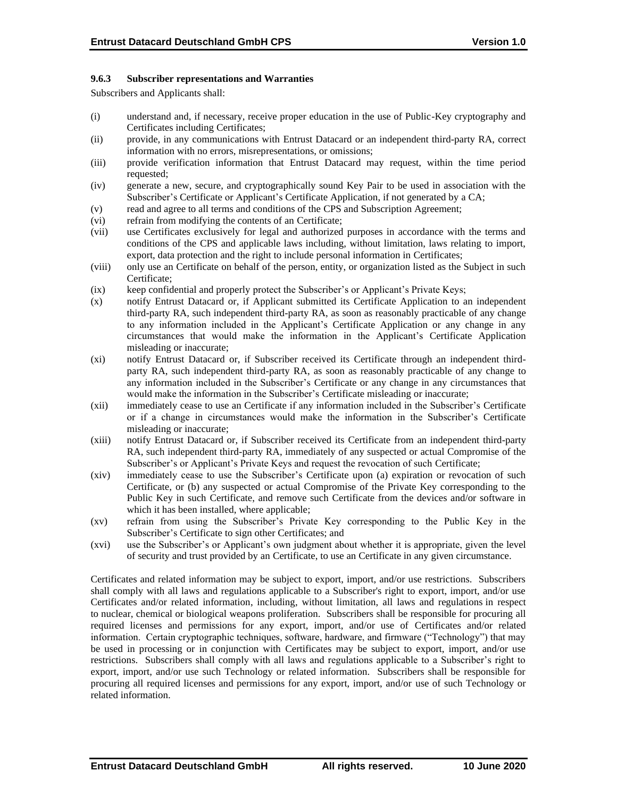### **9.6.3 Subscriber representations and Warranties**

Subscribers and Applicants shall:

- (i) understand and, if necessary, receive proper education in the use of Public-Key cryptography and Certificates including Certificates;
- (ii) provide, in any communications with Entrust Datacard or an independent third-party RA, correct information with no errors, misrepresentations, or omissions;
- (iii) provide verification information that Entrust Datacard may request, within the time period requested;
- (iv) generate a new, secure, and cryptographically sound Key Pair to be used in association with the Subscriber's Certificate or Applicant's Certificate Application, if not generated by a CA;
- (v) read and agree to all terms and conditions of the CPS and Subscription Agreement;
- (vi) refrain from modifying the contents of an Certificate;
- (vii) use Certificates exclusively for legal and authorized purposes in accordance with the terms and conditions of the CPS and applicable laws including, without limitation, laws relating to import, export, data protection and the right to include personal information in Certificates;
- (viii) only use an Certificate on behalf of the person, entity, or organization listed as the Subject in such Certificate;
- (ix) keep confidential and properly protect the Subscriber's or Applicant's Private Keys;
- (x) notify Entrust Datacard or, if Applicant submitted its Certificate Application to an independent third-party RA, such independent third-party RA, as soon as reasonably practicable of any change to any information included in the Applicant's Certificate Application or any change in any circumstances that would make the information in the Applicant's Certificate Application misleading or inaccurate;
- (xi) notify Entrust Datacard or, if Subscriber received its Certificate through an independent thirdparty RA, such independent third-party RA, as soon as reasonably practicable of any change to any information included in the Subscriber's Certificate or any change in any circumstances that would make the information in the Subscriber's Certificate misleading or inaccurate;
- (xii) immediately cease to use an Certificate if any information included in the Subscriber's Certificate or if a change in circumstances would make the information in the Subscriber's Certificate misleading or inaccurate;
- (xiii) notify Entrust Datacard or, if Subscriber received its Certificate from an independent third-party RA, such independent third-party RA, immediately of any suspected or actual Compromise of the Subscriber's or Applicant's Private Keys and request the revocation of such Certificate;
- (xiv) immediately cease to use the Subscriber's Certificate upon (a) expiration or revocation of such Certificate, or (b) any suspected or actual Compromise of the Private Key corresponding to the Public Key in such Certificate, and remove such Certificate from the devices and/or software in which it has been installed, where applicable;
- (xv) refrain from using the Subscriber's Private Key corresponding to the Public Key in the Subscriber's Certificate to sign other Certificates; and
- (xvi) use the Subscriber's or Applicant's own judgment about whether it is appropriate, given the level of security and trust provided by an Certificate, to use an Certificate in any given circumstance.

Certificates and related information may be subject to export, import, and/or use restrictions. Subscribers shall comply with all laws and regulations applicable to a Subscriber's right to export, import, and/or use Certificates and/or related information, including, without limitation, all laws and regulations in respect to nuclear, chemical or biological weapons proliferation. Subscribers shall be responsible for procuring all required licenses and permissions for any export, import, and/or use of Certificates and/or related information. Certain cryptographic techniques, software, hardware, and firmware ("Technology") that may be used in processing or in conjunction with Certificates may be subject to export, import, and/or use restrictions. Subscribers shall comply with all laws and regulations applicable to a Subscriber's right to export, import, and/or use such Technology or related information. Subscribers shall be responsible for procuring all required licenses and permissions for any export, import, and/or use of such Technology or related information.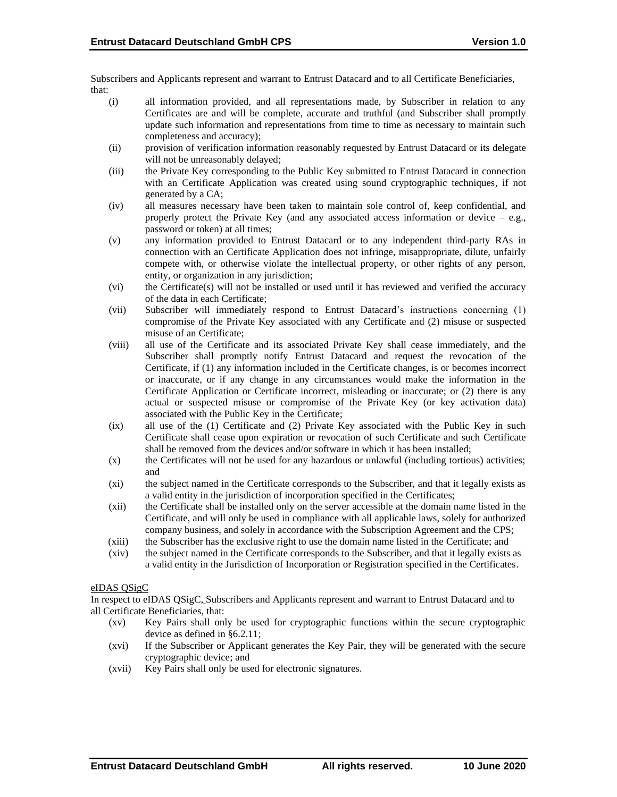Subscribers and Applicants represent and warrant to Entrust Datacard and to all Certificate Beneficiaries, that:

- (i) all information provided, and all representations made, by Subscriber in relation to any Certificates are and will be complete, accurate and truthful (and Subscriber shall promptly update such information and representations from time to time as necessary to maintain such completeness and accuracy);
- (ii) provision of verification information reasonably requested by Entrust Datacard or its delegate will not be unreasonably delayed;
- (iii) the Private Key corresponding to the Public Key submitted to Entrust Datacard in connection with an Certificate Application was created using sound cryptographic techniques, if not generated by a CA;
- (iv) all measures necessary have been taken to maintain sole control of, keep confidential, and properly protect the Private Key (and any associated access information or device – e.g., password or token) at all times;
- (v) any information provided to Entrust Datacard or to any independent third-party RAs in connection with an Certificate Application does not infringe, misappropriate, dilute, unfairly compete with, or otherwise violate the intellectual property, or other rights of any person, entity, or organization in any jurisdiction;
- (vi) the Certificate(s) will not be installed or used until it has reviewed and verified the accuracy of the data in each Certificate;
- (vii) Subscriber will immediately respond to Entrust Datacard's instructions concerning (1) compromise of the Private Key associated with any Certificate and (2) misuse or suspected misuse of an Certificate;
- (viii) all use of the Certificate and its associated Private Key shall cease immediately, and the Subscriber shall promptly notify Entrust Datacard and request the revocation of the Certificate, if (1) any information included in the Certificate changes, is or becomes incorrect or inaccurate, or if any change in any circumstances would make the information in the Certificate Application or Certificate incorrect, misleading or inaccurate; or (2) there is any actual or suspected misuse or compromise of the Private Key (or key activation data) associated with the Public Key in the Certificate;
- (ix) all use of the (1) Certificate and (2) Private Key associated with the Public Key in such Certificate shall cease upon expiration or revocation of such Certificate and such Certificate shall be removed from the devices and/or software in which it has been installed;
- (x) the Certificates will not be used for any hazardous or unlawful (including tortious) activities; and
- (xi) the subject named in the Certificate corresponds to the Subscriber, and that it legally exists as a valid entity in the jurisdiction of incorporation specified in the Certificates;
- (xii) the Certificate shall be installed only on the server accessible at the domain name listed in the Certificate, and will only be used in compliance with all applicable laws, solely for authorized company business, and solely in accordance with the Subscription Agreement and the CPS;
- (xiii) the Subscriber has the exclusive right to use the domain name listed in the Certificate; and
- (xiv) the subject named in the Certificate corresponds to the Subscriber, and that it legally exists as a valid entity in the Jurisdiction of Incorporation or Registration specified in the Certificates.

### eIDAS QSigC

In respect to eIDAS QSigC, Subscribers and Applicants represent and warrant to Entrust Datacard and to all Certificate Beneficiaries, that:

- (xv) Key Pairs shall only be used for cryptographic functions within the secure cryptographic device as defined in §6.2.11;
- (xvi) If the Subscriber or Applicant generates the Key Pair, they will be generated with the secure cryptographic device; and
- (xvii) Key Pairs shall only be used for electronic signatures.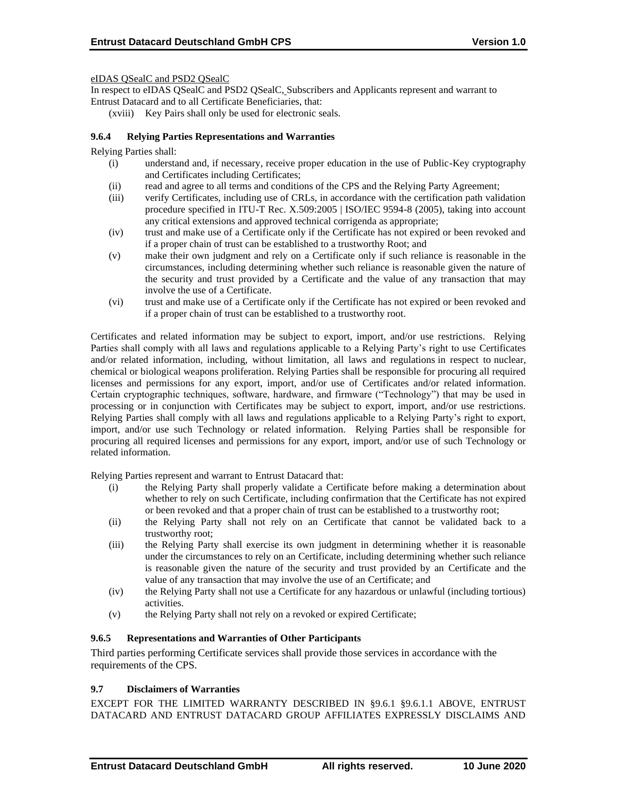eIDAS QSealC and PSD2 QSealC

In respect to eIDAS QSealC and PSD2 QSealC, Subscribers and Applicants represent and warrant to Entrust Datacard and to all Certificate Beneficiaries, that:

(xviii) Key Pairs shall only be used for electronic seals.

### **9.6.4 Relying Parties Representations and Warranties**

Relying Parties shall:

- (i) understand and, if necessary, receive proper education in the use of Public-Key cryptography and Certificates including Certificates;
- (ii) read and agree to all terms and conditions of the CPS and the Relying Party Agreement;
- (iii) verify Certificates, including use of CRLs, in accordance with the certification path validation procedure specified in ITU-T Rec. X.509:2005 | ISO/IEC 9594-8 (2005), taking into account any critical extensions and approved technical corrigenda as appropriate;
- (iv) trust and make use of a Certificate only if the Certificate has not expired or been revoked and if a proper chain of trust can be established to a trustworthy Root; and
- (v) make their own judgment and rely on a Certificate only if such reliance is reasonable in the circumstances, including determining whether such reliance is reasonable given the nature of the security and trust provided by a Certificate and the value of any transaction that may involve the use of a Certificate.
- (vi) trust and make use of a Certificate only if the Certificate has not expired or been revoked and if a proper chain of trust can be established to a trustworthy root.

Certificates and related information may be subject to export, import, and/or use restrictions. Relying Parties shall comply with all laws and regulations applicable to a Relying Party's right to use Certificates and/or related information, including, without limitation, all laws and regulations in respect to nuclear, chemical or biological weapons proliferation. Relying Parties shall be responsible for procuring all required licenses and permissions for any export, import, and/or use of Certificates and/or related information. Certain cryptographic techniques, software, hardware, and firmware ("Technology") that may be used in processing or in conjunction with Certificates may be subject to export, import, and/or use restrictions. Relying Parties shall comply with all laws and regulations applicable to a Relying Party's right to export, import, and/or use such Technology or related information. Relying Parties shall be responsible for procuring all required licenses and permissions for any export, import, and/or use of such Technology or related information.

Relying Parties represent and warrant to Entrust Datacard that:

- (i) the Relying Party shall properly validate a Certificate before making a determination about whether to rely on such Certificate, including confirmation that the Certificate has not expired or been revoked and that a proper chain of trust can be established to a trustworthy root;
- (ii) the Relying Party shall not rely on an Certificate that cannot be validated back to a trustworthy root;
- (iii) the Relying Party shall exercise its own judgment in determining whether it is reasonable under the circumstances to rely on an Certificate, including determining whether such reliance is reasonable given the nature of the security and trust provided by an Certificate and the value of any transaction that may involve the use of an Certificate; and
- (iv) the Relying Party shall not use a Certificate for any hazardous or unlawful (including tortious) activities.
- (v) the Relying Party shall not rely on a revoked or expired Certificate;

### **9.6.5 Representations and Warranties of Other Participants**

Third parties performing Certificate services shall provide those services in accordance with the requirements of the CPS.

### **9.7 Disclaimers of Warranties**

EXCEPT FOR THE LIMITED WARRANTY DESCRIBED IN §9.6.1 §9.6.1.1 ABOVE, ENTRUST DATACARD AND ENTRUST DATACARD GROUP AFFILIATES EXPRESSLY DISCLAIMS AND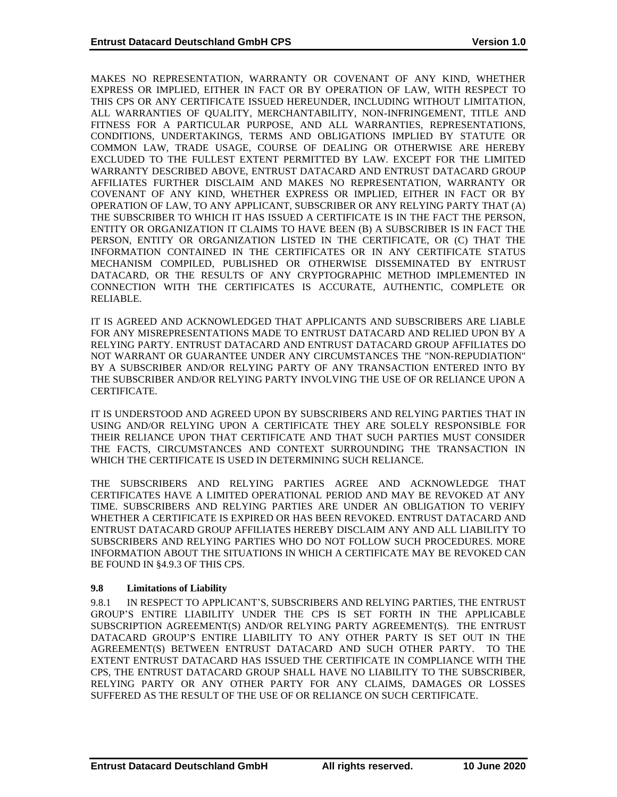MAKES NO REPRESENTATION, WARRANTY OR COVENANT OF ANY KIND, WHETHER EXPRESS OR IMPLIED, EITHER IN FACT OR BY OPERATION OF LAW, WITH RESPECT TO THIS CPS OR ANY CERTIFICATE ISSUED HEREUNDER, INCLUDING WITHOUT LIMITATION, ALL WARRANTIES OF QUALITY, MERCHANTABILITY, NON-INFRINGEMENT, TITLE AND FITNESS FOR A PARTICULAR PURPOSE, AND ALL WARRANTIES, REPRESENTATIONS, CONDITIONS, UNDERTAKINGS, TERMS AND OBLIGATIONS IMPLIED BY STATUTE OR COMMON LAW, TRADE USAGE, COURSE OF DEALING OR OTHERWISE ARE HEREBY EXCLUDED TO THE FULLEST EXTENT PERMITTED BY LAW. EXCEPT FOR THE LIMITED WARRANTY DESCRIBED ABOVE, ENTRUST DATACARD AND ENTRUST DATACARD GROUP AFFILIATES FURTHER DISCLAIM AND MAKES NO REPRESENTATION, WARRANTY OR COVENANT OF ANY KIND, WHETHER EXPRESS OR IMPLIED, EITHER IN FACT OR BY OPERATION OF LAW, TO ANY APPLICANT, SUBSCRIBER OR ANY RELYING PARTY THAT (A) THE SUBSCRIBER TO WHICH IT HAS ISSUED A CERTIFICATE IS IN THE FACT THE PERSON, ENTITY OR ORGANIZATION IT CLAIMS TO HAVE BEEN (B) A SUBSCRIBER IS IN FACT THE PERSON, ENTITY OR ORGANIZATION LISTED IN THE CERTIFICATE, OR (C) THAT THE INFORMATION CONTAINED IN THE CERTIFICATES OR IN ANY CERTIFICATE STATUS MECHANISM COMPILED, PUBLISHED OR OTHERWISE DISSEMINATED BY ENTRUST DATACARD, OR THE RESULTS OF ANY CRYPTOGRAPHIC METHOD IMPLEMENTED IN CONNECTION WITH THE CERTIFICATES IS ACCURATE, AUTHENTIC, COMPLETE OR RELIABLE.

IT IS AGREED AND ACKNOWLEDGED THAT APPLICANTS AND SUBSCRIBERS ARE LIABLE FOR ANY MISREPRESENTATIONS MADE TO ENTRUST DATACARD AND RELIED UPON BY A RELYING PARTY. ENTRUST DATACARD AND ENTRUST DATACARD GROUP AFFILIATES DO NOT WARRANT OR GUARANTEE UNDER ANY CIRCUMSTANCES THE "NON-REPUDIATION" BY A SUBSCRIBER AND/OR RELYING PARTY OF ANY TRANSACTION ENTERED INTO BY THE SUBSCRIBER AND/OR RELYING PARTY INVOLVING THE USE OF OR RELIANCE UPON A CERTIFICATE.

IT IS UNDERSTOOD AND AGREED UPON BY SUBSCRIBERS AND RELYING PARTIES THAT IN USING AND/OR RELYING UPON A CERTIFICATE THEY ARE SOLELY RESPONSIBLE FOR THEIR RELIANCE UPON THAT CERTIFICATE AND THAT SUCH PARTIES MUST CONSIDER THE FACTS, CIRCUMSTANCES AND CONTEXT SURROUNDING THE TRANSACTION IN WHICH THE CERTIFICATE IS USED IN DETERMINING SUCH RELIANCE.

THE SUBSCRIBERS AND RELYING PARTIES AGREE AND ACKNOWLEDGE THAT CERTIFICATES HAVE A LIMITED OPERATIONAL PERIOD AND MAY BE REVOKED AT ANY TIME. SUBSCRIBERS AND RELYING PARTIES ARE UNDER AN OBLIGATION TO VERIFY WHETHER A CERTIFICATE IS EXPIRED OR HAS BEEN REVOKED. ENTRUST DATACARD AND ENTRUST DATACARD GROUP AFFILIATES HEREBY DISCLAIM ANY AND ALL LIABILITY TO SUBSCRIBERS AND RELYING PARTIES WHO DO NOT FOLLOW SUCH PROCEDURES. MORE INFORMATION ABOUT THE SITUATIONS IN WHICH A CERTIFICATE MAY BE REVOKED CAN BE FOUND IN §4.9.3 OF THIS CPS.

# **9.8 Limitations of Liability**

9.8.1 IN RESPECT TO APPLICANT'S, SUBSCRIBERS AND RELYING PARTIES, THE ENTRUST GROUP'S ENTIRE LIABILITY UNDER THE CPS IS SET FORTH IN THE APPLICABLE SUBSCRIPTION AGREEMENT(S) AND/OR RELYING PARTY AGREEMENT(S). THE ENTRUST DATACARD GROUP'S ENTIRE LIABILITY TO ANY OTHER PARTY IS SET OUT IN THE AGREEMENT(S) BETWEEN ENTRUST DATACARD AND SUCH OTHER PARTY. TO THE EXTENT ENTRUST DATACARD HAS ISSUED THE CERTIFICATE IN COMPLIANCE WITH THE CPS, THE ENTRUST DATACARD GROUP SHALL HAVE NO LIABILITY TO THE SUBSCRIBER, RELYING PARTY OR ANY OTHER PARTY FOR ANY CLAIMS, DAMAGES OR LOSSES SUFFERED AS THE RESULT OF THE USE OF OR RELIANCE ON SUCH CERTIFICATE.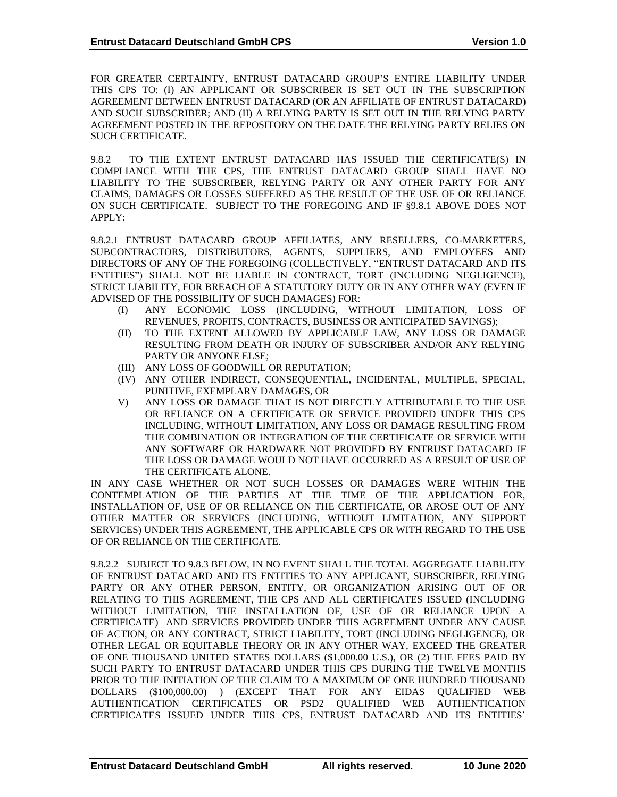FOR GREATER CERTAINTY, ENTRUST DATACARD GROUP'S ENTIRE LIABILITY UNDER THIS CPS TO: (I) AN APPLICANT OR SUBSCRIBER IS SET OUT IN THE SUBSCRIPTION AGREEMENT BETWEEN ENTRUST DATACARD (OR AN AFFILIATE OF ENTRUST DATACARD) AND SUCH SUBSCRIBER; AND (II) A RELYING PARTY IS SET OUT IN THE RELYING PARTY AGREEMENT POSTED IN THE REPOSITORY ON THE DATE THE RELYING PARTY RELIES ON SUCH CERTIFICATE.

9.8.2 TO THE EXTENT ENTRUST DATACARD HAS ISSUED THE CERTIFICATE(S) IN COMPLIANCE WITH THE CPS, THE ENTRUST DATACARD GROUP SHALL HAVE NO LIABILITY TO THE SUBSCRIBER, RELYING PARTY OR ANY OTHER PARTY FOR ANY CLAIMS, DAMAGES OR LOSSES SUFFERED AS THE RESULT OF THE USE OF OR RELIANCE ON SUCH CERTIFICATE. SUBJECT TO THE FOREGOING AND IF §9.8.1 ABOVE DOES NOT APPLY:

9.8.2.1 ENTRUST DATACARD GROUP AFFILIATES, ANY RESELLERS, CO-MARKETERS, SUBCONTRACTORS, DISTRIBUTORS, AGENTS, SUPPLIERS, AND EMPLOYEES AND DIRECTORS OF ANY OF THE FOREGOING (COLLECTIVELY, "ENTRUST DATACARD AND ITS ENTITIES") SHALL NOT BE LIABLE IN CONTRACT, TORT (INCLUDING NEGLIGENCE), STRICT LIABILITY, FOR BREACH OF A STATUTORY DUTY OR IN ANY OTHER WAY (EVEN IF ADVISED OF THE POSSIBILITY OF SUCH DAMAGES) FOR:

- (I) ANY ECONOMIC LOSS (INCLUDING, WITHOUT LIMITATION, LOSS OF REVENUES, PROFITS, CONTRACTS, BUSINESS OR ANTICIPATED SAVINGS);
- (II) TO THE EXTENT ALLOWED BY APPLICABLE LAW, ANY LOSS OR DAMAGE RESULTING FROM DEATH OR INJURY OF SUBSCRIBER AND/OR ANY RELYING PARTY OR ANYONE ELSE;
- (III) ANY LOSS OF GOODWILL OR REPUTATION;
- (IV) ANY OTHER INDIRECT, CONSEQUENTIAL, INCIDENTAL, MULTIPLE, SPECIAL, PUNITIVE, EXEMPLARY DAMAGES, OR
- V) ANY LOSS OR DAMAGE THAT IS NOT DIRECTLY ATTRIBUTABLE TO THE USE OR RELIANCE ON A CERTIFICATE OR SERVICE PROVIDED UNDER THIS CPS INCLUDING, WITHOUT LIMITATION, ANY LOSS OR DAMAGE RESULTING FROM THE COMBINATION OR INTEGRATION OF THE CERTIFICATE OR SERVICE WITH ANY SOFTWARE OR HARDWARE NOT PROVIDED BY ENTRUST DATACARD IF THE LOSS OR DAMAGE WOULD NOT HAVE OCCURRED AS A RESULT OF USE OF THE CERTIFICATE ALONE.

IN ANY CASE WHETHER OR NOT SUCH LOSSES OR DAMAGES WERE WITHIN THE CONTEMPLATION OF THE PARTIES AT THE TIME OF THE APPLICATION FOR, INSTALLATION OF, USE OF OR RELIANCE ON THE CERTIFICATE, OR AROSE OUT OF ANY OTHER MATTER OR SERVICES (INCLUDING, WITHOUT LIMITATION, ANY SUPPORT SERVICES) UNDER THIS AGREEMENT, THE APPLICABLE CPS OR WITH REGARD TO THE USE OF OR RELIANCE ON THE CERTIFICATE.

9.8.2.2 SUBJECT TO 9.8.3 BELOW, IN NO EVENT SHALL THE TOTAL AGGREGATE LIABILITY OF ENTRUST DATACARD AND ITS ENTITIES TO ANY APPLICANT, SUBSCRIBER, RELYING PARTY OR ANY OTHER PERSON, ENTITY, OR ORGANIZATION ARISING OUT OF OR RELATING TO THIS AGREEMENT, THE CPS AND ALL CERTIFICATES ISSUED (INCLUDING WITHOUT LIMITATION, THE INSTALLATION OF, USE OF OR RELIANCE UPON A CERTIFICATE) AND SERVICES PROVIDED UNDER THIS AGREEMENT UNDER ANY CAUSE OF ACTION, OR ANY CONTRACT, STRICT LIABILITY, TORT (INCLUDING NEGLIGENCE), OR OTHER LEGAL OR EQUITABLE THEORY OR IN ANY OTHER WAY, EXCEED THE GREATER OF ONE THOUSAND UNITED STATES DOLLARS (\$1,000.00 U.S.), OR (2) THE FEES PAID BY SUCH PARTY TO ENTRUST DATACARD UNDER THIS CPS DURING THE TWELVE MONTHS PRIOR TO THE INITIATION OF THE CLAIM TO A MAXIMUM OF ONE HUNDRED THOUSAND DOLLARS (\$100,000.00) ) (EXCEPT THAT FOR ANY EIDAS QUALIFIED WEB AUTHENTICATION CERTIFICATES OR PSD2 QUALIFIED WEB AUTHENTICATION CERTIFICATES ISSUED UNDER THIS CPS, ENTRUST DATACARD AND ITS ENTITIES'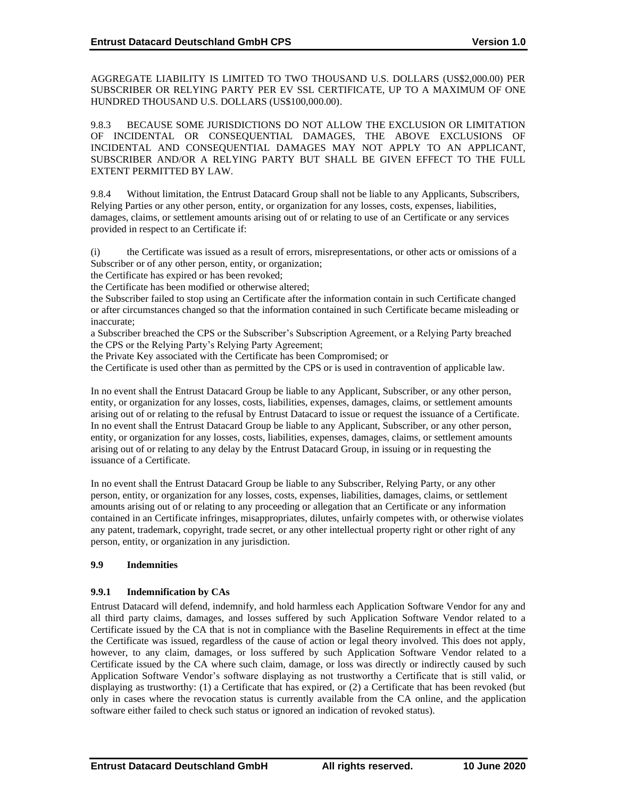AGGREGATE LIABILITY IS LIMITED TO TWO THOUSAND U.S. DOLLARS (US\$2,000.00) PER SUBSCRIBER OR RELYING PARTY PER EV SSL CERTIFICATE, UP TO A MAXIMUM OF ONE HUNDRED THOUSAND U.S. DOLLARS (US\$100,000.00).

9.8.3 BECAUSE SOME JURISDICTIONS DO NOT ALLOW THE EXCLUSION OR LIMITATION OF INCIDENTAL OR CONSEQUENTIAL DAMAGES, THE ABOVE EXCLUSIONS OF INCIDENTAL AND CONSEQUENTIAL DAMAGES MAY NOT APPLY TO AN APPLICANT, SUBSCRIBER AND/OR A RELYING PARTY BUT SHALL BE GIVEN EFFECT TO THE FULL EXTENT PERMITTED BY LAW.

9.8.4 Without limitation, the Entrust Datacard Group shall not be liable to any Applicants, Subscribers, Relying Parties or any other person, entity, or organization for any losses, costs, expenses, liabilities, damages, claims, or settlement amounts arising out of or relating to use of an Certificate or any services provided in respect to an Certificate if:

(i) the Certificate was issued as a result of errors, misrepresentations, or other acts or omissions of a Subscriber or of any other person, entity, or organization;

the Certificate has expired or has been revoked;

the Certificate has been modified or otherwise altered;

the Subscriber failed to stop using an Certificate after the information contain in such Certificate changed or after circumstances changed so that the information contained in such Certificate became misleading or inaccurate;

a Subscriber breached the CPS or the Subscriber's Subscription Agreement, or a Relying Party breached the CPS or the Relying Party's Relying Party Agreement;

the Private Key associated with the Certificate has been Compromised; or

the Certificate is used other than as permitted by the CPS or is used in contravention of applicable law.

In no event shall the Entrust Datacard Group be liable to any Applicant, Subscriber, or any other person, entity, or organization for any losses, costs, liabilities, expenses, damages, claims, or settlement amounts arising out of or relating to the refusal by Entrust Datacard to issue or request the issuance of a Certificate. In no event shall the Entrust Datacard Group be liable to any Applicant, Subscriber, or any other person, entity, or organization for any losses, costs, liabilities, expenses, damages, claims, or settlement amounts arising out of or relating to any delay by the Entrust Datacard Group, in issuing or in requesting the issuance of a Certificate.

In no event shall the Entrust Datacard Group be liable to any Subscriber, Relying Party, or any other person, entity, or organization for any losses, costs, expenses, liabilities, damages, claims, or settlement amounts arising out of or relating to any proceeding or allegation that an Certificate or any information contained in an Certificate infringes, misappropriates, dilutes, unfairly competes with, or otherwise violates any patent, trademark, copyright, trade secret, or any other intellectual property right or other right of any person, entity, or organization in any jurisdiction.

# **9.9 Indemnities**

# **9.9.1 Indemnification by CAs**

Entrust Datacard will defend, indemnify, and hold harmless each Application Software Vendor for any and all third party claims, damages, and losses suffered by such Application Software Vendor related to a Certificate issued by the CA that is not in compliance with the Baseline Requirements in effect at the time the Certificate was issued, regardless of the cause of action or legal theory involved. This does not apply, however, to any claim, damages, or loss suffered by such Application Software Vendor related to a Certificate issued by the CA where such claim, damage, or loss was directly or indirectly caused by such Application Software Vendor's software displaying as not trustworthy a Certificate that is still valid, or displaying as trustworthy: (1) a Certificate that has expired, or (2) a Certificate that has been revoked (but only in cases where the revocation status is currently available from the CA online, and the application software either failed to check such status or ignored an indication of revoked status).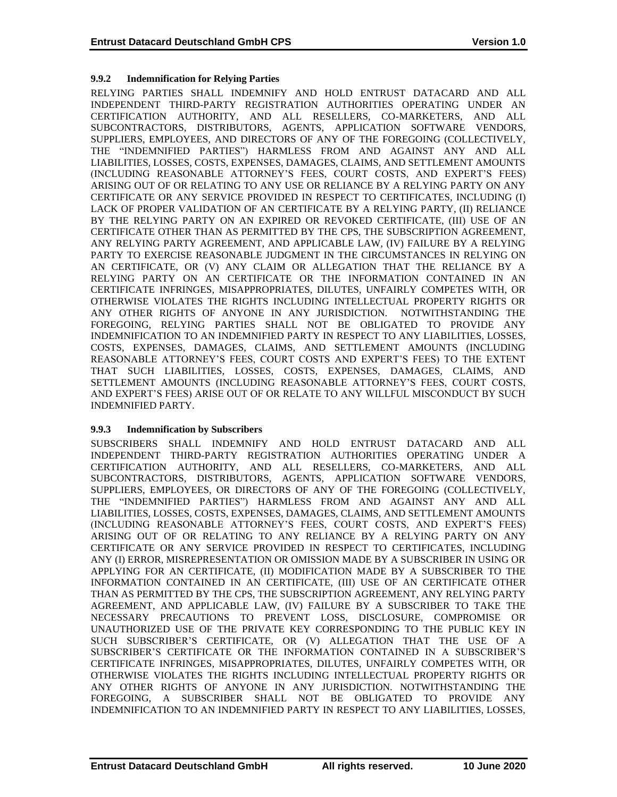# **9.9.2 Indemnification for Relying Parties**

RELYING PARTIES SHALL INDEMNIFY AND HOLD ENTRUST DATACARD AND ALL INDEPENDENT THIRD-PARTY REGISTRATION AUTHORITIES OPERATING UNDER AN CERTIFICATION AUTHORITY, AND ALL RESELLERS, CO-MARKETERS, AND ALL SUBCONTRACTORS, DISTRIBUTORS, AGENTS, APPLICATION SOFTWARE VENDORS, SUPPLIERS, EMPLOYEES, AND DIRECTORS OF ANY OF THE FOREGOING (COLLECTIVELY, THE "INDEMNIFIED PARTIES") HARMLESS FROM AND AGAINST ANY AND ALL LIABILITIES, LOSSES, COSTS, EXPENSES, DAMAGES, CLAIMS, AND SETTLEMENT AMOUNTS (INCLUDING REASONABLE ATTORNEY'S FEES, COURT COSTS, AND EXPERT'S FEES) ARISING OUT OF OR RELATING TO ANY USE OR RELIANCE BY A RELYING PARTY ON ANY CERTIFICATE OR ANY SERVICE PROVIDED IN RESPECT TO CERTIFICATES, INCLUDING (I) LACK OF PROPER VALIDATION OF AN CERTIFICATE BY A RELYING PARTY, (II) RELIANCE BY THE RELYING PARTY ON AN EXPIRED OR REVOKED CERTIFICATE, (III) USE OF AN CERTIFICATE OTHER THAN AS PERMITTED BY THE CPS, THE SUBSCRIPTION AGREEMENT, ANY RELYING PARTY AGREEMENT, AND APPLICABLE LAW, (IV) FAILURE BY A RELYING PARTY TO EXERCISE REASONABLE JUDGMENT IN THE CIRCUMSTANCES IN RELYING ON AN CERTIFICATE, OR (V) ANY CLAIM OR ALLEGATION THAT THE RELIANCE BY A RELYING PARTY ON AN CERTIFICATE OR THE INFORMATION CONTAINED IN AN CERTIFICATE INFRINGES, MISAPPROPRIATES, DILUTES, UNFAIRLY COMPETES WITH, OR OTHERWISE VIOLATES THE RIGHTS INCLUDING INTELLECTUAL PROPERTY RIGHTS OR ANY OTHER RIGHTS OF ANYONE IN ANY JURISDICTION. NOTWITHSTANDING THE FOREGOING, RELYING PARTIES SHALL NOT BE OBLIGATED TO PROVIDE ANY INDEMNIFICATION TO AN INDEMNIFIED PARTY IN RESPECT TO ANY LIABILITIES, LOSSES, COSTS, EXPENSES, DAMAGES, CLAIMS, AND SETTLEMENT AMOUNTS (INCLUDING REASONABLE ATTORNEY'S FEES, COURT COSTS AND EXPERT'S FEES) TO THE EXTENT THAT SUCH LIABILITIES, LOSSES, COSTS, EXPENSES, DAMAGES, CLAIMS, AND SETTLEMENT AMOUNTS (INCLUDING REASONABLE ATTORNEY'S FEES, COURT COSTS, AND EXPERT'S FEES) ARISE OUT OF OR RELATE TO ANY WILLFUL MISCONDUCT BY SUCH INDEMNIFIED PARTY.

# **9.9.3 Indemnification by Subscribers**

SUBSCRIBERS SHALL INDEMNIFY AND HOLD ENTRUST DATACARD AND ALL INDEPENDENT THIRD-PARTY REGISTRATION AUTHORITIES OPERATING UNDER A CERTIFICATION AUTHORITY, AND ALL RESELLERS, CO-MARKETERS, AND ALL SUBCONTRACTORS, DISTRIBUTORS, AGENTS, APPLICATION SOFTWARE VENDORS, SUPPLIERS, EMPLOYEES, OR DIRECTORS OF ANY OF THE FOREGOING (COLLECTIVELY, THE "INDEMNIFIED PARTIES") HARMLESS FROM AND AGAINST ANY AND ALL LIABILITIES, LOSSES, COSTS, EXPENSES, DAMAGES, CLAIMS, AND SETTLEMENT AMOUNTS (INCLUDING REASONABLE ATTORNEY'S FEES, COURT COSTS, AND EXPERT'S FEES) ARISING OUT OF OR RELATING TO ANY RELIANCE BY A RELYING PARTY ON ANY CERTIFICATE OR ANY SERVICE PROVIDED IN RESPECT TO CERTIFICATES, INCLUDING ANY (I) ERROR, MISREPRESENTATION OR OMISSION MADE BY A SUBSCRIBER IN USING OR APPLYING FOR AN CERTIFICATE, (II) MODIFICATION MADE BY A SUBSCRIBER TO THE INFORMATION CONTAINED IN AN CERTIFICATE, (III) USE OF AN CERTIFICATE OTHER THAN AS PERMITTED BY THE CPS, THE SUBSCRIPTION AGREEMENT, ANY RELYING PARTY AGREEMENT, AND APPLICABLE LAW, (IV) FAILURE BY A SUBSCRIBER TO TAKE THE NECESSARY PRECAUTIONS TO PREVENT LOSS, DISCLOSURE, COMPROMISE OR UNAUTHORIZED USE OF THE PRIVATE KEY CORRESPONDING TO THE PUBLIC KEY IN SUCH SUBSCRIBER'S CERTIFICATE, OR (V) ALLEGATION THAT THE USE OF A SUBSCRIBER'S CERTIFICATE OR THE INFORMATION CONTAINED IN A SUBSCRIBER'S CERTIFICATE INFRINGES, MISAPPROPRIATES, DILUTES, UNFAIRLY COMPETES WITH, OR OTHERWISE VIOLATES THE RIGHTS INCLUDING INTELLECTUAL PROPERTY RIGHTS OR ANY OTHER RIGHTS OF ANYONE IN ANY JURISDICTION. NOTWITHSTANDING THE FOREGOING, A SUBSCRIBER SHALL NOT BE OBLIGATED TO PROVIDE ANY INDEMNIFICATION TO AN INDEMNIFIED PARTY IN RESPECT TO ANY LIABILITIES, LOSSES,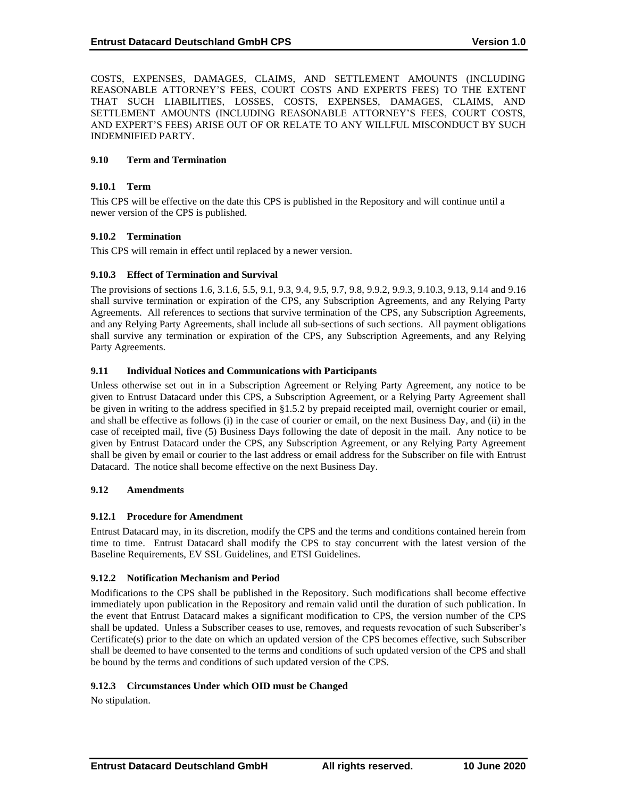COSTS, EXPENSES, DAMAGES, CLAIMS, AND SETTLEMENT AMOUNTS (INCLUDING REASONABLE ATTORNEY'S FEES, COURT COSTS AND EXPERTS FEES) TO THE EXTENT THAT SUCH LIABILITIES, LOSSES, COSTS, EXPENSES, DAMAGES, CLAIMS, AND SETTLEMENT AMOUNTS (INCLUDING REASONABLE ATTORNEY'S FEES, COURT COSTS, AND EXPERT'S FEES) ARISE OUT OF OR RELATE TO ANY WILLFUL MISCONDUCT BY SUCH INDEMNIFIED PARTY.

# **9.10 Term and Termination**

### **9.10.1 Term**

This CPS will be effective on the date this CPS is published in the Repository and will continue until a newer version of the CPS is published.

### **9.10.2 Termination**

This CPS will remain in effect until replaced by a newer version.

### **9.10.3 Effect of Termination and Survival**

The provisions of sections 1.6, 3.1.6, 5.5, 9.1, 9.3, 9.4, 9.5, 9.7, 9.8, 9.9.2, 9.9.3, 9.10.3, 9.13, 9.14 and 9.16 shall survive termination or expiration of the CPS, any Subscription Agreements, and any Relying Party Agreements. All references to sections that survive termination of the CPS, any Subscription Agreements, and any Relying Party Agreements, shall include all sub-sections of such sections. All payment obligations shall survive any termination or expiration of the CPS, any Subscription Agreements, and any Relying Party Agreements.

# **9.11 Individual Notices and Communications with Participants**

Unless otherwise set out in in a Subscription Agreement or Relying Party Agreement, any notice to be given to Entrust Datacard under this CPS, a Subscription Agreement, or a Relying Party Agreement shall be given in writing to the address specified in §1.5.2 by prepaid receipted mail, overnight courier or email, and shall be effective as follows (i) in the case of courier or email, on the next Business Day, and (ii) in the case of receipted mail, five (5) Business Days following the date of deposit in the mail. Any notice to be given by Entrust Datacard under the CPS, any Subscription Agreement, or any Relying Party Agreement shall be given by email or courier to the last address or email address for the Subscriber on file with Entrust Datacard. The notice shall become effective on the next Business Day.

# **9.12 Amendments**

### **9.12.1 Procedure for Amendment**

Entrust Datacard may, in its discretion, modify the CPS and the terms and conditions contained herein from time to time. Entrust Datacard shall modify the CPS to stay concurrent with the latest version of the Baseline Requirements, EV SSL Guidelines, and ETSI Guidelines.

# **9.12.2 Notification Mechanism and Period**

Modifications to the CPS shall be published in the Repository. Such modifications shall become effective immediately upon publication in the Repository and remain valid until the duration of such publication. In the event that Entrust Datacard makes a significant modification to CPS, the version number of the CPS shall be updated. Unless a Subscriber ceases to use, removes, and requests revocation of such Subscriber's Certificate(s) prior to the date on which an updated version of the CPS becomes effective, such Subscriber shall be deemed to have consented to the terms and conditions of such updated version of the CPS and shall be bound by the terms and conditions of such updated version of the CPS.

# **9.12.3 Circumstances Under which OID must be Changed**

No stipulation.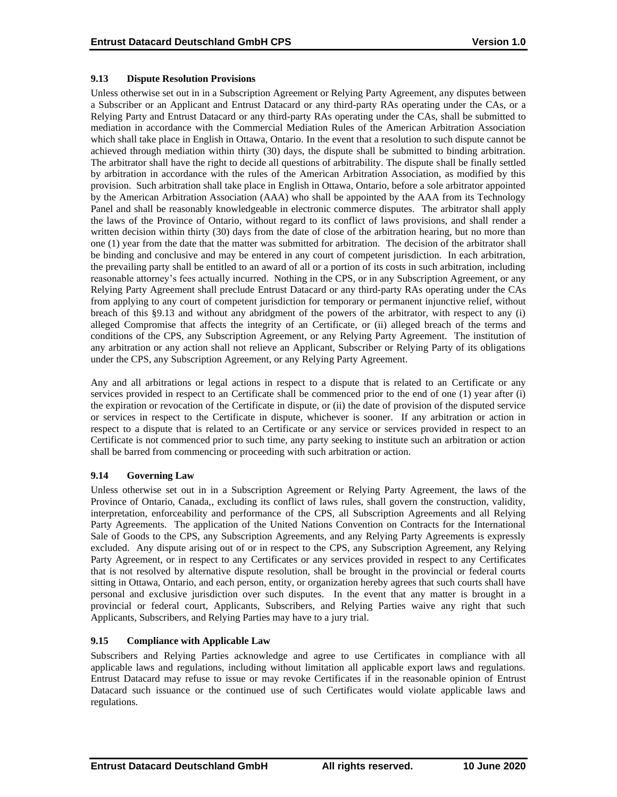# **9.13 Dispute Resolution Provisions**

Unless otherwise set out in in a Subscription Agreement or Relying Party Agreement, any disputes between a Subscriber or an Applicant and Entrust Datacard or any third-party RAs operating under the CAs, or a Relying Party and Entrust Datacard or any third-party RAs operating under the CAs, shall be submitted to mediation in accordance with the Commercial Mediation Rules of the American Arbitration Association which shall take place in English in Ottawa, Ontario. In the event that a resolution to such dispute cannot be achieved through mediation within thirty (30) days, the dispute shall be submitted to binding arbitration. The arbitrator shall have the right to decide all questions of arbitrability. The dispute shall be finally settled by arbitration in accordance with the rules of the American Arbitration Association, as modified by this provision. Such arbitration shall take place in English in Ottawa, Ontario, before a sole arbitrator appointed by the American Arbitration Association (AAA) who shall be appointed by the AAA from its Technology Panel and shall be reasonably knowledgeable in electronic commerce disputes. The arbitrator shall apply the laws of the Province of Ontario, without regard to its conflict of laws provisions, and shall render a written decision within thirty (30) days from the date of close of the arbitration hearing, but no more than one (1) year from the date that the matter was submitted for arbitration. The decision of the arbitrator shall be binding and conclusive and may be entered in any court of competent jurisdiction. In each arbitration, the prevailing party shall be entitled to an award of all or a portion of its costs in such arbitration, including reasonable attorney's fees actually incurred. Nothing in the CPS, or in any Subscription Agreement, or any Relying Party Agreement shall preclude Entrust Datacard or any third-party RAs operating under the CAs from applying to any court of competent jurisdiction for temporary or permanent injunctive relief, without breach of this §9.13 and without any abridgment of the powers of the arbitrator, with respect to any (i) alleged Compromise that affects the integrity of an Certificate, or (ii) alleged breach of the terms and conditions of the CPS, any Subscription Agreement, or any Relying Party Agreement. The institution of any arbitration or any action shall not relieve an Applicant, Subscriber or Relying Party of its obligations under the CPS, any Subscription Agreement, or any Relying Party Agreement.

Any and all arbitrations or legal actions in respect to a dispute that is related to an Certificate or any services provided in respect to an Certificate shall be commenced prior to the end of one (1) year after (i) the expiration or revocation of the Certificate in dispute, or (ii) the date of provision of the disputed service or services in respect to the Certificate in dispute, whichever is sooner. If any arbitration or action in respect to a dispute that is related to an Certificate or any service or services provided in respect to an Certificate is not commenced prior to such time, any party seeking to institute such an arbitration or action shall be barred from commencing or proceeding with such arbitration or action.

# **9.14 Governing Law**

Unless otherwise set out in in a Subscription Agreement or Relying Party Agreement, the laws of the Province of Ontario, Canada,, excluding its conflict of laws rules, shall govern the construction, validity, interpretation, enforceability and performance of the CPS, all Subscription Agreements and all Relying Party Agreements. The application of the United Nations Convention on Contracts for the International Sale of Goods to the CPS, any Subscription Agreements, and any Relying Party Agreements is expressly excluded. Any dispute arising out of or in respect to the CPS, any Subscription Agreement, any Relying Party Agreement, or in respect to any Certificates or any services provided in respect to any Certificates that is not resolved by alternative dispute resolution, shall be brought in the provincial or federal courts sitting in Ottawa, Ontario, and each person, entity, or organization hereby agrees that such courts shall have personal and exclusive jurisdiction over such disputes. In the event that any matter is brought in a provincial or federal court, Applicants, Subscribers, and Relying Parties waive any right that such Applicants, Subscribers, and Relying Parties may have to a jury trial.

# **9.15 Compliance with Applicable Law**

Subscribers and Relying Parties acknowledge and agree to use Certificates in compliance with all applicable laws and regulations, including without limitation all applicable export laws and regulations. Entrust Datacard may refuse to issue or may revoke Certificates if in the reasonable opinion of Entrust Datacard such issuance or the continued use of such Certificates would violate applicable laws and regulations.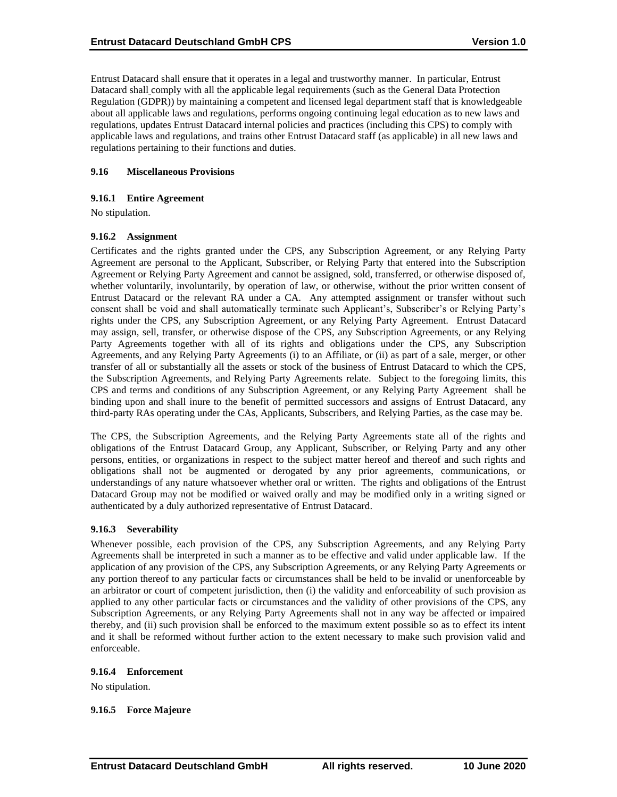Entrust Datacard shall ensure that it operates in a legal and trustworthy manner. In particular, Entrust Datacard shall comply with all the applicable legal requirements (such as the General Data Protection Regulation (GDPR)) by maintaining a competent and licensed legal department staff that is knowledgeable about all applicable laws and regulations, performs ongoing continuing legal education as to new laws and regulations, updates Entrust Datacard internal policies and practices (including this CPS) to comply with applicable laws and regulations, and trains other Entrust Datacard staff (as applicable) in all new laws and regulations pertaining to their functions and duties.

## **9.16 Miscellaneous Provisions**

#### **9.16.1 Entire Agreement**

No stipulation.

### **9.16.2 Assignment**

Certificates and the rights granted under the CPS, any Subscription Agreement, or any Relying Party Agreement are personal to the Applicant, Subscriber, or Relying Party that entered into the Subscription Agreement or Relying Party Agreement and cannot be assigned, sold, transferred, or otherwise disposed of, whether voluntarily, involuntarily, by operation of law, or otherwise, without the prior written consent of Entrust Datacard or the relevant RA under a CA. Any attempted assignment or transfer without such consent shall be void and shall automatically terminate such Applicant's, Subscriber's or Relying Party's rights under the CPS, any Subscription Agreement, or any Relying Party Agreement. Entrust Datacard may assign, sell, transfer, or otherwise dispose of the CPS, any Subscription Agreements, or any Relying Party Agreements together with all of its rights and obligations under the CPS, any Subscription Agreements, and any Relying Party Agreements (i) to an Affiliate, or (ii) as part of a sale, merger, or other transfer of all or substantially all the assets or stock of the business of Entrust Datacard to which the CPS, the Subscription Agreements, and Relying Party Agreements relate. Subject to the foregoing limits, this CPS and terms and conditions of any Subscription Agreement, or any Relying Party Agreement shall be binding upon and shall inure to the benefit of permitted successors and assigns of Entrust Datacard, any third-party RAs operating under the CAs, Applicants, Subscribers, and Relying Parties, as the case may be.

The CPS, the Subscription Agreements, and the Relying Party Agreements state all of the rights and obligations of the Entrust Datacard Group, any Applicant, Subscriber, or Relying Party and any other persons, entities, or organizations in respect to the subject matter hereof and thereof and such rights and obligations shall not be augmented or derogated by any prior agreements, communications, or understandings of any nature whatsoever whether oral or written. The rights and obligations of the Entrust Datacard Group may not be modified or waived orally and may be modified only in a writing signed or authenticated by a duly authorized representative of Entrust Datacard.

#### **9.16.3 Severability**

Whenever possible, each provision of the CPS, any Subscription Agreements, and any Relying Party Agreements shall be interpreted in such a manner as to be effective and valid under applicable law. If the application of any provision of the CPS, any Subscription Agreements, or any Relying Party Agreements or any portion thereof to any particular facts or circumstances shall be held to be invalid or unenforceable by an arbitrator or court of competent jurisdiction, then (i) the validity and enforceability of such provision as applied to any other particular facts or circumstances and the validity of other provisions of the CPS, any Subscription Agreements, or any Relying Party Agreements shall not in any way be affected or impaired thereby, and (ii) such provision shall be enforced to the maximum extent possible so as to effect its intent and it shall be reformed without further action to the extent necessary to make such provision valid and enforceable.

#### **9.16.4 Enforcement**

No stipulation.

#### **9.16.5 Force Majeure**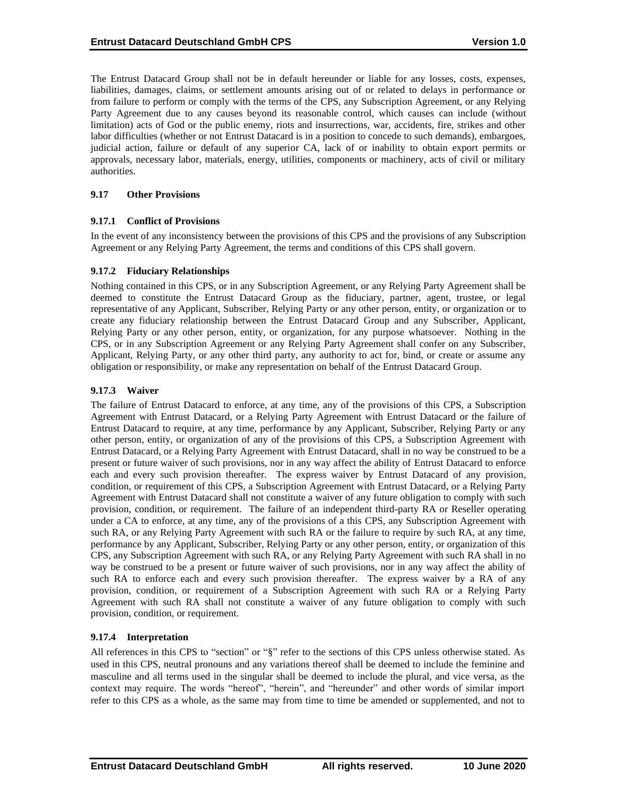The Entrust Datacard Group shall not be in default hereunder or liable for any losses, costs, expenses, liabilities, damages, claims, or settlement amounts arising out of or related to delays in performance or from failure to perform or comply with the terms of the CPS, any Subscription Agreement, or any Relying Party Agreement due to any causes beyond its reasonable control, which causes can include (without limitation) acts of God or the public enemy, riots and insurrections, war, accidents, fire, strikes and other labor difficulties (whether or not Entrust Datacard is in a position to concede to such demands), embargoes, judicial action, failure or default of any superior CA, lack of or inability to obtain export permits or approvals, necessary labor, materials, energy, utilities, components or machinery, acts of civil or military authorities.

#### **9.17 Other Provisions**

### **9.17.1 Conflict of Provisions**

In the event of any inconsistency between the provisions of this CPS and the provisions of any Subscription Agreement or any Relying Party Agreement, the terms and conditions of this CPS shall govern.

### **9.17.2 Fiduciary Relationships**

Nothing contained in this CPS, or in any Subscription Agreement, or any Relying Party Agreement shall be deemed to constitute the Entrust Datacard Group as the fiduciary, partner, agent, trustee, or legal representative of any Applicant, Subscriber, Relying Party or any other person, entity, or organization or to create any fiduciary relationship between the Entrust Datacard Group and any Subscriber, Applicant, Relying Party or any other person, entity, or organization, for any purpose whatsoever. Nothing in the CPS, or in any Subscription Agreement or any Relying Party Agreement shall confer on any Subscriber, Applicant, Relying Party, or any other third party, any authority to act for, bind, or create or assume any obligation or responsibility, or make any representation on behalf of the Entrust Datacard Group.

### **9.17.3 Waiver**

The failure of Entrust Datacard to enforce, at any time, any of the provisions of this CPS, a Subscription Agreement with Entrust Datacard, or a Relying Party Agreement with Entrust Datacard or the failure of Entrust Datacard to require, at any time, performance by any Applicant, Subscriber, Relying Party or any other person, entity, or organization of any of the provisions of this CPS, a Subscription Agreement with Entrust Datacard, or a Relying Party Agreement with Entrust Datacard, shall in no way be construed to be a present or future waiver of such provisions, nor in any way affect the ability of Entrust Datacard to enforce each and every such provision thereafter. The express waiver by Entrust Datacard of any provision, condition, or requirement of this CPS, a Subscription Agreement with Entrust Datacard, or a Relying Party Agreement with Entrust Datacard shall not constitute a waiver of any future obligation to comply with such provision, condition, or requirement. The failure of an independent third-party RA or Reseller operating under a CA to enforce, at any time, any of the provisions of a this CPS, any Subscription Agreement with such RA, or any Relying Party Agreement with such RA or the failure to require by such RA, at any time, performance by any Applicant, Subscriber, Relying Party or any other person, entity, or organization of this CPS, any Subscription Agreement with such RA, or any Relying Party Agreement with such RA shall in no way be construed to be a present or future waiver of such provisions, nor in any way affect the ability of such RA to enforce each and every such provision thereafter. The express waiver by a RA of any provision, condition, or requirement of a Subscription Agreement with such RA or a Relying Party Agreement with such RA shall not constitute a waiver of any future obligation to comply with such provision, condition, or requirement.

#### **9.17.4 Interpretation**

All references in this CPS to "section" or "§" refer to the sections of this CPS unless otherwise stated. As used in this CPS, neutral pronouns and any variations thereof shall be deemed to include the feminine and masculine and all terms used in the singular shall be deemed to include the plural, and vice versa, as the context may require. The words "hereof", "herein", and "hereunder" and other words of similar import refer to this CPS as a whole, as the same may from time to time be amended or supplemented, and not to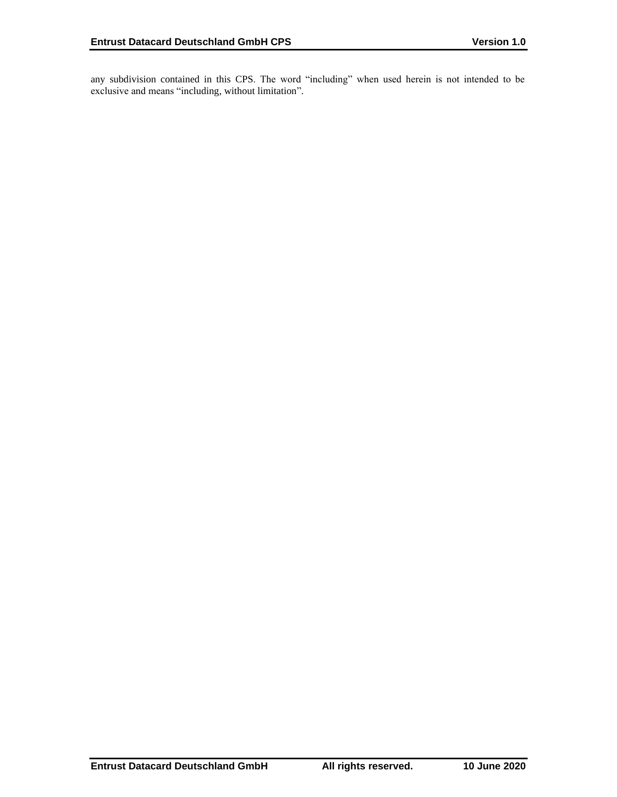any subdivision contained in this CPS. The word "including" when used herein is not intended to be exclusive and means "including, without limitation".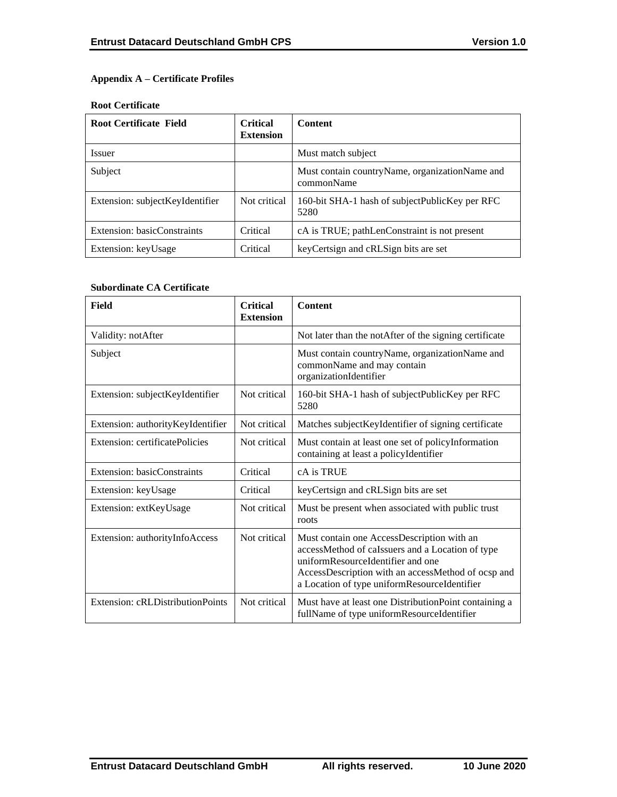# **Appendix A – Certificate Profiles**

### **Root Certificate**

| <b>Root Certificate Field</b>   | <b>Critical</b><br><b>Extension</b> | <b>Content</b>                                                 |
|---------------------------------|-------------------------------------|----------------------------------------------------------------|
| <i>Issuer</i>                   |                                     | Must match subject                                             |
| Subject                         |                                     | Must contain country Name, organization Name and<br>commonName |
| Extension: subjectKeyIdentifier | Not critical                        | 160-bit SHA-1 hash of subjectPublicKey per RFC<br>5280         |
| Extension: basicConstraints     | Critical                            | cA is TRUE; pathLenConstraint is not present                   |
| Extension: keyUsage             | Critical                            | key Certsign and cRLSign bits are set                          |

# **Subordinate CA Certificate**

| Field                             | <b>Critical</b><br><b>Extension</b> | <b>Content</b>                                                                                                                                                                                                                            |
|-----------------------------------|-------------------------------------|-------------------------------------------------------------------------------------------------------------------------------------------------------------------------------------------------------------------------------------------|
| Validity: notAfter                |                                     | Not later than the notAfter of the signing certificate                                                                                                                                                                                    |
| Subject                           |                                     | Must contain countryName, organizationName and<br>commonName and may contain<br>organizationIdentifier                                                                                                                                    |
| Extension: subjectKeyIdentifier   | Not critical                        | 160-bit SHA-1 hash of subjectPublicKey per RFC<br>5280                                                                                                                                                                                    |
| Extension: authorityKeyIdentifier | Not critical                        | Matches subjectKeyIdentifier of signing certificate                                                                                                                                                                                       |
| Extension: certificatePolicies    | Not critical                        | Must contain at least one set of policyInformation<br>containing at least a policyIdentifier                                                                                                                                              |
| Extension: basicConstraints       | Critical                            | cA is TRUE                                                                                                                                                                                                                                |
| Extension: keyUsage               | Critical                            | keyCertsign and cRLSign bits are set                                                                                                                                                                                                      |
| Extension: extKeyUsage            | Not critical                        | Must be present when associated with public trust<br>roots                                                                                                                                                                                |
| Extension: authorityInfoAccess    | Not critical                        | Must contain one AccessDescription with an<br>accessMethod of caIssuers and a Location of type<br>uniformResourceIdentifier and one<br>AccessDescription with an accessMethod of ocsp and<br>a Location of type uniformResourceIdentifier |
| Extension: cRLDistributionPoints  | Not critical                        | Must have at least one DistributionPoint containing a<br>fullName of type uniformResourceIdentifier                                                                                                                                       |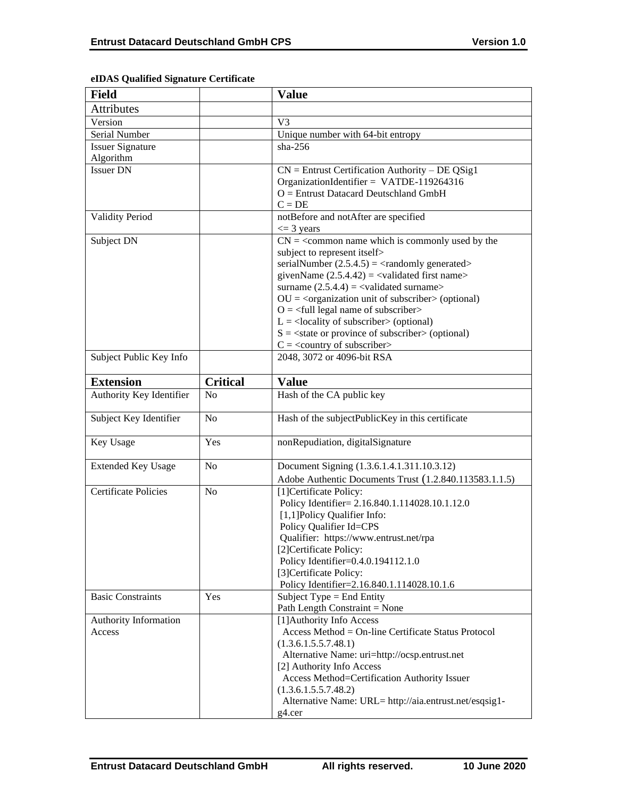| <b>Field</b>                           |                 | <b>Value</b>                                                                                                                                                                                                                                                                                                                                                                                                                                                                                                                                                                                                      |
|----------------------------------------|-----------------|-------------------------------------------------------------------------------------------------------------------------------------------------------------------------------------------------------------------------------------------------------------------------------------------------------------------------------------------------------------------------------------------------------------------------------------------------------------------------------------------------------------------------------------------------------------------------------------------------------------------|
| <b>Attributes</b>                      |                 |                                                                                                                                                                                                                                                                                                                                                                                                                                                                                                                                                                                                                   |
| Version                                |                 | V <sub>3</sub>                                                                                                                                                                                                                                                                                                                                                                                                                                                                                                                                                                                                    |
| Serial Number                          |                 | Unique number with 64-bit entropy                                                                                                                                                                                                                                                                                                                                                                                                                                                                                                                                                                                 |
| <b>Issuer Signature</b>                |                 | $sha-256$                                                                                                                                                                                                                                                                                                                                                                                                                                                                                                                                                                                                         |
| Algorithm                              |                 |                                                                                                                                                                                                                                                                                                                                                                                                                                                                                                                                                                                                                   |
| <b>Issuer DN</b>                       |                 | $CN =$ Entrust Certification Authority – DE QSig1<br>OrganizationIdentifier = VATDE-119264316<br>$O =$ Entrust Datacard Deutschland GmbH                                                                                                                                                                                                                                                                                                                                                                                                                                                                          |
| <b>Validity Period</b>                 |                 | $C = DE$<br>notBefore and notAfter are specified<br>$\leq$ 3 years                                                                                                                                                                                                                                                                                                                                                                                                                                                                                                                                                |
| Subject DN                             |                 | $CN = \langle common\$ name which is commonly used by the<br>subject to represent itself><br>serialNumber $(2.5.4.5) = \langle$ randomly generated><br>givenName $(2.5.4.42) = \langle$ validated first name><br>surname $(2.5.4.4) = \text{{{validated surname}}$<br>$OU = coganization unit of subscripter > (optional)$<br>$O = \left\langle \text{full legal name of subscripter} \right\rangle$<br>$L =$ <locality of="" subscriber=""> (optional)<br/><math>S = \text{state}</math> or province of subscriber &gt; (optional)<br/><math>C = \langle \text{country of subscripter} \rangle</math></locality> |
| Subject Public Key Info                |                 | 2048, 3072 or 4096-bit RSA                                                                                                                                                                                                                                                                                                                                                                                                                                                                                                                                                                                        |
|                                        |                 |                                                                                                                                                                                                                                                                                                                                                                                                                                                                                                                                                                                                                   |
| <b>Extension</b>                       | <b>Critical</b> | <b>Value</b>                                                                                                                                                                                                                                                                                                                                                                                                                                                                                                                                                                                                      |
| Authority Key Identifier               | N <sub>o</sub>  | Hash of the CA public key                                                                                                                                                                                                                                                                                                                                                                                                                                                                                                                                                                                         |
| Subject Key Identifier                 | N <sub>o</sub>  | Hash of the subjectPublicKey in this certificate                                                                                                                                                                                                                                                                                                                                                                                                                                                                                                                                                                  |
| Key Usage                              | Yes             | nonRepudiation, digitalSignature                                                                                                                                                                                                                                                                                                                                                                                                                                                                                                                                                                                  |
| <b>Extended Key Usage</b>              | N <sub>o</sub>  | Document Signing (1.3.6.1.4.1.311.10.3.12)<br>Adobe Authentic Documents Trust (1.2.840.113583.1.1.5)                                                                                                                                                                                                                                                                                                                                                                                                                                                                                                              |
| <b>Certificate Policies</b>            | No              | [1] Certificate Policy:<br>Policy Identifier= 2.16.840.1.114028.10.1.12.0<br>[1,1]Policy Qualifier Info:<br>Policy Qualifier Id=CPS<br>Qualifier: https://www.entrust.net/rpa<br>[2] Certificate Policy:<br>Policy Identifier=0.4.0.194112.1.0<br>[3]Certificate Policy:<br>Policy Identifier=2.16.840.1.114028.10.1.6                                                                                                                                                                                                                                                                                            |
| <b>Basic Constraints</b>               | Yes             | Subject Type = End Entity<br>Path Length Constraint = None                                                                                                                                                                                                                                                                                                                                                                                                                                                                                                                                                        |
| <b>Authority Information</b><br>Access |                 | [1] Authority Info Access<br>Access Method = On-line Certificate Status Protocol<br>(1.3.6.1.5.5.7.48.1)<br>Alternative Name: uri=http://ocsp.entrust.net<br>[2] Authority Info Access<br>Access Method=Certification Authority Issuer<br>(1.3.6.1.5.5.7.48.2)<br>Alternative Name: URL= http://aia.entrust.net/esqsig1-<br>g4.cer                                                                                                                                                                                                                                                                                |

# **eIDAS Qualified Signature Certificate**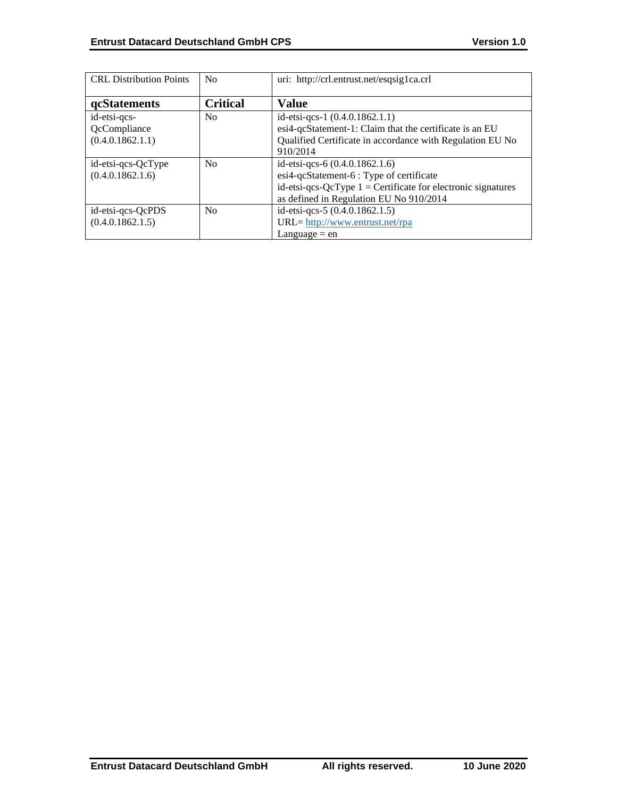| <b>CRL</b> Distribution Points | N <sub>0</sub>  | uri: http://crl.entrust.net/esqsig1ca.crl                      |
|--------------------------------|-----------------|----------------------------------------------------------------|
| <b>qcStatements</b>            | <b>Critical</b> | Value                                                          |
| id-etsi-qcs-                   | N <sub>0</sub>  | id-etsi-qcs-1 (0.4.0.1862.1.1)                                 |
| QcCompliance                   |                 | esi4-qcStatement-1: Claim that the certificate is an EU        |
| (0.4.0.1862.1.1)               |                 | Qualified Certificate in accordance with Regulation EU No      |
|                                |                 | 910/2014                                                       |
| id-etsi-qcs-QcType             | N <sub>0</sub>  | id-etsi-qcs-6 (0.4.0.1862.1.6)                                 |
| (0.4.0.1862.1.6)               |                 | esi4-qcStatement-6 : Type of certificate                       |
|                                |                 | id-etsi-qcs-QcType $1 =$ Certificate for electronic signatures |
|                                |                 | as defined in Regulation EU No 910/2014                        |
| id-etsi-qcs-QcPDS              | N <sub>0</sub>  | id-etsi-qcs-5 (0.4.0.1862.1.5)                                 |
| (0.4.0.1862.1.5)               |                 | URL= http://www.entrust.net/rpa                                |
|                                |                 | Language $=$ en                                                |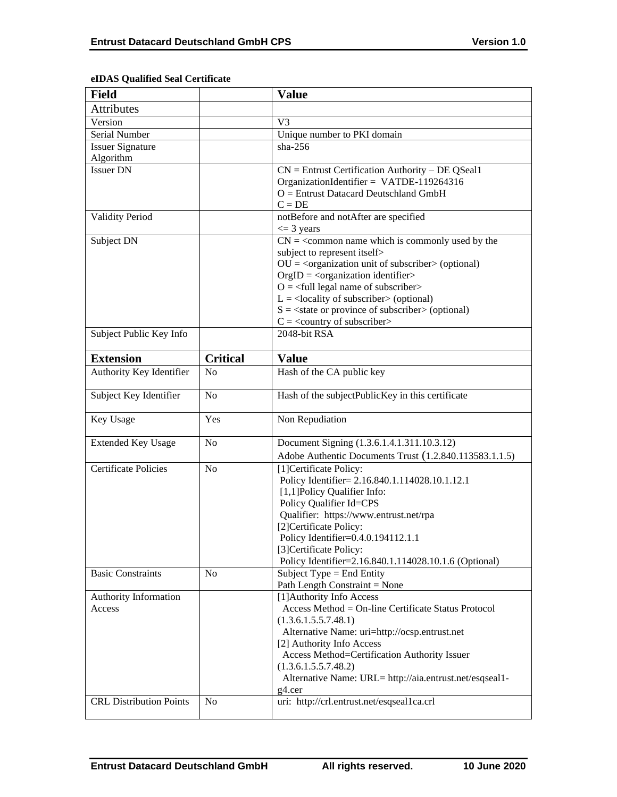| <b>Field</b>                   |                 | <b>Value</b>                                                           |
|--------------------------------|-----------------|------------------------------------------------------------------------|
| <b>Attributes</b>              |                 |                                                                        |
| Version                        |                 | V <sub>3</sub>                                                         |
| Serial Number                  |                 | Unique number to PKI domain                                            |
| <b>Issuer Signature</b>        |                 | $sha-256$                                                              |
| Algorithm                      |                 |                                                                        |
| <b>Issuer DN</b>               |                 | $CN =$ Entrust Certification Authority – DE QSeal1                     |
|                                |                 | OrganizationIdentifier = VATDE-119264316                               |
|                                |                 | $O =$ Entrust Datacard Deutschland GmbH                                |
|                                |                 | $C = DE$                                                               |
| <b>Validity Period</b>         |                 | notBefore and notAfter are specified                                   |
|                                |                 | $\leq$ 3 years                                                         |
| Subject DN                     |                 | $CN = \langle common\$ name which is commonly used by the              |
|                                |                 | subject to represent itself>                                           |
|                                |                 | $OU = coequation unit of subscripts (optional)$                        |
|                                |                 | $OrgID = <$ organization identifier>                                   |
|                                |                 | $O = \left\langle \text{full legal name of subscripter} \right\rangle$ |
|                                |                 | $L =$ <locality of="" subscriber=""> (optional)</locality>             |
|                                |                 | $S = \text{state}$ or province of subscriber > (optional)              |
|                                |                 | $C = \langle$ country of subscriber>                                   |
| Subject Public Key Info        |                 | 2048-bit RSA                                                           |
| <b>Extension</b>               | <b>Critical</b> | <b>Value</b>                                                           |
| Authority Key Identifier       | N <sub>0</sub>  | Hash of the CA public key                                              |
|                                |                 |                                                                        |
| Subject Key Identifier         | N <sub>o</sub>  | Hash of the subjectPublicKey in this certificate                       |
| Key Usage                      | Yes             | Non Repudiation                                                        |
| <b>Extended Key Usage</b>      | No              | Document Signing (1.3.6.1.4.1.311.10.3.12)                             |
|                                |                 | Adobe Authentic Documents Trust (1.2.840.113583.1.1.5)                 |
| <b>Certificate Policies</b>    | No              | [1]Certificate Policy:                                                 |
|                                |                 | Policy Identifier= 2.16.840.1.114028.10.1.12.1                         |
|                                |                 | [1,1] Policy Qualifier Info:                                           |
|                                |                 |                                                                        |
|                                |                 | Policy Qualifier Id=CPS                                                |
|                                |                 | Qualifier: https://www.entrust.net/rpa                                 |
|                                |                 | [2]Certificate Policy:                                                 |
|                                |                 | Policy Identifier=0.4.0.194112.1.1                                     |
|                                |                 | [3]Certificate Policy:                                                 |
|                                |                 | Policy Identifier=2.16.840.1.114028.10.1.6 (Optional)                  |
| <b>Basic Constraints</b>       | No              | Subject Type = End Entity                                              |
|                                |                 | Path Length Constraint = None                                          |
| Authority Information          |                 | [1] Authority Info Access                                              |
| Access                         |                 | Access Method = On-line Certificate Status Protocol                    |
|                                |                 | (1.3.6.1.5.5.7.48.1)                                                   |
|                                |                 | Alternative Name: uri=http://ocsp.entrust.net                          |
|                                |                 | [2] Authority Info Access                                              |
|                                |                 | Access Method=Certification Authority Issuer                           |
|                                |                 | (1.3.6.1.5.5.7.48.2)                                                   |
|                                |                 | Alternative Name: URL= http://aia.entrust.net/esqseal1-                |
| <b>CRL Distribution Points</b> | $\rm No$        | g4.cer<br>uri: http://crl.entrust.net/esqseal1ca.crl                   |

# **eIDAS Qualified Seal Certificate**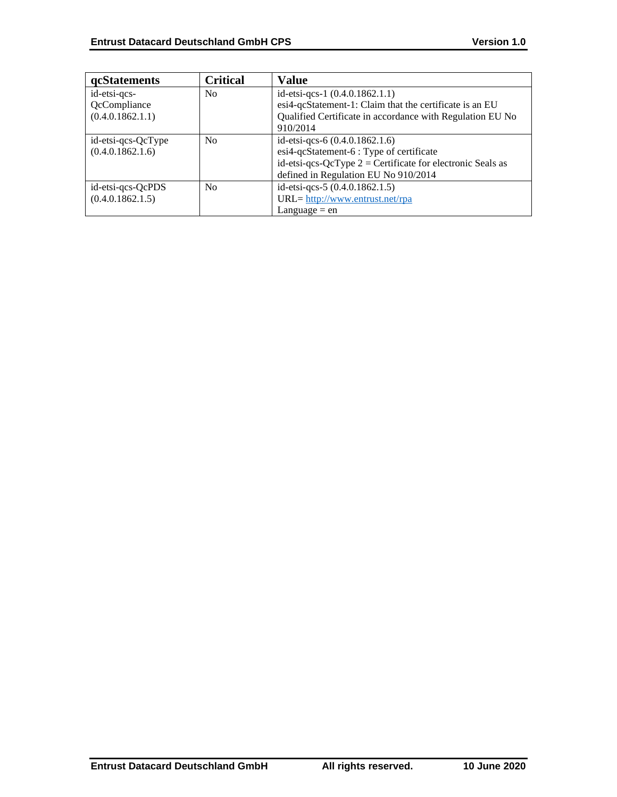| <b>qcStatements</b> | <b>Critical</b> | <b>Value</b>                                                 |
|---------------------|-----------------|--------------------------------------------------------------|
| id-etsi-qcs-        | N <sub>0</sub>  | id-etsi-qcs-1 (0.4.0.1862.1.1)                               |
| QcCompliance        |                 | esi4-qcStatement-1: Claim that the certificate is an EU      |
| (0.4.0.1862.1.1)    |                 | Qualified Certificate in accordance with Regulation EU No    |
|                     |                 | 910/2014                                                     |
| id-etsi-qcs-QcType  | N <sub>0</sub>  | id-etsi-qcs-6 $(0.4.0.1862.1.6)$                             |
| (0.4.0.1862.1.6)    |                 | esi4-qcStatement-6 : Type of certificate                     |
|                     |                 | id-etsi-qcs-QcType $2$ = Certificate for electronic Seals as |
|                     |                 | defined in Regulation EU No 910/2014                         |
| id-etsi-qcs-QcPDS   | No              | id-etsi-qcs-5 (0.4.0.1862.1.5)                               |
| (0.4.0.1862.1.5)    |                 | URL= http://www.entrust.net/rpa                              |
|                     |                 | Language $=$ en                                              |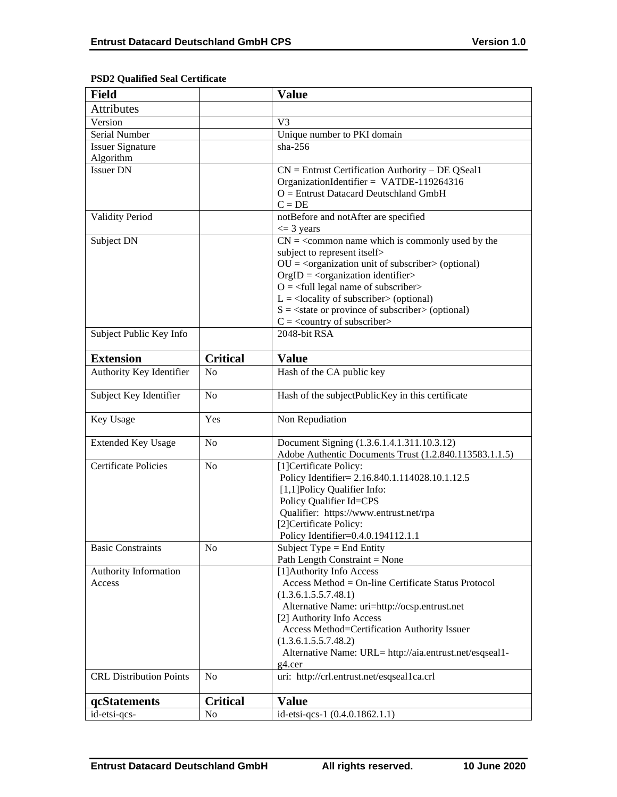# **Field Value Attributes** Version V3 Serial Number  $\vert$  Unique number to PKI domain Issuer Signature Algorithm sha-256 Issuer DN CN = Entrust Certification Authority – DE QSeal1 OrganizationIdentifier = VATDE-119264316 O = Entrust Datacard Deutschland GmbH  $C = DE$ Validity Period notBefore and notAfter are specified  $\leq$  3 years Subject DN  $\vert$  CN = <common name which is commonly used by the subject to represent itself>  $OU = <sub>cor</sub>$  comparization unit of subscriber  $>$  (optional)  $OrgID = <$ organization identifier $>$  $O = \text{Hill legal name of subscripts}$  $L =$  <locality of subscriber > (optional)  $S = \text{state or province of subscriber} > \text{(optional)}$  $C = \langle$  country of subscriber $>$ Subject Public Key Info 2048-bit RSA **Extension Critical Value** Authority Key Identifier No Hash of the CA public key Subject Key Identifier  $\begin{array}{|l|l|}\n\hline\n\end{array}$  No  $\begin{array}{|l|l|}\n\hline\n\end{array}$  Hash of the subjectPublicKey in this certificate Key Usage Yes Non Repudiation Extended Key Usage  $\vert$  No  $\vert$  Document Signing  $(1.3.6.1.4.1.311.10.3.12)$ Adobe Authentic Documents Trust (1.2.840.113583.1.1.5) Certificate Policies No [1]Certificate Policy: Policy Identifier= 2.16.840.1.114028.10.1.12.5 [1,1]Policy Qualifier Info: Policy Qualifier Id=CPS Qualifier: https://www.entrust.net/rpa [2]Certificate Policy: Policy Identifier=0.4.0.194112.1.1 Basic Constraints  $\log N_0$   $\log N_0$  Subject Type = End Entity Path Length Constraint = None Authority Information Access [1]Authority Info Access Access Method = On-line Certificate Status Protocol (1.3.6.1.5.5.7.48.1) Alternative Name: uri=http://ocsp.entrust.net [2] Authority Info Access Access Method=Certification Authority Issuer (1.3.6.1.5.5.7.48.2) Alternative Name: URL= http://aia.entrust.net/esqseal1 g4.cer CRL Distribution Points No uri: http://crl.entrust.net/esqseal1ca.crl **qcStatements Critical Value** id-etsi-qcs- No id-etsi-qcs-1 (0.4.0.1862.1.1)

## **PSD2 Qualified Seal Certificate**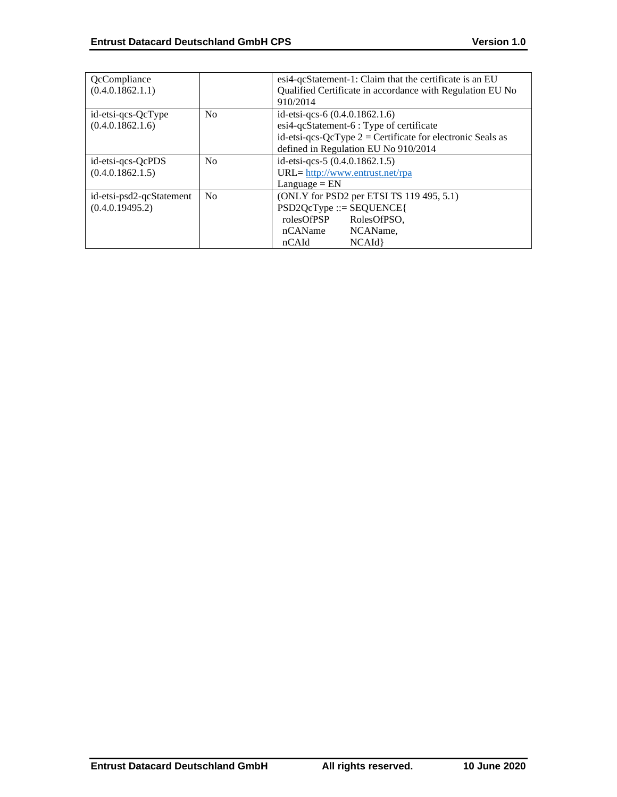| QcCompliance             |                | esi4-qcStatement-1: Claim that the certificate is an EU      |
|--------------------------|----------------|--------------------------------------------------------------|
| (0.4.0.1862.1.1)         |                | Qualified Certificate in accordance with Regulation EU No    |
|                          |                | 910/2014                                                     |
| id-etsi-qcs-QcType       | N <sub>0</sub> | id-etsi-qcs-6 (0.4.0.1862.1.6)                               |
| (0.4.0.1862.1.6)         |                | esi4-qcStatement-6 : Type of certificate                     |
|                          |                | id-etsi-qcs-QcType $2$ = Certificate for electronic Seals as |
|                          |                | defined in Regulation EU No 910/2014                         |
| id-etsi-qcs-QcPDS        | No             | id-etsi-qcs-5 (0.4.0.1862.1.5)                               |
| (0.4.0.1862.1.5)         |                | $URL = \frac{http://www.entrust.net/rpa}{}$                  |
|                          |                | $L$ anguage = $EN$                                           |
| id-etsi-psd2-qcStatement | N <sub>0</sub> | (ONLY for PSD2 per ETSI TS 119 495, 5.1)                     |
| (0.4.0.19495.2)          |                | $PSD2QcType ::= SEQUENCE$                                    |
|                          |                | rolesOfPSP<br>RolesOfPSO.                                    |
|                          |                | NCAName,<br>nCAName                                          |
|                          |                | NCAId<br>nCAId                                               |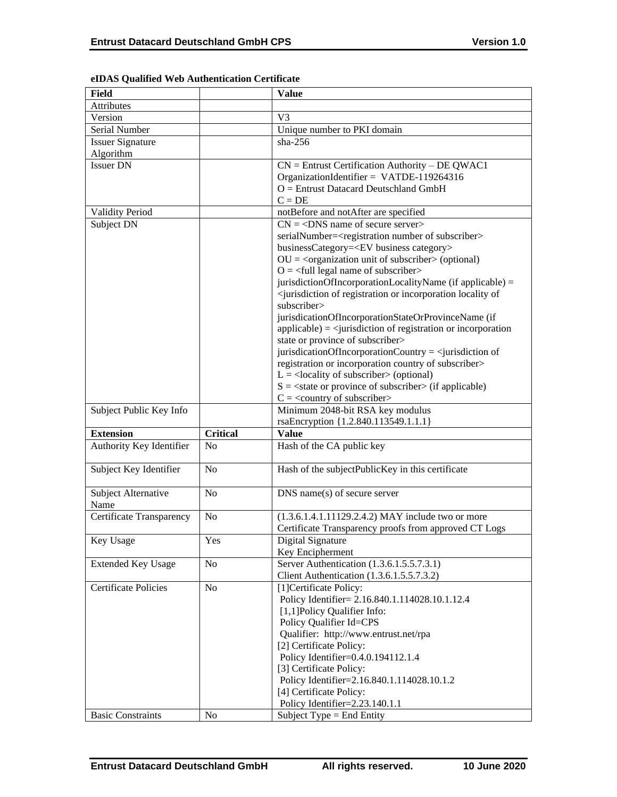| Field                       |                 | <b>Value</b>                                                                                        |
|-----------------------------|-----------------|-----------------------------------------------------------------------------------------------------|
| Attributes                  |                 |                                                                                                     |
| Version                     |                 | V <sub>3</sub>                                                                                      |
| Serial Number               |                 | Unique number to PKI domain                                                                         |
| <b>Issuer Signature</b>     |                 | $sha-256$                                                                                           |
| Algorithm                   |                 |                                                                                                     |
| <b>Issuer DN</b>            |                 | $CN =$ Entrust Certification Authority - DE QWAC1                                                   |
|                             |                 | OrganizationIdentifier = VATDE-119264316                                                            |
|                             |                 | $O =$ Entrust Datacard Deutschland GmbH                                                             |
|                             |                 | $C = DE$                                                                                            |
| <b>Validity Period</b>      |                 | notBefore and notAfter are specified                                                                |
| Subject DN                  |                 | $CN = <$ DNS name of secure server>                                                                 |
|                             |                 | serialNumber= <registration number="" of="" subscriber=""></registration>                           |
|                             |                 |                                                                                                     |
|                             |                 | businessCategory= <ev business="" category=""></ev>                                                 |
|                             |                 | $OU = corganization unit of subscripter > (optional)$                                               |
|                             |                 | $O = \frac{1}{2}$ legal name of subscriber                                                          |
|                             |                 | jurisdictionOfIncorporationLocalityName (if applicable) =                                           |
|                             |                 | <jurisdiction incorporation="" locality="" of="" of<="" or="" registration="" td=""></jurisdiction> |
|                             |                 | subscriber>                                                                                         |
|                             |                 | jurisdicationOfIncorporationStateOrProvinceName (if                                                 |
|                             |                 | $applicable) = \langle$ jurisdiction of registration or incorporation                               |
|                             |                 | state or province of subscriber>                                                                    |
|                             |                 | jurisdicationOfIncorporationCountry = $\langle$ jurisdiction of                                     |
|                             |                 | registration or incorporation country of subscriber>                                                |
|                             |                 | $L =$ <locality of="" subscriber=""> (optional)</locality>                                          |
|                             |                 | $S = \text{state}$ or province of subscriber (if applicable)                                        |
|                             |                 | $C = \langle$ country of subscriber>                                                                |
| Subject Public Key Info     |                 | Minimum 2048-bit RSA key modulus                                                                    |
|                             |                 | rsaEncryption {1.2.840.113549.1.1.1}                                                                |
| <b>Extension</b>            | <b>Critical</b> | <b>Value</b>                                                                                        |
| Authority Key Identifier    | N <sub>o</sub>  | Hash of the CA public key                                                                           |
| Subject Key Identifier      | N <sub>o</sub>  | Hash of the subjectPublicKey in this certificate                                                    |
| Subject Alternative         | No              | $DNS$ name(s) of secure server                                                                      |
| Name                        |                 |                                                                                                     |
| Certificate Transparency    | No              | (1.3.6.1.4.1.11129.2.4.2) MAY include two or more                                                   |
|                             |                 | Certificate Transparency proofs from approved CT Logs                                               |
| Key Usage                   | Yes             | Digital Signature                                                                                   |
|                             |                 | Key Encipherment                                                                                    |
| <b>Extended Key Usage</b>   | No              | Server Authentication (1.3.6.1.5.5.7.3.1)                                                           |
|                             |                 | Client Authentication (1.3.6.1.5.5.7.3.2)                                                           |
| <b>Certificate Policies</b> | No              | [1] Certificate Policy:                                                                             |
|                             |                 | Policy Identifier= 2.16.840.1.114028.10.1.12.4                                                      |
|                             |                 | [1,1]Policy Qualifier Info:                                                                         |
|                             |                 | Policy Qualifier Id=CPS                                                                             |
|                             |                 | Qualifier: http://www.entrust.net/rpa                                                               |
|                             |                 | [2] Certificate Policy:                                                                             |
|                             |                 | Policy Identifier=0.4.0.194112.1.4                                                                  |
|                             |                 | [3] Certificate Policy:                                                                             |
|                             |                 | Policy Identifier=2.16.840.1.114028.10.1.2                                                          |
|                             |                 |                                                                                                     |
|                             |                 |                                                                                                     |
|                             |                 | [4] Certificate Policy:                                                                             |
| <b>Basic Constraints</b>    | No              | Policy Identifier=2.23.140.1.1<br>Subject Type $=$ End Entity                                       |

# **eIDAS Qualified Web Authentication Certificate**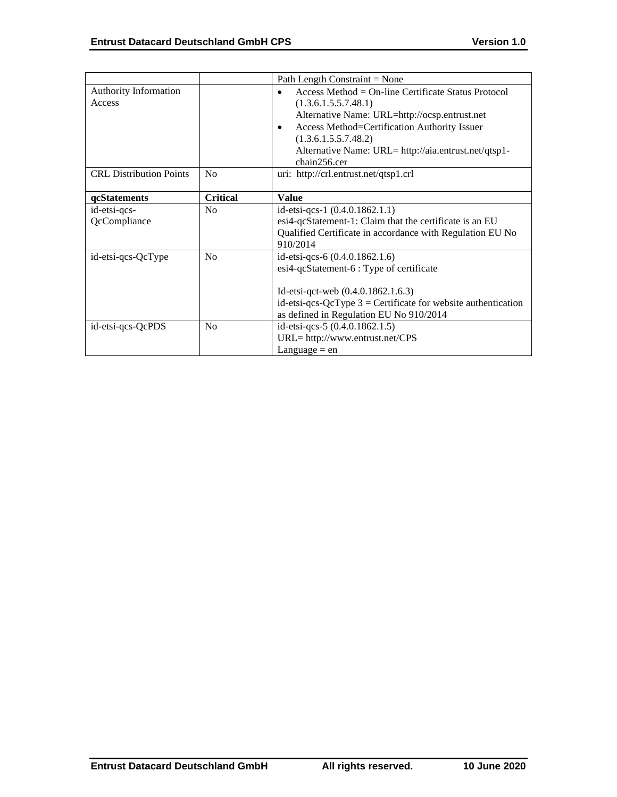|                                 |                 | Path Length Constraint = None                                                                                                                                                                                                                                                                          |
|---------------------------------|-----------------|--------------------------------------------------------------------------------------------------------------------------------------------------------------------------------------------------------------------------------------------------------------------------------------------------------|
| Authority Information<br>Access |                 | Access Method = On-line Certificate Status Protocol<br>$\bullet$<br>(1.3.6.1.5.5.7.48.1)<br>Alternative Name: URL=http://ocsp.entrust.net<br>Access Method=Certification Authority Issuer<br>$\bullet$<br>(1.3.6.1.5.5.7.48.2)<br>Alternative Name: URL= http://aia.entrust.net/qtsp1-<br>chain256.cer |
| <b>CRL</b> Distribution Points  | N <sub>0</sub>  | uri: http://crl.entrust.net/qtsp1.crl                                                                                                                                                                                                                                                                  |
| qcStatements                    | <b>Critical</b> | <b>Value</b>                                                                                                                                                                                                                                                                                           |
| id-etsi-qcs-<br>QcCompliance    | N <sub>0</sub>  | id-etsi-qcs-1 $(0.4.0.1862.1.1)$<br>esi4-qcStatement-1: Claim that the certificate is an EU<br>Qualified Certificate in accordance with Regulation EU No<br>910/2014                                                                                                                                   |
| id-etsi-qcs-QcType              | No              | id-etsi-qcs-6 $(0.4.0.1862.1.6)$<br>esi4-qcStatement-6 : Type of certificate<br>Id-etsi-qct-web $(0.4.0.1862.1.6.3)$<br>id-etsi-qcs-QcType $3$ = Certificate for website authentication<br>as defined in Regulation EU No 910/2014                                                                     |
| id-etsi-qcs-QcPDS               | N <sub>0</sub>  | id-etsi-qcs-5 (0.4.0.1862.1.5)<br>URL= http://www.entrust.net/CPS<br>Language $=$ en                                                                                                                                                                                                                   |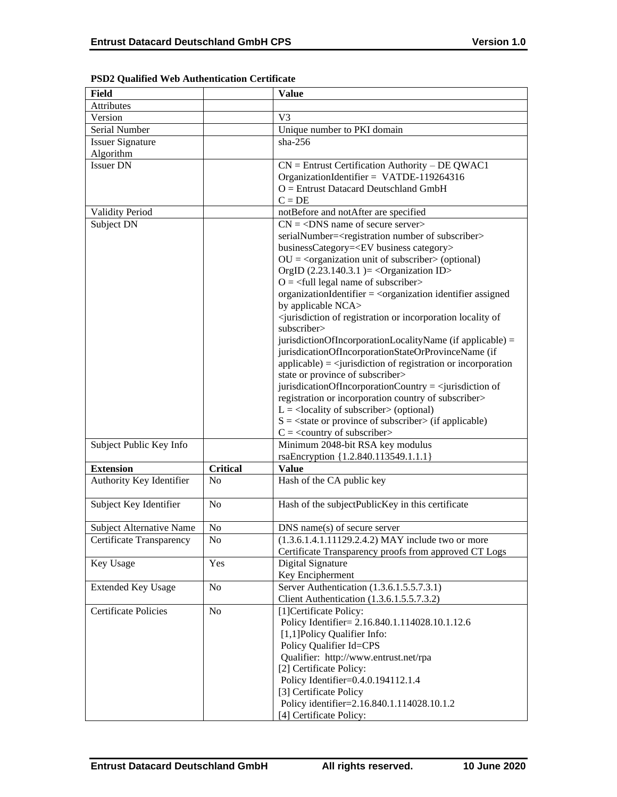| <b>Field</b>                    |                 | <b>Value</b>                                                                                        |
|---------------------------------|-----------------|-----------------------------------------------------------------------------------------------------|
| Attributes                      |                 |                                                                                                     |
| Version                         |                 | V <sub>3</sub>                                                                                      |
| Serial Number                   |                 | Unique number to PKI domain                                                                         |
| <b>Issuer Signature</b>         |                 | $sha-256$                                                                                           |
| Algorithm                       |                 |                                                                                                     |
| <b>Issuer DN</b>                |                 | $CN =$ Entrust Certification Authority – DE QWAC1                                                   |
|                                 |                 | OrganizationIdentifier = VATDE-119264316                                                            |
|                                 |                 | $O =$ Entrust Datacard Deutschland GmbH                                                             |
|                                 |                 | $C = DE$                                                                                            |
| <b>Validity Period</b>          |                 | notBefore and notAfter are specified                                                                |
| Subject DN                      |                 | $CN = <$ DNS name of secure server>                                                                 |
|                                 |                 | serialNumber= <registration number="" of="" subscriber=""></registration>                           |
|                                 |                 | businessCategory= <ev business="" category=""></ev>                                                 |
|                                 |                 | $OU = corganization unit of subscripter > (optional)$                                               |
|                                 |                 | OrgID $(2.23.140.3.1)$ = < Organization ID>                                                         |
|                                 |                 | $O = \frac{1}{2}$ legal name of subscriber                                                          |
|                                 |                 | organizationIdentifier = <organization assigned<="" identifier="" td=""></organization>             |
|                                 |                 | by applicable NCA>                                                                                  |
|                                 |                 | <jurisdiction incorporation="" locality="" of="" of<="" or="" registration="" td=""></jurisdiction> |
|                                 |                 | subscriber>                                                                                         |
|                                 |                 | jurisdictionOfIncorporationLocalityName (if applicable) =                                           |
|                                 |                 | jurisdicationOfIncorporationStateOrProvinceName (if                                                 |
|                                 |                 | $applicable) = \langle$ invisible in of registration or incorporation                               |
|                                 |                 | state or province of subscriber>                                                                    |
|                                 |                 | jurisdicationOfIncorporationCountry = $\le$ jurisdiction of                                         |
|                                 |                 | registration or incorporation country of subscriber>                                                |
|                                 |                 | $L =$ <locality of="" subscriber=""> (optional)</locality>                                          |
|                                 |                 | $S = \text{state}$ or province of subscriber (if applicable)                                        |
|                                 |                 | $C = \langle$ country of subscriber>                                                                |
| Subject Public Key Info         |                 | Minimum 2048-bit RSA key modulus                                                                    |
|                                 |                 | rsaEncryption {1.2.840.113549.1.1.1}                                                                |
| <b>Extension</b>                | <b>Critical</b> | <b>Value</b>                                                                                        |
| Authority Key Identifier        | N <sub>0</sub>  | Hash of the CA public key                                                                           |
|                                 |                 |                                                                                                     |
| Subject Key Identifier          | N <sub>0</sub>  | Hash of the subjectPublicKey in this certificate                                                    |
|                                 |                 |                                                                                                     |
| <b>Subject Alternative Name</b> | No              | $DNS$ name(s) of secure server                                                                      |
| <b>Certificate Transparency</b> | No              | (1.3.6.1.4.1.11129.2.4.2) MAY include two or more                                                   |
|                                 |                 | Certificate Transparency proofs from approved CT Logs                                               |
| Key Usage                       | Yes             | Digital Signature                                                                                   |
|                                 |                 | Key Encipherment                                                                                    |
| <b>Extended Key Usage</b>       | N <sub>o</sub>  | Server Authentication (1.3.6.1.5.5.7.3.1)                                                           |
|                                 |                 | Client Authentication (1.3.6.1.5.5.7.3.2)                                                           |
| <b>Certificate Policies</b>     | N <sub>0</sub>  | [1]Certificate Policy:                                                                              |
|                                 |                 | Policy Identifier= 2.16.840.1.114028.10.1.12.6                                                      |
|                                 |                 | [1,1] Policy Qualifier Info:                                                                        |
|                                 |                 | Policy Qualifier Id=CPS                                                                             |
|                                 |                 | Qualifier: http://www.entrust.net/rpa                                                               |
|                                 |                 | [2] Certificate Policy:                                                                             |
|                                 |                 | Policy Identifier=0.4.0.194112.1.4                                                                  |
|                                 |                 | [3] Certificate Policy                                                                              |
|                                 |                 | Policy identifier=2.16.840.1.114028.10.1.2                                                          |
|                                 |                 | [4] Certificate Policy:                                                                             |

# **PSD2 Qualified Web Authentication Certificate**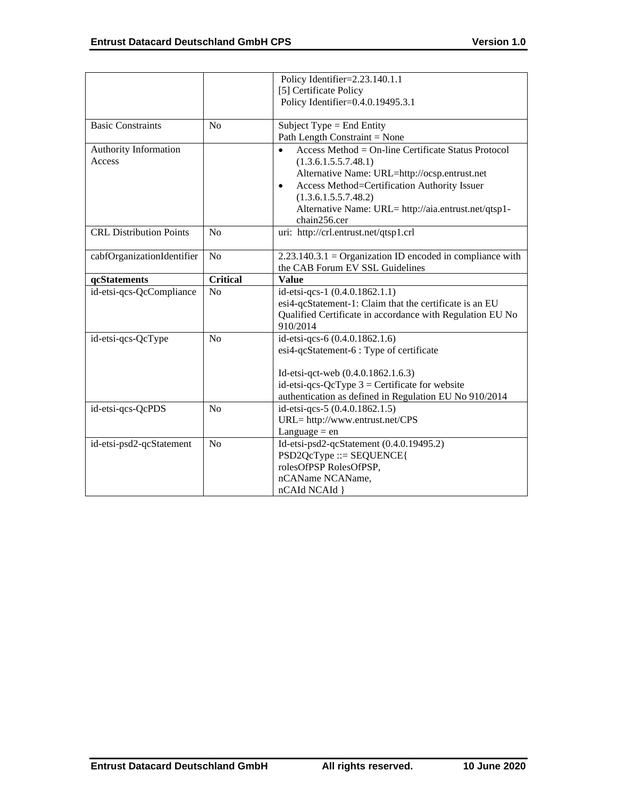|                                |                 | Policy Identifier=2.23.140.1.1                              |
|--------------------------------|-----------------|-------------------------------------------------------------|
|                                |                 | [5] Certificate Policy                                      |
|                                |                 | Policy Identifier=0.4.0.19495.3.1                           |
|                                |                 |                                                             |
| <b>Basic Constraints</b>       | N <sub>0</sub>  | Subject Type $=$ End Entity                                 |
|                                |                 | Path Length Constraint = None                               |
| Authority Information          |                 | Access Method = $On$ -line Certificate Status Protocol      |
| Access                         |                 | (1.3.6.1.5.5.7.48.1)                                        |
|                                |                 | Alternative Name: URL=http://ocsp.entrust.net               |
|                                |                 | Access Method=Certification Authority Issuer<br>$\bullet$   |
|                                |                 | (1.3.6.1.5.5.7.48.2)                                        |
|                                |                 | Alternative Name: URL= http://aia.entrust.net/qtsp1-        |
|                                |                 | chain256.cer                                                |
| <b>CRL Distribution Points</b> | No              | uri: http://crl.entrust.net/qtsp1.crl                       |
|                                |                 |                                                             |
| cabfOrganizationIdentifier     | N <sub>o</sub>  | $2.23.140.3.1 =$ Organization ID encoded in compliance with |
|                                |                 | the CAB Forum EV SSL Guidelines                             |
| qcStatements                   | <b>Critical</b> | <b>Value</b>                                                |
| id-etsi-qcs-QcCompliance       | N <sub>o</sub>  | id-etsi-qcs-1 (0.4.0.1862.1.1)                              |
|                                |                 | esi4-qcStatement-1: Claim that the certificate is an EU     |
|                                |                 | Qualified Certificate in accordance with Regulation EU No   |
|                                |                 | 910/2014                                                    |
| id-etsi-qcs-QcType             | N <sub>o</sub>  | id-etsi-qcs-6 (0.4.0.1862.1.6)                              |
|                                |                 | esi4-qcStatement-6 : Type of certificate                    |
|                                |                 |                                                             |
|                                |                 | Id-etsi-qct-web (0.4.0.1862.1.6.3)                          |
|                                |                 | $id-etsi-qcs-QcType$ 3 = Certificate for website            |
|                                |                 | authentication as defined in Regulation EU No 910/2014      |
| id-etsi-qcs-QcPDS              | N <sub>0</sub>  | id-etsi-qcs-5 (0.4.0.1862.1.5)                              |
|                                |                 | URL= http://www.entrust.net/CPS                             |
|                                |                 | Language $=$ en                                             |
| id-etsi-psd2-qcStatement       | N <sub>o</sub>  | Id-etsi-psd2-qcStatement (0.4.0.19495.2)                    |
|                                |                 | $PSD2QcType ::= SEQUENCE$                                   |
|                                |                 | rolesOfPSP RolesOfPSP,                                      |
|                                |                 | nCAName NCAName,                                            |
|                                |                 | nCAId NCAId }                                               |